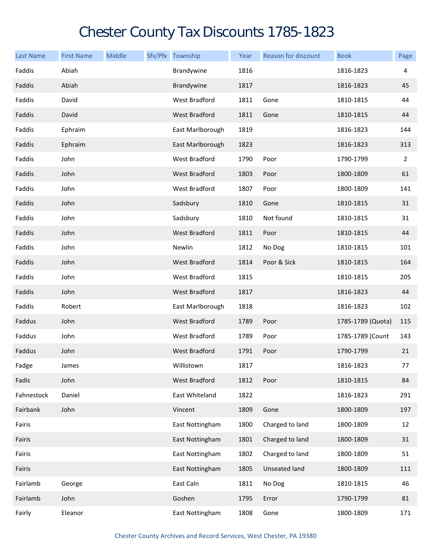## Chester County Tax Discounts 1785-1823

| <b>Last Name</b> | <b>First Name</b> | Middle | Sfx/Pfx Township     | Year | Reason for discount | <b>Book</b>       | Page           |
|------------------|-------------------|--------|----------------------|------|---------------------|-------------------|----------------|
| Faddis           | Abiah             |        | Brandywine           | 1816 |                     | 1816-1823         | 4              |
| Faddis           | Abiah             |        | Brandywine           | 1817 |                     | 1816-1823         | 45             |
| Faddis           | David             |        | <b>West Bradford</b> | 1811 | Gone                | 1810-1815         | 44             |
| Faddis           | David             |        | <b>West Bradford</b> | 1811 | Gone                | 1810-1815         | 44             |
| Faddis           | Ephraim           |        | East Marlborough     | 1819 |                     | 1816-1823         | 144            |
| Faddis           | Ephraim           |        | East Marlborough     | 1823 |                     | 1816-1823         | 313            |
| Faddis           | John              |        | <b>West Bradford</b> | 1790 | Poor                | 1790-1799         | $\overline{2}$ |
| Faddis           | John              |        | <b>West Bradford</b> | 1803 | Poor                | 1800-1809         | 61             |
| Faddis           | John              |        | West Bradford        | 1807 | Poor                | 1800-1809         | 141            |
| Faddis           | John              |        | Sadsbury             | 1810 | Gone                | 1810-1815         | 31             |
| Faddis           | John              |        | Sadsbury             | 1810 | Not found           | 1810-1815         | 31             |
| Faddis           | John              |        | <b>West Bradford</b> | 1811 | Poor                | 1810-1815         | 44             |
| Faddis           | John              |        | Newlin               | 1812 | No Dog              | 1810-1815         | 101            |
| Faddis           | John              |        | <b>West Bradford</b> | 1814 | Poor & Sick         | 1810-1815         | 164            |
| Faddis           | John              |        | West Bradford        | 1815 |                     | 1810-1815         | 205            |
| Faddis           | John              |        | <b>West Bradford</b> | 1817 |                     | 1816-1823         | 44             |
| Faddis           | Robert            |        | East Marlborough     | 1818 |                     | 1816-1823         | 102            |
| Faddus           | John              |        | <b>West Bradford</b> | 1789 | Poor                | 1785-1789 (Quota) | 115            |
| Faddus           | John              |        | West Bradford        | 1789 | Poor                | 1785-1789 (Count  | 143            |
| Faddus           | John              |        | <b>West Bradford</b> | 1791 | Poor                | 1790-1799         | 21             |
| Fadge            | James             |        | Willistown           | 1817 |                     | 1816-1823         | 77             |
| Fadis            | John              |        | West Bradford        | 1812 | Poor                | 1810-1815         | 84             |
| Fahnestock       | Daniel            |        | East Whiteland       | 1822 |                     | 1816-1823         | 291            |
| Fairbank         | John              |        | Vincent              | 1809 | Gone                | 1800-1809         | 197            |
| Fairis           |                   |        | East Nottingham      | 1800 | Charged to land     | 1800-1809         | 12             |
| Fairis           |                   |        | East Nottingham      | 1801 | Charged to land     | 1800-1809         | 31             |
| Fairis           |                   |        | East Nottingham      | 1802 | Charged to land     | 1800-1809         | 51             |
| Fairis           |                   |        | East Nottingham      | 1805 | Unseated land       | 1800-1809         | 111            |
| Fairlamb         | George            |        | East Caln            | 1811 | No Dog              | 1810-1815         | 46             |
| Fairlamb         | John              |        | Goshen               | 1795 | Error               | 1790-1799         | 81             |
| Fairly           | Eleanor           |        | East Nottingham      | 1808 | Gone                | 1800-1809         | 171            |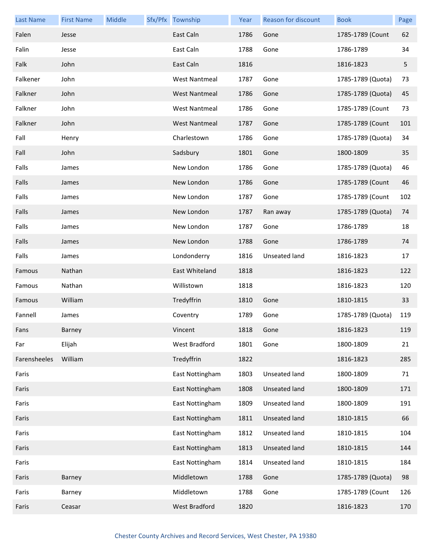| <b>Last Name</b> | <b>First Name</b> | Middle | Sfx/Pfx Township     | Year | Reason for discount  | <b>Book</b>       | Page |
|------------------|-------------------|--------|----------------------|------|----------------------|-------------------|------|
| Falen            | Jesse             |        | East Caln            | 1786 | Gone                 | 1785-1789 (Count  | 62   |
| Falin            | Jesse             |        | East Caln            | 1788 | Gone                 | 1786-1789         | 34   |
| Falk             | John              |        | East Caln            | 1816 |                      | 1816-1823         | 5    |
| Falkener         | John              |        | <b>West Nantmeal</b> | 1787 | Gone                 | 1785-1789 (Quota) | 73   |
| Falkner          | John              |        | <b>West Nantmeal</b> | 1786 | Gone                 | 1785-1789 (Quota) | 45   |
| Falkner          | John              |        | <b>West Nantmeal</b> | 1786 | Gone                 | 1785-1789 (Count  | 73   |
| Falkner          | John              |        | <b>West Nantmeal</b> | 1787 | Gone                 | 1785-1789 (Count  | 101  |
| Fall             | Henry             |        | Charlestown          | 1786 | Gone                 | 1785-1789 (Quota) | 34   |
| Fall             | John              |        | Sadsbury             | 1801 | Gone                 | 1800-1809         | 35   |
| Falls            | James             |        | New London           | 1786 | Gone                 | 1785-1789 (Quota) | 46   |
| Falls            | James             |        | New London           | 1786 | Gone                 | 1785-1789 (Count  | 46   |
| Falls            | James             |        | New London           | 1787 | Gone                 | 1785-1789 (Count  | 102  |
| Falls            | James             |        | New London           | 1787 | Ran away             | 1785-1789 (Quota) | 74   |
| Falls            | James             |        | New London           | 1787 | Gone                 | 1786-1789         | 18   |
| Falls            | James             |        | New London           | 1788 | Gone                 | 1786-1789         | 74   |
| Falls            | James             |        | Londonderry          | 1816 | Unseated land        | 1816-1823         | 17   |
| Famous           | Nathan            |        | East Whiteland       | 1818 |                      | 1816-1823         | 122  |
| Famous           | Nathan            |        | Willistown           | 1818 |                      | 1816-1823         | 120  |
| Famous           | William           |        | Tredyffrin           | 1810 | Gone                 | 1810-1815         | 33   |
| Fannell          | James             |        | Coventry             | 1789 | Gone                 | 1785-1789 (Quota) | 119  |
| Fans             | Barney            |        | Vincent              | 1818 | Gone                 | 1816-1823         | 119  |
| Far              | Elijah            |        | West Bradford        | 1801 | Gone                 | 1800-1809         | 21   |
| Farensheeles     | William           |        | Tredyffrin           | 1822 |                      | 1816-1823         | 285  |
| Faris            |                   |        | East Nottingham      | 1803 | Unseated land        | 1800-1809         | 71   |
| Faris            |                   |        | East Nottingham      | 1808 | Unseated land        | 1800-1809         | 171  |
| Faris            |                   |        | East Nottingham      | 1809 | Unseated land        | 1800-1809         | 191  |
| Faris            |                   |        | East Nottingham      | 1811 | Unseated land        | 1810-1815         | 66   |
| Faris            |                   |        | East Nottingham      | 1812 | Unseated land        | 1810-1815         | 104  |
| Faris            |                   |        | East Nottingham      | 1813 | <b>Unseated land</b> | 1810-1815         | 144  |
| Faris            |                   |        | East Nottingham      | 1814 | Unseated land        | 1810-1815         | 184  |
| Faris            | Barney            |        | Middletown           | 1788 | Gone                 | 1785-1789 (Quota) | 98   |
| Faris            | Barney            |        | Middletown           | 1788 | Gone                 | 1785-1789 (Count  | 126  |
| Faris            | Ceasar            |        | West Bradford        | 1820 |                      | 1816-1823         | 170  |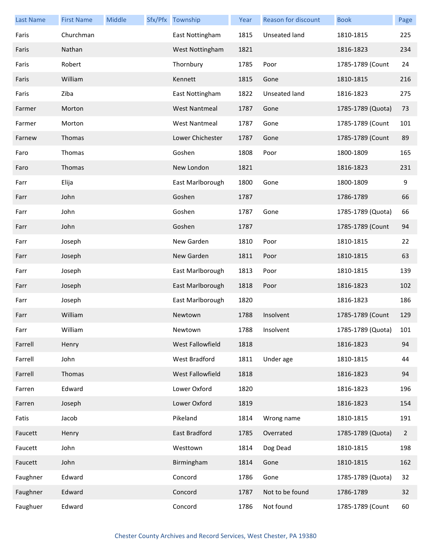| <b>Last Name</b> | <b>First Name</b> | Middle | Sfx/Pfx Township     | Year | Reason for discount  | <b>Book</b>       | Page           |
|------------------|-------------------|--------|----------------------|------|----------------------|-------------------|----------------|
| Faris            | Churchman         |        | East Nottingham      | 1815 | Unseated land        | 1810-1815         | 225            |
| Faris            | Nathan            |        | West Nottingham      | 1821 |                      | 1816-1823         | 234            |
| Faris            | Robert            |        | Thornbury            | 1785 | Poor                 | 1785-1789 (Count  | 24             |
| Faris            | William           |        | Kennett              | 1815 | Gone                 | 1810-1815         | 216            |
| Faris            | Ziba              |        | East Nottingham      | 1822 | <b>Unseated land</b> | 1816-1823         | 275            |
| Farmer           | Morton            |        | <b>West Nantmeal</b> | 1787 | Gone                 | 1785-1789 (Quota) | 73             |
| Farmer           | Morton            |        | <b>West Nantmeal</b> | 1787 | Gone                 | 1785-1789 (Count  | 101            |
| Farnew           | Thomas            |        | Lower Chichester     | 1787 | Gone                 | 1785-1789 (Count  | 89             |
| Faro             | Thomas            |        | Goshen               | 1808 | Poor                 | 1800-1809         | 165            |
| Faro             | Thomas            |        | New London           | 1821 |                      | 1816-1823         | 231            |
| Farr             | Elija             |        | East Marlborough     | 1800 | Gone                 | 1800-1809         | 9              |
| Farr             | John              |        | Goshen               | 1787 |                      | 1786-1789         | 66             |
| Farr             | John              |        | Goshen               | 1787 | Gone                 | 1785-1789 (Quota) | 66             |
| Farr             | John              |        | Goshen               | 1787 |                      | 1785-1789 (Count  | 94             |
| Farr             | Joseph            |        | New Garden           | 1810 | Poor                 | 1810-1815         | 22             |
| Farr             | Joseph            |        | New Garden           | 1811 | Poor                 | 1810-1815         | 63             |
| Farr             | Joseph            |        | East Marlborough     | 1813 | Poor                 | 1810-1815         | 139            |
| Farr             | Joseph            |        | East Marlborough     | 1818 | Poor                 | 1816-1823         | 102            |
| Farr             | Joseph            |        | East Marlborough     | 1820 |                      | 1816-1823         | 186            |
| Farr             | William           |        | Newtown              | 1788 | Insolvent            | 1785-1789 (Count  | 129            |
| Farr             | William           |        | Newtown              | 1788 | Insolvent            | 1785-1789 (Quota) | 101            |
| Farrell          | Henry             |        | West Fallowfield     | 1818 |                      | 1816-1823         | 94             |
| Farrell          | John              |        | West Bradford        | 1811 | Under age            | 1810-1815         | 44             |
| Farrell          | Thomas            |        | West Fallowfield     | 1818 |                      | 1816-1823         | 94             |
| Farren           | Edward            |        | Lower Oxford         | 1820 |                      | 1816-1823         | 196            |
| Farren           | Joseph            |        | Lower Oxford         | 1819 |                      | 1816-1823         | 154            |
| Fatis            | Jacob             |        | Pikeland             | 1814 | Wrong name           | 1810-1815         | 191            |
| Faucett          | Henry             |        | East Bradford        | 1785 | Overrated            | 1785-1789 (Quota) | $\overline{2}$ |
| Faucett          | John              |        | Westtown             | 1814 | Dog Dead             | 1810-1815         | 198            |
| Faucett          | John              |        | Birmingham           | 1814 | Gone                 | 1810-1815         | 162            |
| Faughner         | Edward            |        | Concord              | 1786 | Gone                 | 1785-1789 (Quota) | 32             |
| Faughner         | Edward            |        | Concord              | 1787 | Not to be found      | 1786-1789         | 32             |
| Faughuer         | Edward            |        | Concord              | 1786 | Not found            | 1785-1789 (Count  | 60             |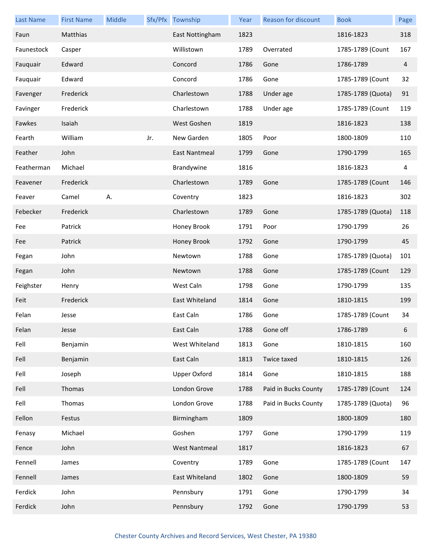| <b>Last Name</b> | <b>First Name</b> | Middle |     | Sfx/Pfx Township     | Year | Reason for discount  | <b>Book</b>       | Page           |
|------------------|-------------------|--------|-----|----------------------|------|----------------------|-------------------|----------------|
| Faun             | Matthias          |        |     | East Nottingham      | 1823 |                      | 1816-1823         | 318            |
| Faunestock       | Casper            |        |     | Willistown           | 1789 | Overrated            | 1785-1789 (Count  | 167            |
| Fauquair         | Edward            |        |     | Concord              | 1786 | Gone                 | 1786-1789         | $\overline{4}$ |
| Fauquair         | Edward            |        |     | Concord              | 1786 | Gone                 | 1785-1789 (Count  | 32             |
| Favenger         | Frederick         |        |     | Charlestown          | 1788 | Under age            | 1785-1789 (Quota) | 91             |
| Favinger         | Frederick         |        |     | Charlestown          | 1788 | Under age            | 1785-1789 (Count  | 119            |
| Fawkes           | Isaiah            |        |     | West Goshen          | 1819 |                      | 1816-1823         | 138            |
| Fearth           | William           |        | Jr. | New Garden           | 1805 | Poor                 | 1800-1809         | 110            |
| Feather          | John              |        |     | East Nantmeal        | 1799 | Gone                 | 1790-1799         | 165            |
| Featherman       | Michael           |        |     | Brandywine           | 1816 |                      | 1816-1823         | 4              |
| Feavener         | Frederick         |        |     | Charlestown          | 1789 | Gone                 | 1785-1789 (Count  | 146            |
| Feaver           | Camel             | Α.     |     | Coventry             | 1823 |                      | 1816-1823         | 302            |
| Febecker         | Frederick         |        |     | Charlestown          | 1789 | Gone                 | 1785-1789 (Quota) | 118            |
| Fee              | Patrick           |        |     | Honey Brook          | 1791 | Poor                 | 1790-1799         | 26             |
| Fee              | Patrick           |        |     | Honey Brook          | 1792 | Gone                 | 1790-1799         | 45             |
| Fegan            | John              |        |     | Newtown              | 1788 | Gone                 | 1785-1789 (Quota) | 101            |
| Fegan            | John              |        |     | Newtown              | 1788 | Gone                 | 1785-1789 (Count  | 129            |
| Feighster        | Henry             |        |     | West Caln            | 1798 | Gone                 | 1790-1799         | 135            |
| Feit             | Frederick         |        |     | East Whiteland       | 1814 | Gone                 | 1810-1815         | 199            |
| Felan            | Jesse             |        |     | East Caln            | 1786 | Gone                 | 1785-1789 (Count  | 34             |
| Felan            | Jesse             |        |     | East Caln            | 1788 | Gone off             | 1786-1789         | 6              |
| Fell             | Benjamin          |        |     | West Whiteland       | 1813 | Gone                 | 1810-1815         | 160            |
| Fell             | Benjamin          |        |     | East Caln            | 1813 | Twice taxed          | 1810-1815         | 126            |
| Fell             | Joseph            |        |     | <b>Upper Oxford</b>  | 1814 | Gone                 | 1810-1815         | 188            |
| Fell             | Thomas            |        |     | London Grove         | 1788 | Paid in Bucks County | 1785-1789 (Count  | 124            |
| Fell             | Thomas            |        |     | London Grove         | 1788 | Paid in Bucks County | 1785-1789 (Quota) | 96             |
| Fellon           | Festus            |        |     | Birmingham           | 1809 |                      | 1800-1809         | 180            |
| Fenasy           | Michael           |        |     | Goshen               | 1797 | Gone                 | 1790-1799         | 119            |
| Fence            | John              |        |     | <b>West Nantmeal</b> | 1817 |                      | 1816-1823         | 67             |
| Fennell          | James             |        |     | Coventry             | 1789 | Gone                 | 1785-1789 (Count  | 147            |
| Fennell          | James             |        |     | East Whiteland       | 1802 | Gone                 | 1800-1809         | 59             |
| Ferdick          | John              |        |     | Pennsbury            | 1791 | Gone                 | 1790-1799         | 34             |
| Ferdick          | John              |        |     | Pennsbury            | 1792 | Gone                 | 1790-1799         | 53             |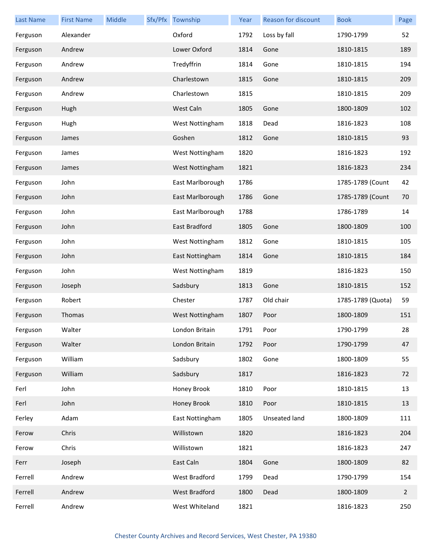| Last Name | <b>First Name</b> | Middle | Sfx/Pfx Township | Year | Reason for discount | <b>Book</b>       | Page           |
|-----------|-------------------|--------|------------------|------|---------------------|-------------------|----------------|
| Ferguson  | Alexander         |        | Oxford           | 1792 | Loss by fall        | 1790-1799         | 52             |
| Ferguson  | Andrew            |        | Lower Oxford     | 1814 | Gone                | 1810-1815         | 189            |
| Ferguson  | Andrew            |        | Tredyffrin       | 1814 | Gone                | 1810-1815         | 194            |
| Ferguson  | Andrew            |        | Charlestown      | 1815 | Gone                | 1810-1815         | 209            |
| Ferguson  | Andrew            |        | Charlestown      | 1815 |                     | 1810-1815         | 209            |
| Ferguson  | Hugh              |        | West Caln        | 1805 | Gone                | 1800-1809         | 102            |
| Ferguson  | Hugh              |        | West Nottingham  | 1818 | Dead                | 1816-1823         | 108            |
| Ferguson  | James             |        | Goshen           | 1812 | Gone                | 1810-1815         | 93             |
| Ferguson  | James             |        | West Nottingham  | 1820 |                     | 1816-1823         | 192            |
| Ferguson  | James             |        | West Nottingham  | 1821 |                     | 1816-1823         | 234            |
| Ferguson  | John              |        | East Marlborough | 1786 |                     | 1785-1789 (Count  | 42             |
| Ferguson  | John              |        | East Marlborough | 1786 | Gone                | 1785-1789 (Count  | 70             |
| Ferguson  | John              |        | East Marlborough | 1788 |                     | 1786-1789         | 14             |
| Ferguson  | John              |        | East Bradford    | 1805 | Gone                | 1800-1809         | 100            |
| Ferguson  | John              |        | West Nottingham  | 1812 | Gone                | 1810-1815         | 105            |
| Ferguson  | John              |        | East Nottingham  | 1814 | Gone                | 1810-1815         | 184            |
| Ferguson  | John              |        | West Nottingham  | 1819 |                     | 1816-1823         | 150            |
| Ferguson  | Joseph            |        | Sadsbury         | 1813 | Gone                | 1810-1815         | 152            |
| Ferguson  | Robert            |        | Chester          | 1787 | Old chair           | 1785-1789 (Quota) | 59             |
| Ferguson  | Thomas            |        | West Nottingham  | 1807 | Poor                | 1800-1809         | 151            |
| Ferguson  | Walter            |        | London Britain   | 1791 | Poor                | 1790-1799         | 28             |
| Ferguson  | Walter            |        | London Britain   | 1792 | Poor                | 1790-1799         | 47             |
| Ferguson  | William           |        | Sadsbury         | 1802 | Gone                | 1800-1809         | 55             |
| Ferguson  | William           |        | Sadsbury         | 1817 |                     | 1816-1823         | 72             |
| Ferl      | John              |        | Honey Brook      | 1810 | Poor                | 1810-1815         | 13             |
| Ferl      | John              |        | Honey Brook      | 1810 | Poor                | 1810-1815         | 13             |
| Ferley    | Adam              |        | East Nottingham  | 1805 | Unseated land       | 1800-1809         | 111            |
| Ferow     | Chris             |        | Willistown       | 1820 |                     | 1816-1823         | 204            |
| Ferow     | Chris             |        | Willistown       | 1821 |                     | 1816-1823         | 247            |
| Ferr      | Joseph            |        | East Caln        | 1804 | Gone                | 1800-1809         | 82             |
| Ferrell   | Andrew            |        | West Bradford    | 1799 | Dead                | 1790-1799         | 154            |
| Ferrell   | Andrew            |        | West Bradford    | 1800 | Dead                | 1800-1809         | $\overline{2}$ |
| Ferrell   | Andrew            |        | West Whiteland   | 1821 |                     | 1816-1823         | 250            |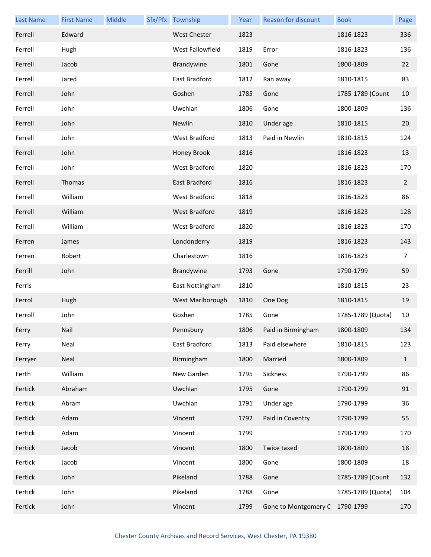| <b>Last Name</b> | <b>First Name</b> | Middle | Sfx/Pfx Township     | Year | Reason for discount            | <b>Book</b>       | Page           |
|------------------|-------------------|--------|----------------------|------|--------------------------------|-------------------|----------------|
| Ferrell          | Edward            |        | <b>West Chester</b>  | 1823 |                                | 1816-1823         | 336            |
| Ferrell          | Hugh              |        | West Fallowfield     | 1819 | Error                          | 1816-1823         | 136            |
| Ferrell          | Jacob             |        | Brandywine           | 1801 | Gone                           | 1800-1809         | 22             |
| Ferrell          | Jared             |        | East Bradford        | 1812 | Ran away                       | 1810-1815         | 83             |
| Ferrell          | John              |        | Goshen               | 1785 | Gone                           | 1785-1789 (Count  | 10             |
| Ferrell          | John              |        | Uwchlan              | 1806 | Gone                           | 1800-1809         | 136            |
| Ferrell          | John              |        | Newlin               | 1810 | Under age                      | 1810-1815         | 20             |
| Ferrell          | John              |        | West Bradford        | 1813 | Paid in Newlin                 | 1810-1815         | 124            |
| Ferrell          | John              |        | Honey Brook          | 1816 |                                | 1816-1823         | 13             |
| Ferrell          | John              |        | <b>West Bradford</b> | 1820 |                                | 1816-1823         | 170            |
| Ferrell          | Thomas            |        | East Bradford        | 1816 |                                | 1816-1823         | $\overline{2}$ |
| Ferrell          | William           |        | West Bradford        | 1818 |                                | 1816-1823         | 86             |
| Ferrell          | William           |        | West Bradford        | 1819 |                                | 1816-1823         | 128            |
| Ferrell          | William           |        | West Bradford        | 1820 |                                | 1816-1823         | 170            |
| Ferren           | James             |        | Londonderry          | 1819 |                                | 1816-1823         | 143            |
| Ferren           | Robert            |        | Charlestown          | 1816 |                                | 1816-1823         | 7              |
| Ferrill          | John              |        | Brandywine           | 1793 | Gone                           | 1790-1799         | 59             |
| Ferris           |                   |        | East Nottingham      | 1810 |                                | 1810-1815         | 23             |
| Ferrol           | Hugh              |        | West Marlborough     | 1810 | One Dog                        | 1810-1815         | 19             |
| Ferroll          | John              |        | Goshen               | 1785 | Gone                           | 1785-1789 (Quota) | 10             |
| Ferry            | Nail              |        | Pennsbury            |      | 1806 Paid in Birmingham        | 1800-1809         | 134            |
| Ferry            | Neal              |        | East Bradford        | 1813 | Paid elsewhere                 | 1810-1815         | 123            |
| Ferryer          | Neal              |        | Birmingham           | 1800 | Married                        | 1800-1809         | $\mathbf{1}$   |
| Ferth            | William           |        | New Garden           | 1795 | Sickness                       | 1790-1799         | 86             |
| Fertick          | Abraham           |        | Uwchlan              | 1795 | Gone                           | 1790-1799         | 91             |
| Fertick          | Abram             |        | Uwchlan              | 1791 | Under age                      | 1790-1799         | 36             |
| Fertick          | Adam              |        | Vincent              | 1792 | Paid in Coventry               | 1790-1799         | 55             |
| Fertick          | Adam              |        | Vincent              | 1799 |                                | 1790-1799         | 170            |
| Fertick          | Jacob             |        | Vincent              | 1800 | Twice taxed                    | 1800-1809         | 18             |
| Fertick          | Jacob             |        | Vincent              | 1800 | Gone                           | 1800-1809         | 18             |
| Fertick          | John              |        | Pikeland             | 1788 | Gone                           | 1785-1789 (Count  | 132            |
| Fertick          | John              |        | Pikeland             | 1788 | Gone                           | 1785-1789 (Quota) | 104            |
| Fertick          | John              |        | Vincent              | 1799 | Gone to Montgomery C 1790-1799 |                   | 170            |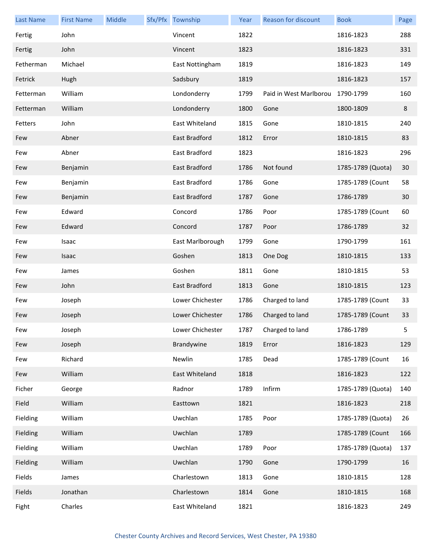| <b>Last Name</b> | <b>First Name</b> | Middle | Sfx/Pfx Township | Year | Reason for discount    | <b>Book</b>       | Page |
|------------------|-------------------|--------|------------------|------|------------------------|-------------------|------|
| Fertig           | John              |        | Vincent          | 1822 |                        | 1816-1823         | 288  |
| Fertig           | John              |        | Vincent          | 1823 |                        | 1816-1823         | 331  |
| Fetherman        | Michael           |        | East Nottingham  | 1819 |                        | 1816-1823         | 149  |
| Fetrick          | Hugh              |        | Sadsbury         | 1819 |                        | 1816-1823         | 157  |
| Fetterman        | William           |        | Londonderry      | 1799 | Paid in West Marlborou | 1790-1799         | 160  |
| Fetterman        | William           |        | Londonderry      | 1800 | Gone                   | 1800-1809         | 8    |
| Fetters          | John              |        | East Whiteland   | 1815 | Gone                   | 1810-1815         | 240  |
| Few              | Abner             |        | East Bradford    | 1812 | Error                  | 1810-1815         | 83   |
| Few              | Abner             |        | East Bradford    | 1823 |                        | 1816-1823         | 296  |
| Few              | Benjamin          |        | East Bradford    | 1786 | Not found              | 1785-1789 (Quota) | 30   |
| Few              | Benjamin          |        | East Bradford    | 1786 | Gone                   | 1785-1789 (Count  | 58   |
| Few              | Benjamin          |        | East Bradford    | 1787 | Gone                   | 1786-1789         | 30   |
| Few              | Edward            |        | Concord          | 1786 | Poor                   | 1785-1789 (Count  | 60   |
| Few              | Edward            |        | Concord          | 1787 | Poor                   | 1786-1789         | 32   |
| Few              | Isaac             |        | East Marlborough | 1799 | Gone                   | 1790-1799         | 161  |
| Few              | Isaac             |        | Goshen           | 1813 | One Dog                | 1810-1815         | 133  |
| Few              | James             |        | Goshen           | 1811 | Gone                   | 1810-1815         | 53   |
| Few              | John              |        | East Bradford    | 1813 | Gone                   | 1810-1815         | 123  |
| Few              | Joseph            |        | Lower Chichester | 1786 | Charged to land        | 1785-1789 (Count  | 33   |
| Few              | Joseph            |        | Lower Chichester | 1786 | Charged to land        | 1785-1789 (Count  | 33   |
| Few              | Joseph            |        | Lower Chichester | 1787 | Charged to land        | 1786-1789         | 5.   |
| Few              | Joseph            |        | Brandywine       | 1819 | Error                  | 1816-1823         | 129  |
| Few              | Richard           |        | Newlin           | 1785 | Dead                   | 1785-1789 (Count  | 16   |
| Few              | William           |        | East Whiteland   | 1818 |                        | 1816-1823         | 122  |
| Ficher           | George            |        | Radnor           | 1789 | Infirm                 | 1785-1789 (Quota) | 140  |
| Field            | William           |        | Easttown         | 1821 |                        | 1816-1823         | 218  |
| Fielding         | William           |        | Uwchlan          | 1785 | Poor                   | 1785-1789 (Quota) | 26   |
| Fielding         | William           |        | Uwchlan          | 1789 |                        | 1785-1789 (Count  | 166  |
| Fielding         | William           |        | Uwchlan          | 1789 | Poor                   | 1785-1789 (Quota) | 137  |
| Fielding         | William           |        | Uwchlan          | 1790 | Gone                   | 1790-1799         | 16   |
| Fields           | James             |        | Charlestown      | 1813 | Gone                   | 1810-1815         | 128  |
| Fields           | Jonathan          |        | Charlestown      | 1814 | Gone                   | 1810-1815         | 168  |
| Fight            | Charles           |        | East Whiteland   | 1821 |                        | 1816-1823         | 249  |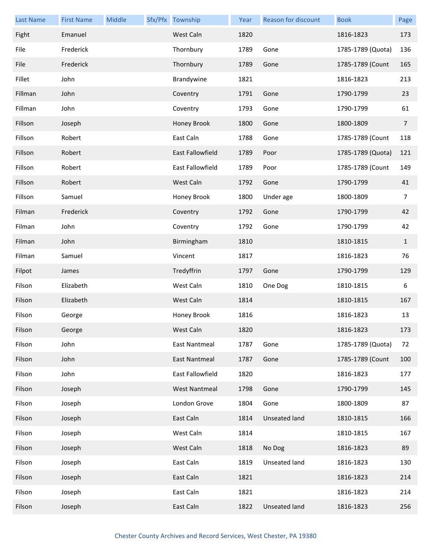| <b>Last Name</b> | <b>First Name</b> | Middle | Sfx/Pfx Township     | Year | <b>Reason for discount</b> | <b>Book</b>       | Page           |
|------------------|-------------------|--------|----------------------|------|----------------------------|-------------------|----------------|
| Fight            | Emanuel           |        | West Caln            | 1820 |                            | 1816-1823         | 173            |
| File             | Frederick         |        | Thornbury            | 1789 | Gone                       | 1785-1789 (Quota) | 136            |
| File             | Frederick         |        | Thornbury            | 1789 | Gone                       | 1785-1789 (Count  | 165            |
| Fillet           | John              |        | Brandywine           | 1821 |                            | 1816-1823         | 213            |
| Fillman          | John              |        | Coventry             | 1791 | Gone                       | 1790-1799         | 23             |
| Fillman          | John              |        | Coventry             | 1793 | Gone                       | 1790-1799         | 61             |
| Fillson          | Joseph            |        | Honey Brook          | 1800 | Gone                       | 1800-1809         | $\overline{7}$ |
| Fillson          | Robert            |        | East Caln            | 1788 | Gone                       | 1785-1789 (Count  | 118            |
| Fillson          | Robert            |        | East Fallowfield     | 1789 | Poor                       | 1785-1789 (Quota) | 121            |
| Fillson          | Robert            |        | East Fallowfield     | 1789 | Poor                       | 1785-1789 (Count  | 149            |
| Fillson          | Robert            |        | West Caln            | 1792 | Gone                       | 1790-1799         | 41             |
| Fillson          | Samuel            |        | Honey Brook          | 1800 | Under age                  | 1800-1809         | 7              |
| Filman           | Frederick         |        | Coventry             | 1792 | Gone                       | 1790-1799         | 42             |
| Filman           | John              |        | Coventry             | 1792 | Gone                       | 1790-1799         | 42             |
| Filman           | John              |        | Birmingham           | 1810 |                            | 1810-1815         | $\mathbf{1}$   |
| Filman           | Samuel            |        | Vincent              | 1817 |                            | 1816-1823         | 76             |
| Filpot           | James             |        | Tredyffrin           | 1797 | Gone                       | 1790-1799         | 129            |
| Filson           | Elizabeth         |        | West Caln            | 1810 | One Dog                    | 1810-1815         | 6              |
| Filson           | Elizabeth         |        | West Caln            | 1814 |                            | 1810-1815         | 167            |
| Filson           | George            |        | Honey Brook          | 1816 |                            | 1816-1823         | 13             |
| Filson           | George            |        | West Caln            | 1820 |                            | 1816-1823         | 173            |
| Filson           | John              |        | East Nantmeal        | 1787 | Gone                       | 1785-1789 (Quota) | 72             |
| Filson           | John              |        | <b>East Nantmeal</b> | 1787 | Gone                       | 1785-1789 (Count  | 100            |
| Filson           | John              |        | East Fallowfield     | 1820 |                            | 1816-1823         | 177            |
| Filson           | Joseph            |        | <b>West Nantmeal</b> | 1798 | Gone                       | 1790-1799         | 145            |
| Filson           | Joseph            |        | London Grove         | 1804 | Gone                       | 1800-1809         | 87             |
| Filson           | Joseph            |        | East Caln            | 1814 | <b>Unseated land</b>       | 1810-1815         | 166            |
| Filson           | Joseph            |        | West Caln            | 1814 |                            | 1810-1815         | 167            |
| Filson           | Joseph            |        | West Caln            | 1818 | No Dog                     | 1816-1823         | 89             |
| Filson           | Joseph            |        | East Caln            | 1819 | Unseated land              | 1816-1823         | 130            |
| Filson           | Joseph            |        | East Caln            | 1821 |                            | 1816-1823         | 214            |
| Filson           | Joseph            |        | East Caln            | 1821 |                            | 1816-1823         | 214            |
| Filson           | Joseph            |        | East Caln            | 1822 | <b>Unseated land</b>       | 1816-1823         | 256            |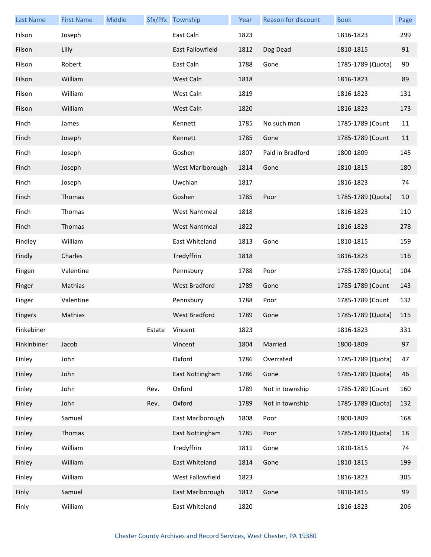| <b>Last Name</b> | <b>First Name</b> | Middle |      | Sfx/Pfx Township        | Year | Reason for discount | <b>Book</b>       | Page |
|------------------|-------------------|--------|------|-------------------------|------|---------------------|-------------------|------|
| Filson           | Joseph            |        |      | East Caln               | 1823 |                     | 1816-1823         | 299  |
| Filson           | Lilly             |        |      | <b>East Fallowfield</b> | 1812 | Dog Dead            | 1810-1815         | 91   |
| Filson           | Robert            |        |      | East Caln               | 1788 | Gone                | 1785-1789 (Quota) | 90   |
| Filson           | William           |        |      | West Caln               | 1818 |                     | 1816-1823         | 89   |
| Filson           | William           |        |      | West Caln               | 1819 |                     | 1816-1823         | 131  |
| Filson           | William           |        |      | West Caln               | 1820 |                     | 1816-1823         | 173  |
| Finch            | James             |        |      | Kennett                 | 1785 | No such man         | 1785-1789 (Count  | 11   |
| Finch            | Joseph            |        |      | Kennett                 | 1785 | Gone                | 1785-1789 (Count  | 11   |
| Finch            | Joseph            |        |      | Goshen                  | 1807 | Paid in Bradford    | 1800-1809         | 145  |
| Finch            | Joseph            |        |      | West Marlborough        | 1814 | Gone                | 1810-1815         | 180  |
| Finch            | Joseph            |        |      | Uwchlan                 | 1817 |                     | 1816-1823         | 74   |
| Finch            | Thomas            |        |      | Goshen                  | 1785 | Poor                | 1785-1789 (Quota) | 10   |
| Finch            | Thomas            |        |      | <b>West Nantmeal</b>    | 1818 |                     | 1816-1823         | 110  |
| Finch            | Thomas            |        |      | <b>West Nantmeal</b>    | 1822 |                     | 1816-1823         | 278  |
| Findley          | William           |        |      | East Whiteland          | 1813 | Gone                | 1810-1815         | 159  |
| Findly           | Charles           |        |      | Tredyffrin              | 1818 |                     | 1816-1823         | 116  |
| Fingen           | Valentine         |        |      | Pennsbury               | 1788 | Poor                | 1785-1789 (Quota) | 104  |
| Finger           | Mathias           |        |      | <b>West Bradford</b>    | 1789 | Gone                | 1785-1789 (Count  | 143  |
| Finger           | Valentine         |        |      | Pennsbury               | 1788 | Poor                | 1785-1789 (Count  | 132  |
| Fingers          | Mathias           |        |      | <b>West Bradford</b>    | 1789 | Gone                | 1785-1789 (Quota) | 115  |
| Finkebiner       |                   |        |      | Estate Vincent          | 1823 |                     | 1816-1823         | 331  |
| Finkinbiner      | Jacob             |        |      | Vincent                 | 1804 | Married             | 1800-1809         | 97   |
| Finley           | John              |        |      | Oxford                  | 1786 | Overrated           | 1785-1789 (Quota) | 47   |
| Finley           | John              |        |      | East Nottingham         | 1786 | Gone                | 1785-1789 (Quota) | 46   |
| Finley           | John              |        | Rev. | Oxford                  | 1789 | Not in township     | 1785-1789 (Count  | 160  |
| Finley           | John              |        | Rev. | Oxford                  | 1789 | Not in township     | 1785-1789 (Quota) | 132  |
| Finley           | Samuel            |        |      | East Marlborough        | 1808 | Poor                | 1800-1809         | 168  |
| Finley           | Thomas            |        |      | East Nottingham         | 1785 | Poor                | 1785-1789 (Quota) | 18   |
| Finley           | William           |        |      | Tredyffrin              | 1811 | Gone                | 1810-1815         | 74   |
| Finley           | William           |        |      | East Whiteland          | 1814 | Gone                | 1810-1815         | 199  |
| Finley           | William           |        |      | West Fallowfield        | 1823 |                     | 1816-1823         | 305  |
| Finly            | Samuel            |        |      | East Marlborough        | 1812 | Gone                | 1810-1815         | 99   |
| Finly            | William           |        |      | East Whiteland          | 1820 |                     | 1816-1823         | 206  |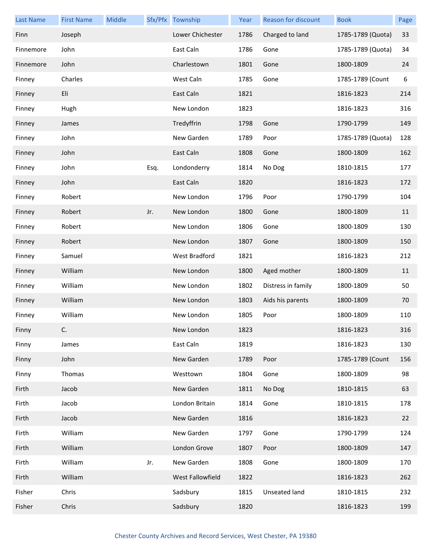| <b>Last Name</b> | <b>First Name</b> | Middle |      | Sfx/Pfx Township | Year | Reason for discount | <b>Book</b>       | Page |
|------------------|-------------------|--------|------|------------------|------|---------------------|-------------------|------|
| Finn             | Joseph            |        |      | Lower Chichester | 1786 | Charged to land     | 1785-1789 (Quota) | 33   |
| Finnemore        | John              |        |      | East Caln        | 1786 | Gone                | 1785-1789 (Quota) | 34   |
| Finnemore        | John              |        |      | Charlestown      | 1801 | Gone                | 1800-1809         | 24   |
| Finney           | Charles           |        |      | West Caln        | 1785 | Gone                | 1785-1789 (Count  | 6    |
| Finney           | Eli               |        |      | East Caln        | 1821 |                     | 1816-1823         | 214  |
| Finney           | Hugh              |        |      | New London       | 1823 |                     | 1816-1823         | 316  |
| Finney           | James             |        |      | Tredyffrin       | 1798 | Gone                | 1790-1799         | 149  |
| Finney           | John              |        |      | New Garden       | 1789 | Poor                | 1785-1789 (Quota) | 128  |
| Finney           | John              |        |      | East Caln        | 1808 | Gone                | 1800-1809         | 162  |
| Finney           | John              |        | Esq. | Londonderry      | 1814 | No Dog              | 1810-1815         | 177  |
| Finney           | John              |        |      | East Caln        | 1820 |                     | 1816-1823         | 172  |
| Finney           | Robert            |        |      | New London       | 1796 | Poor                | 1790-1799         | 104  |
| Finney           | Robert            |        | Jr.  | New London       | 1800 | Gone                | 1800-1809         | 11   |
| Finney           | Robert            |        |      | New London       | 1806 | Gone                | 1800-1809         | 130  |
| Finney           | Robert            |        |      | New London       | 1807 | Gone                | 1800-1809         | 150  |
| Finney           | Samuel            |        |      | West Bradford    | 1821 |                     | 1816-1823         | 212  |
| Finney           | William           |        |      | New London       | 1800 | Aged mother         | 1800-1809         | 11   |
| Finney           | William           |        |      | New London       | 1802 | Distress in family  | 1800-1809         | 50   |
| Finney           | William           |        |      | New London       | 1803 | Aids his parents    | 1800-1809         | 70   |
| Finney           | William           |        |      | New London       | 1805 | Poor                | 1800-1809         | 110  |
| Finny            | C.                |        |      | New London       | 1823 |                     | 1816-1823         | 316  |
| Finny            | James             |        |      | East Caln        | 1819 |                     | 1816-1823         | 130  |
| Finny            | John              |        |      | New Garden       | 1789 | Poor                | 1785-1789 (Count  | 156  |
| Finny            | Thomas            |        |      | Westtown         | 1804 | Gone                | 1800-1809         | 98   |
| Firth            | Jacob             |        |      | New Garden       | 1811 | No Dog              | 1810-1815         | 63   |
| Firth            | Jacob             |        |      | London Britain   | 1814 | Gone                | 1810-1815         | 178  |
| Firth            | Jacob             |        |      | New Garden       | 1816 |                     | 1816-1823         | 22   |
| Firth            | William           |        |      | New Garden       | 1797 | Gone                | 1790-1799         | 124  |
| Firth            | William           |        |      | London Grove     | 1807 | Poor                | 1800-1809         | 147  |
| Firth            | William           |        | Jr.  | New Garden       | 1808 | Gone                | 1800-1809         | 170  |
| Firth            | William           |        |      | West Fallowfield | 1822 |                     | 1816-1823         | 262  |
| Fisher           | Chris             |        |      | Sadsbury         | 1815 | Unseated land       | 1810-1815         | 232  |
| Fisher           | Chris             |        |      | Sadsbury         | 1820 |                     | 1816-1823         | 199  |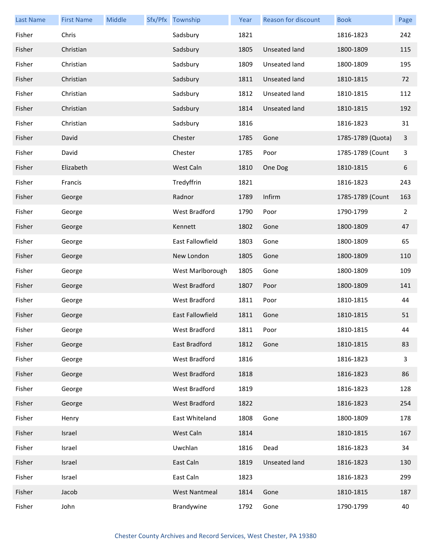| <b>Last Name</b> | <b>First Name</b> | Middle | Sfx/Pfx Township        | Year | Reason for discount  | <b>Book</b>       | Page           |
|------------------|-------------------|--------|-------------------------|------|----------------------|-------------------|----------------|
| Fisher           | Chris             |        | Sadsbury                | 1821 |                      | 1816-1823         | 242            |
| Fisher           | Christian         |        | Sadsbury                | 1805 | <b>Unseated land</b> | 1800-1809         | 115            |
| Fisher           | Christian         |        | Sadsbury                | 1809 | Unseated land        | 1800-1809         | 195            |
| Fisher           | Christian         |        | Sadsbury                | 1811 | Unseated land        | 1810-1815         | 72             |
| Fisher           | Christian         |        | Sadsbury                | 1812 | Unseated land        | 1810-1815         | 112            |
| Fisher           | Christian         |        | Sadsbury                | 1814 | Unseated land        | 1810-1815         | 192            |
| Fisher           | Christian         |        | Sadsbury                | 1816 |                      | 1816-1823         | 31             |
| Fisher           | David             |        | Chester                 | 1785 | Gone                 | 1785-1789 (Quota) | 3              |
| Fisher           | David             |        | Chester                 | 1785 | Poor                 | 1785-1789 (Count  | 3              |
| Fisher           | Elizabeth         |        | West Caln               | 1810 | One Dog              | 1810-1815         | 6              |
| Fisher           | Francis           |        | Tredyffrin              | 1821 |                      | 1816-1823         | 243            |
| Fisher           | George            |        | Radnor                  | 1789 | Infirm               | 1785-1789 (Count  | 163            |
| Fisher           | George            |        | West Bradford           | 1790 | Poor                 | 1790-1799         | $\overline{2}$ |
| Fisher           | George            |        | Kennett                 | 1802 | Gone                 | 1800-1809         | 47             |
| Fisher           | George            |        | East Fallowfield        | 1803 | Gone                 | 1800-1809         | 65             |
| Fisher           | George            |        | New London              | 1805 | Gone                 | 1800-1809         | 110            |
| Fisher           | George            |        | West Marlborough        | 1805 | Gone                 | 1800-1809         | 109            |
| Fisher           | George            |        | West Bradford           | 1807 | Poor                 | 1800-1809         | 141            |
| Fisher           | George            |        | <b>West Bradford</b>    | 1811 | Poor                 | 1810-1815         | 44             |
| Fisher           | George            |        | <b>East Fallowfield</b> | 1811 | Gone                 | 1810-1815         | 51             |
| Fisher           | George            |        | West Bradford           | 1811 | Poor                 | 1810-1815         | 44             |
| Fisher           | George            |        | East Bradford           | 1812 | Gone                 | 1810-1815         | 83             |
| Fisher           | George            |        | West Bradford           | 1816 |                      | 1816-1823         | 3              |
| Fisher           | George            |        | West Bradford           | 1818 |                      | 1816-1823         | 86             |
| Fisher           | George            |        | West Bradford           | 1819 |                      | 1816-1823         | 128            |
| Fisher           | George            |        | West Bradford           | 1822 |                      | 1816-1823         | 254            |
| Fisher           | Henry             |        | East Whiteland          | 1808 | Gone                 | 1800-1809         | 178            |
| Fisher           | Israel            |        | West Caln               | 1814 |                      | 1810-1815         | 167            |
| Fisher           | Israel            |        | Uwchlan                 | 1816 | Dead                 | 1816-1823         | 34             |
| Fisher           | Israel            |        | East Caln               | 1819 | <b>Unseated land</b> | 1816-1823         | 130            |
| Fisher           | Israel            |        | East Caln               | 1823 |                      | 1816-1823         | 299            |
| Fisher           | Jacob             |        | <b>West Nantmeal</b>    | 1814 | Gone                 | 1810-1815         | 187            |
| Fisher           | John              |        | Brandywine              | 1792 | Gone                 | 1790-1799         | 40             |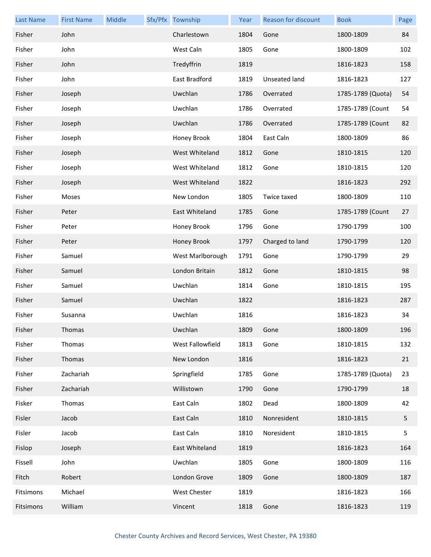| <b>Last Name</b> | <b>First Name</b> | Middle | Sfx/Pfx Township | Year | Reason for discount | <b>Book</b>       | Page |
|------------------|-------------------|--------|------------------|------|---------------------|-------------------|------|
| Fisher           | John              |        | Charlestown      | 1804 | Gone                | 1800-1809         | 84   |
| Fisher           | John              |        | West Caln        | 1805 | Gone                | 1800-1809         | 102  |
| Fisher           | John              |        | Tredyffrin       | 1819 |                     | 1816-1823         | 158  |
| Fisher           | John              |        | East Bradford    | 1819 | Unseated land       | 1816-1823         | 127  |
| Fisher           | Joseph            |        | Uwchlan          | 1786 | Overrated           | 1785-1789 (Quota) | 54   |
| Fisher           | Joseph            |        | Uwchlan          | 1786 | Overrated           | 1785-1789 (Count  | 54   |
| Fisher           | Joseph            |        | Uwchlan          | 1786 | Overrated           | 1785-1789 (Count  | 82   |
| Fisher           | Joseph            |        | Honey Brook      | 1804 | East Caln           | 1800-1809         | 86   |
| Fisher           | Joseph            |        | West Whiteland   | 1812 | Gone                | 1810-1815         | 120  |
| Fisher           | Joseph            |        | West Whiteland   | 1812 | Gone                | 1810-1815         | 120  |
| Fisher           | Joseph            |        | West Whiteland   | 1822 |                     | 1816-1823         | 292  |
| Fisher           | Moses             |        | New London       | 1805 | Twice taxed         | 1800-1809         | 110  |
| Fisher           | Peter             |        | East Whiteland   | 1785 | Gone                | 1785-1789 (Count  | 27   |
| Fisher           | Peter             |        | Honey Brook      | 1796 | Gone                | 1790-1799         | 100  |
| Fisher           | Peter             |        | Honey Brook      | 1797 | Charged to land     | 1790-1799         | 120  |
| Fisher           | Samuel            |        | West Marlborough | 1791 | Gone                | 1790-1799         | 29   |
| Fisher           | Samuel            |        | London Britain   | 1812 | Gone                | 1810-1815         | 98   |
| Fisher           | Samuel            |        | Uwchlan          | 1814 | Gone                | 1810-1815         | 195  |
| Fisher           | Samuel            |        | Uwchlan          | 1822 |                     | 1816-1823         | 287  |
| Fisher           | Susanna           |        | Uwchlan          | 1816 |                     | 1816-1823         | 34   |
| Fisher           | Thomas            |        | Uwchlan          | 1809 | Gone                | 1800-1809         | 196  |
| Fisher           | Thomas            |        | West Fallowfield | 1813 | Gone                | 1810-1815         | 132  |
| Fisher           | Thomas            |        | New London       | 1816 |                     | 1816-1823         | 21   |
| Fisher           | Zachariah         |        | Springfield      | 1785 | Gone                | 1785-1789 (Quota) | 23   |
| Fisher           | Zachariah         |        | Willistown       | 1790 | Gone                | 1790-1799         | 18   |
| Fisker           | Thomas            |        | East Caln        | 1802 | Dead                | 1800-1809         | 42   |
| Fisler           | Jacob             |        | East Caln        | 1810 | Nonresident         | 1810-1815         | 5    |
| Fisler           | Jacob             |        | East Caln        | 1810 | Noresident          | 1810-1815         | 5    |
| Fislop           | Joseph            |        | East Whiteland   | 1819 |                     | 1816-1823         | 164  |
| Fissell          | John              |        | Uwchlan          | 1805 | Gone                | 1800-1809         | 116  |
| Fitch            | Robert            |        | London Grove     | 1809 | Gone                | 1800-1809         | 187  |
| Fitsimons        | Michael           |        | West Chester     | 1819 |                     | 1816-1823         | 166  |
| Fitsimons        | William           |        | Vincent          | 1818 | Gone                | 1816-1823         | 119  |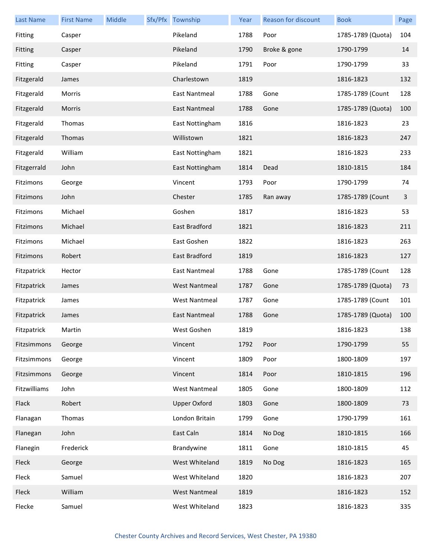| <b>Last Name</b> | <b>First Name</b> | Middle | Sfx/Pfx Township     | Year | Reason for discount | <b>Book</b>       | Page |
|------------------|-------------------|--------|----------------------|------|---------------------|-------------------|------|
| Fitting          | Casper            |        | Pikeland             | 1788 | Poor                | 1785-1789 (Quota) | 104  |
| Fitting          | Casper            |        | Pikeland             | 1790 | Broke & gone        | 1790-1799         | 14   |
| Fitting          | Casper            |        | Pikeland             | 1791 | Poor                | 1790-1799         | 33   |
| Fitzgerald       | James             |        | Charlestown          | 1819 |                     | 1816-1823         | 132  |
| Fitzgerald       | Morris            |        | East Nantmeal        | 1788 | Gone                | 1785-1789 (Count  | 128  |
| Fitzgerald       | Morris            |        | <b>East Nantmeal</b> | 1788 | Gone                | 1785-1789 (Quota) | 100  |
| Fitzgerald       | Thomas            |        | East Nottingham      | 1816 |                     | 1816-1823         | 23   |
| Fitzgerald       | Thomas            |        | Willistown           | 1821 |                     | 1816-1823         | 247  |
| Fitzgerald       | William           |        | East Nottingham      | 1821 |                     | 1816-1823         | 233  |
| Fitzgerrald      | John              |        | East Nottingham      | 1814 | Dead                | 1810-1815         | 184  |
| Fitzimons        | George            |        | Vincent              | 1793 | Poor                | 1790-1799         | 74   |
| Fitzimons        | John              |        | Chester              | 1785 | Ran away            | 1785-1789 (Count  | 3    |
| Fitzimons        | Michael           |        | Goshen               | 1817 |                     | 1816-1823         | 53   |
| Fitzimons        | Michael           |        | East Bradford        | 1821 |                     | 1816-1823         | 211  |
| Fitzimons        | Michael           |        | East Goshen          | 1822 |                     | 1816-1823         | 263  |
| Fitzimons        | Robert            |        | East Bradford        | 1819 |                     | 1816-1823         | 127  |
| Fitzpatrick      | Hector            |        | East Nantmeal        | 1788 | Gone                | 1785-1789 (Count  | 128  |
| Fitzpatrick      | James             |        | <b>West Nantmeal</b> | 1787 | Gone                | 1785-1789 (Quota) | 73   |
| Fitzpatrick      | James             |        | <b>West Nantmeal</b> | 1787 | Gone                | 1785-1789 (Count  | 101  |
| Fitzpatrick      | James             |        | <b>East Nantmeal</b> | 1788 | Gone                | 1785-1789 (Quota) | 100  |
| Fitzpatrick      | Martin            |        | West Goshen          | 1819 |                     | 1816-1823         | 138  |
| Fitzsimmons      | George            |        | Vincent              | 1792 | Poor                | 1790-1799         | 55   |
| Fitzsimmons      | George            |        | Vincent              | 1809 | Poor                | 1800-1809         | 197  |
| Fitzsimmons      | George            |        | Vincent              | 1814 | Poor                | 1810-1815         | 196  |
| Fitzwilliams     | John              |        | <b>West Nantmeal</b> | 1805 | Gone                | 1800-1809         | 112  |
| Flack            | Robert            |        | <b>Upper Oxford</b>  | 1803 | Gone                | 1800-1809         | 73   |
| Flanagan         | Thomas            |        | London Britain       | 1799 | Gone                | 1790-1799         | 161  |
| Flanegan         | John              |        | East Caln            | 1814 | No Dog              | 1810-1815         | 166  |
| Flanegin         | Frederick         |        | Brandywine           | 1811 | Gone                | 1810-1815         | 45   |
| Fleck            | George            |        | West Whiteland       | 1819 | No Dog              | 1816-1823         | 165  |
| Fleck            | Samuel            |        | West Whiteland       | 1820 |                     | 1816-1823         | 207  |
| Fleck            | William           |        | <b>West Nantmeal</b> | 1819 |                     | 1816-1823         | 152  |
| Flecke           | Samuel            |        | West Whiteland       | 1823 |                     | 1816-1823         | 335  |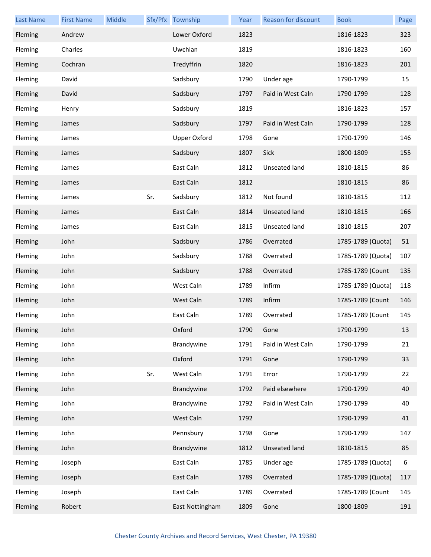| <b>Last Name</b> | <b>First Name</b> | Middle |     | Sfx/Pfx Township    | Year | Reason for discount  | <b>Book</b>       | Page |
|------------------|-------------------|--------|-----|---------------------|------|----------------------|-------------------|------|
| Fleming          | Andrew            |        |     | Lower Oxford        | 1823 |                      | 1816-1823         | 323  |
| Fleming          | Charles           |        |     | Uwchlan             | 1819 |                      | 1816-1823         | 160  |
| Fleming          | Cochran           |        |     | Tredyffrin          | 1820 |                      | 1816-1823         | 201  |
| Fleming          | David             |        |     | Sadsbury            | 1790 | Under age            | 1790-1799         | 15   |
| Fleming          | David             |        |     | Sadsbury            | 1797 | Paid in West Caln    | 1790-1799         | 128  |
| Fleming          | Henry             |        |     | Sadsbury            | 1819 |                      | 1816-1823         | 157  |
| Fleming          | James             |        |     | Sadsbury            | 1797 | Paid in West Caln    | 1790-1799         | 128  |
| Fleming          | James             |        |     | <b>Upper Oxford</b> | 1798 | Gone                 | 1790-1799         | 146  |
| Fleming          | James             |        |     | Sadsbury            | 1807 | Sick                 | 1800-1809         | 155  |
| Fleming          | James             |        |     | East Caln           | 1812 | Unseated land        | 1810-1815         | 86   |
| Fleming          | James             |        |     | East Caln           | 1812 |                      | 1810-1815         | 86   |
| Fleming          | James             |        | Sr. | Sadsbury            | 1812 | Not found            | 1810-1815         | 112  |
| Fleming          | James             |        |     | East Caln           | 1814 | <b>Unseated land</b> | 1810-1815         | 166  |
| Fleming          | James             |        |     | East Caln           | 1815 | <b>Unseated land</b> | 1810-1815         | 207  |
| Fleming          | John              |        |     | Sadsbury            | 1786 | Overrated            | 1785-1789 (Quota) | 51   |
| Fleming          | John              |        |     | Sadsbury            | 1788 | Overrated            | 1785-1789 (Quota) | 107  |
| Fleming          | John              |        |     | Sadsbury            | 1788 | Overrated            | 1785-1789 (Count  | 135  |
| Fleming          | John              |        |     | West Caln           | 1789 | Infirm               | 1785-1789 (Quota) | 118  |
| Fleming          | John              |        |     | West Caln           | 1789 | Infirm               | 1785-1789 (Count  | 146  |
| Fleming          | John              |        |     | East Caln           | 1789 | Overrated            | 1785-1789 (Count  | 145  |
| Fleming          | John              |        |     | Oxford              | 1790 | Gone                 | 1790-1799         | 13   |
| Fleming          | John              |        |     | Brandywine          | 1791 | Paid in West Caln    | 1790-1799         | 21   |
| Fleming          | John              |        |     | Oxford              | 1791 | Gone                 | 1790-1799         | 33   |
| Fleming          | John              |        | Sr. | West Caln           | 1791 | Error                | 1790-1799         | 22   |
| Fleming          | John              |        |     | Brandywine          | 1792 | Paid elsewhere       | 1790-1799         | 40   |
| Fleming          | John              |        |     | Brandywine          | 1792 | Paid in West Caln    | 1790-1799         | 40   |
| Fleming          | John              |        |     | West Caln           | 1792 |                      | 1790-1799         | 41   |
| Fleming          | John              |        |     | Pennsbury           | 1798 | Gone                 | 1790-1799         | 147  |
| Fleming          | John              |        |     | Brandywine          | 1812 | <b>Unseated land</b> | 1810-1815         | 85   |
| Fleming          | Joseph            |        |     | East Caln           | 1785 | Under age            | 1785-1789 (Quota) | 6    |
| Fleming          | Joseph            |        |     | East Caln           | 1789 | Overrated            | 1785-1789 (Quota) | 117  |
| Fleming          | Joseph            |        |     | East Caln           | 1789 | Overrated            | 1785-1789 (Count  | 145  |
| Fleming          | Robert            |        |     | East Nottingham     | 1809 | Gone                 | 1800-1809         | 191  |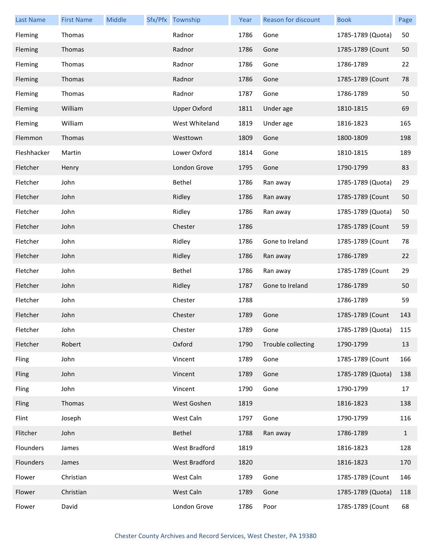| <b>Last Name</b> | <b>First Name</b> | Middle | Sfx/Pfx Township    | Year | Reason for discount | <b>Book</b>       | Page         |
|------------------|-------------------|--------|---------------------|------|---------------------|-------------------|--------------|
| Fleming          | Thomas            |        | Radnor              | 1786 | Gone                | 1785-1789 (Quota) | 50           |
| Fleming          | Thomas            |        | Radnor              | 1786 | Gone                | 1785-1789 (Count  | 50           |
| Fleming          | Thomas            |        | Radnor              | 1786 | Gone                | 1786-1789         | 22           |
| Fleming          | Thomas            |        | Radnor              | 1786 | Gone                | 1785-1789 (Count  | 78           |
| Fleming          | Thomas            |        | Radnor              | 1787 | Gone                | 1786-1789         | 50           |
| Fleming          | William           |        | <b>Upper Oxford</b> | 1811 | Under age           | 1810-1815         | 69           |
| Fleming          | William           |        | West Whiteland      | 1819 | Under age           | 1816-1823         | 165          |
| Flemmon          | Thomas            |        | Westtown            | 1809 | Gone                | 1800-1809         | 198          |
| Fleshhacker      | Martin            |        | Lower Oxford        | 1814 | Gone                | 1810-1815         | 189          |
| Fletcher         | Henry             |        | London Grove        | 1795 | Gone                | 1790-1799         | 83           |
| Fletcher         | John              |        | Bethel              | 1786 | Ran away            | 1785-1789 (Quota) | 29           |
| Fletcher         | John              |        | Ridley              | 1786 | Ran away            | 1785-1789 (Count  | 50           |
| Fletcher         | John              |        | Ridley              | 1786 | Ran away            | 1785-1789 (Quota) | 50           |
| Fletcher         | John              |        | Chester             | 1786 |                     | 1785-1789 (Count  | 59           |
| Fletcher         | John              |        | Ridley              | 1786 | Gone to Ireland     | 1785-1789 (Count  | 78           |
| Fletcher         | John              |        | Ridley              | 1786 | Ran away            | 1786-1789         | 22           |
| Fletcher         | John              |        | Bethel              | 1786 | Ran away            | 1785-1789 (Count  | 29           |
| Fletcher         | John              |        | Ridley              | 1787 | Gone to Ireland     | 1786-1789         | 50           |
| Fletcher         | John              |        | Chester             | 1788 |                     | 1786-1789         | 59           |
| Fletcher         | John              |        | Chester             | 1789 | Gone                | 1785-1789 (Count  | 143          |
| Fletcher         | John              |        | Chester             | 1789 | Gone                | 1785-1789 (Quota) | 115          |
| Fletcher         | Robert            |        | Oxford              | 1790 | Trouble collecting  | 1790-1799         | 13           |
| Fling            | John              |        | Vincent             | 1789 | Gone                | 1785-1789 (Count  | 166          |
| Fling            | John              |        | Vincent             | 1789 | Gone                | 1785-1789 (Quota) | 138          |
| Fling            | John              |        | Vincent             | 1790 | Gone                | 1790-1799         | 17           |
| Fling            | Thomas            |        | West Goshen         | 1819 |                     | 1816-1823         | 138          |
| Flint            | Joseph            |        | West Caln           | 1797 | Gone                | 1790-1799         | 116          |
| Flitcher         | John              |        | Bethel              | 1788 | Ran away            | 1786-1789         | $\mathbf{1}$ |
| Flounders        | James             |        | West Bradford       | 1819 |                     | 1816-1823         | 128          |
| Flounders        | James             |        | West Bradford       | 1820 |                     | 1816-1823         | 170          |
| Flower           | Christian         |        | West Caln           | 1789 | Gone                | 1785-1789 (Count  | 146          |
| Flower           | Christian         |        | West Caln           | 1789 | Gone                | 1785-1789 (Quota) | 118          |
| Flower           | David             |        | London Grove        | 1786 | Poor                | 1785-1789 (Count  | 68           |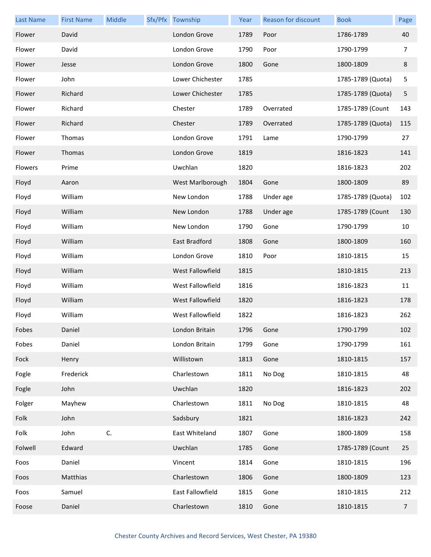| <b>Last Name</b> | <b>First Name</b> | Middle | Sfx/Pfx Township | Year | <b>Reason for discount</b> | <b>Book</b>       | Page           |
|------------------|-------------------|--------|------------------|------|----------------------------|-------------------|----------------|
| Flower           | David             |        | London Grove     | 1789 | Poor                       | 1786-1789         | 40             |
| Flower           | David             |        | London Grove     | 1790 | Poor                       | 1790-1799         | 7              |
| Flower           | Jesse             |        | London Grove     | 1800 | Gone                       | 1800-1809         | 8              |
| Flower           | John              |        | Lower Chichester | 1785 |                            | 1785-1789 (Quota) | 5              |
| Flower           | Richard           |        | Lower Chichester | 1785 |                            | 1785-1789 (Quota) | 5              |
| Flower           | Richard           |        | Chester          | 1789 | Overrated                  | 1785-1789 (Count  | 143            |
| Flower           | Richard           |        | Chester          | 1789 | Overrated                  | 1785-1789 (Quota) | 115            |
| Flower           | Thomas            |        | London Grove     | 1791 | Lame                       | 1790-1799         | 27             |
| Flower           | Thomas            |        | London Grove     | 1819 |                            | 1816-1823         | 141            |
| Flowers          | Prime             |        | Uwchlan          | 1820 |                            | 1816-1823         | 202            |
| Floyd            | Aaron             |        | West Marlborough | 1804 | Gone                       | 1800-1809         | 89             |
| Floyd            | William           |        | New London       | 1788 | Under age                  | 1785-1789 (Quota) | 102            |
| Floyd            | William           |        | New London       | 1788 | Under age                  | 1785-1789 (Count  | 130            |
| Floyd            | William           |        | New London       | 1790 | Gone                       | 1790-1799         | 10             |
| Floyd            | William           |        | East Bradford    | 1808 | Gone                       | 1800-1809         | 160            |
| Floyd            | William           |        | London Grove     | 1810 | Poor                       | 1810-1815         | 15             |
| Floyd            | William           |        | West Fallowfield | 1815 |                            | 1810-1815         | 213            |
| Floyd            | William           |        | West Fallowfield | 1816 |                            | 1816-1823         | 11             |
| Floyd            | William           |        | West Fallowfield | 1820 |                            | 1816-1823         | 178            |
| Floyd            | William           |        | West Fallowfield | 1822 |                            | 1816-1823         | 262            |
| Fobes            | Daniel            |        | London Britain   | 1796 | Gone                       | 1790-1799         | 102            |
| Fobes            | Daniel            |        | London Britain   | 1799 | Gone                       | 1790-1799         | 161            |
| Fock             | Henry             |        | Willistown       | 1813 | Gone                       | 1810-1815         | 157            |
| Fogle            | Frederick         |        | Charlestown      | 1811 | No Dog                     | 1810-1815         | 48             |
| Fogle            | John              |        | Uwchlan          | 1820 |                            | 1816-1823         | 202            |
| Folger           | Mayhew            |        | Charlestown      | 1811 | No Dog                     | 1810-1815         | 48             |
| Folk             | John              |        | Sadsbury         | 1821 |                            | 1816-1823         | 242            |
| Folk             | John              | C.     | East Whiteland   | 1807 | Gone                       | 1800-1809         | 158            |
| Folwell          | Edward            |        | Uwchlan          | 1785 | Gone                       | 1785-1789 (Count  | 25             |
| Foos             | Daniel            |        | Vincent          | 1814 | Gone                       | 1810-1815         | 196            |
| Foos             | Matthias          |        | Charlestown      | 1806 | Gone                       | 1800-1809         | 123            |
| Foos             | Samuel            |        | East Fallowfield | 1815 | Gone                       | 1810-1815         | 212            |
| Foose            | Daniel            |        | Charlestown      | 1810 | Gone                       | 1810-1815         | $\overline{7}$ |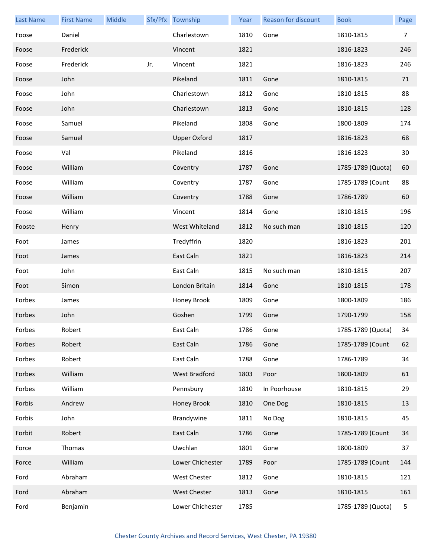| <b>Last Name</b> | <b>First Name</b> | Middle |     | Sfx/Pfx Township     | Year | Reason for discount | <b>Book</b>       | Page |
|------------------|-------------------|--------|-----|----------------------|------|---------------------|-------------------|------|
| Foose            | Daniel            |        |     | Charlestown          | 1810 | Gone                | 1810-1815         | 7    |
| Foose            | Frederick         |        |     | Vincent              | 1821 |                     | 1816-1823         | 246  |
| Foose            | Frederick         |        | Jr. | Vincent              | 1821 |                     | 1816-1823         | 246  |
| Foose            | John              |        |     | Pikeland             | 1811 | Gone                | 1810-1815         | 71   |
| Foose            | John              |        |     | Charlestown          | 1812 | Gone                | 1810-1815         | 88   |
| Foose            | John              |        |     | Charlestown          | 1813 | Gone                | 1810-1815         | 128  |
| Foose            | Samuel            |        |     | Pikeland             | 1808 | Gone                | 1800-1809         | 174  |
| Foose            | Samuel            |        |     | <b>Upper Oxford</b>  | 1817 |                     | 1816-1823         | 68   |
| Foose            | Val               |        |     | Pikeland             | 1816 |                     | 1816-1823         | 30   |
| Foose            | William           |        |     | Coventry             | 1787 | Gone                | 1785-1789 (Quota) | 60   |
| Foose            | William           |        |     | Coventry             | 1787 | Gone                | 1785-1789 (Count  | 88   |
| Foose            | William           |        |     | Coventry             | 1788 | Gone                | 1786-1789         | 60   |
| Foose            | William           |        |     | Vincent              | 1814 | Gone                | 1810-1815         | 196  |
| Fooste           | Henry             |        |     | West Whiteland       | 1812 | No such man         | 1810-1815         | 120  |
| Foot             | James             |        |     | Tredyffrin           | 1820 |                     | 1816-1823         | 201  |
| Foot             | James             |        |     | East Caln            | 1821 |                     | 1816-1823         | 214  |
| Foot             | John              |        |     | East Caln            | 1815 | No such man         | 1810-1815         | 207  |
| Foot             | Simon             |        |     | London Britain       | 1814 | Gone                | 1810-1815         | 178  |
| Forbes           | James             |        |     | Honey Brook          | 1809 | Gone                | 1800-1809         | 186  |
| Forbes           | John              |        |     | Goshen               | 1799 | Gone                | 1790-1799         | 158  |
| Forbes           | Robert            |        |     | East Caln            | 1786 | Gone                | 1785-1789 (Quota) | 34   |
| Forbes           | Robert            |        |     | East Caln            | 1786 | Gone                | 1785-1789 (Count  | 62   |
| Forbes           | Robert            |        |     | East Caln            | 1788 | Gone                | 1786-1789         | 34   |
| Forbes           | William           |        |     | <b>West Bradford</b> | 1803 | Poor                | 1800-1809         | 61   |
| Forbes           | William           |        |     | Pennsbury            | 1810 | In Poorhouse        | 1810-1815         | 29   |
| Forbis           | Andrew            |        |     | Honey Brook          | 1810 | One Dog             | 1810-1815         | 13   |
| Forbis           | John              |        |     | Brandywine           | 1811 | No Dog              | 1810-1815         | 45   |
| Forbit           | Robert            |        |     | East Caln            | 1786 | Gone                | 1785-1789 (Count  | 34   |
| Force            | Thomas            |        |     | Uwchlan              | 1801 | Gone                | 1800-1809         | 37   |
| Force            | William           |        |     | Lower Chichester     | 1789 | Poor                | 1785-1789 (Count  | 144  |
| Ford             | Abraham           |        |     | West Chester         | 1812 | Gone                | 1810-1815         | 121  |
| Ford             | Abraham           |        |     | <b>West Chester</b>  | 1813 | Gone                | 1810-1815         | 161  |
| Ford             | Benjamin          |        |     | Lower Chichester     | 1785 |                     | 1785-1789 (Quota) | 5    |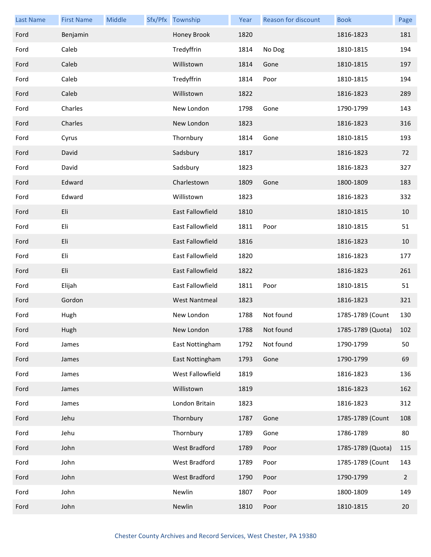| <b>Last Name</b> | <b>First Name</b> | Middle | Sfx/Pfx Township     | Year | Reason for discount | <b>Book</b>       | Page           |
|------------------|-------------------|--------|----------------------|------|---------------------|-------------------|----------------|
| Ford             | Benjamin          |        | Honey Brook          | 1820 |                     | 1816-1823         | 181            |
| Ford             | Caleb             |        | Tredyffrin           | 1814 | No Dog              | 1810-1815         | 194            |
| Ford             | Caleb             |        | Willistown           | 1814 | Gone                | 1810-1815         | 197            |
| Ford             | Caleb             |        | Tredyffrin           | 1814 | Poor                | 1810-1815         | 194            |
| Ford             | Caleb             |        | Willistown           | 1822 |                     | 1816-1823         | 289            |
| Ford             | Charles           |        | New London           | 1798 | Gone                | 1790-1799         | 143            |
| Ford             | Charles           |        | New London           | 1823 |                     | 1816-1823         | 316            |
| Ford             | Cyrus             |        | Thornbury            | 1814 | Gone                | 1810-1815         | 193            |
| Ford             | David             |        | Sadsbury             | 1817 |                     | 1816-1823         | 72             |
| Ford             | David             |        | Sadsbury             | 1823 |                     | 1816-1823         | 327            |
| Ford             | Edward            |        | Charlestown          | 1809 | Gone                | 1800-1809         | 183            |
| Ford             | Edward            |        | Willistown           | 1823 |                     | 1816-1823         | 332            |
| Ford             | Eli               |        | East Fallowfield     | 1810 |                     | 1810-1815         | 10             |
| Ford             | Eli               |        | East Fallowfield     | 1811 | Poor                | 1810-1815         | 51             |
| Ford             | Eli               |        | East Fallowfield     | 1816 |                     | 1816-1823         | 10             |
| Ford             | Eli               |        | East Fallowfield     | 1820 |                     | 1816-1823         | 177            |
| Ford             | Eli               |        | East Fallowfield     | 1822 |                     | 1816-1823         | 261            |
| Ford             | Elijah            |        | East Fallowfield     | 1811 | Poor                | 1810-1815         | 51             |
| Ford             | Gordon            |        | <b>West Nantmeal</b> | 1823 |                     | 1816-1823         | 321            |
| Ford             | Hugh              |        | New London           | 1788 | Not found           | 1785-1789 (Count  | 130            |
| Ford             | Hugh              |        | New London           | 1788 | Not found           | 1785-1789 (Quota) | 102            |
| Ford             | James             |        | East Nottingham      | 1792 | Not found           | 1790-1799         | 50             |
| Ford             | James             |        | East Nottingham      | 1793 | Gone                | 1790-1799         | 69             |
| Ford             | James             |        | West Fallowfield     | 1819 |                     | 1816-1823         | 136            |
| Ford             | James             |        | Willistown           | 1819 |                     | 1816-1823         | 162            |
| Ford             | James             |        | London Britain       | 1823 |                     | 1816-1823         | 312            |
| Ford             | Jehu              |        | Thornbury            | 1787 | Gone                | 1785-1789 (Count  | 108            |
| Ford             | Jehu              |        | Thornbury            | 1789 | Gone                | 1786-1789         | 80             |
| Ford             | John              |        | West Bradford        | 1789 | Poor                | 1785-1789 (Quota) | 115            |
| Ford             | John              |        | West Bradford        | 1789 | Poor                | 1785-1789 (Count  | 143            |
| Ford             | John              |        | West Bradford        | 1790 | Poor                | 1790-1799         | $\overline{2}$ |
| Ford             | John              |        | Newlin               | 1807 | Poor                | 1800-1809         | 149            |
| Ford             | John              |        | Newlin               | 1810 | Poor                | 1810-1815         | 20             |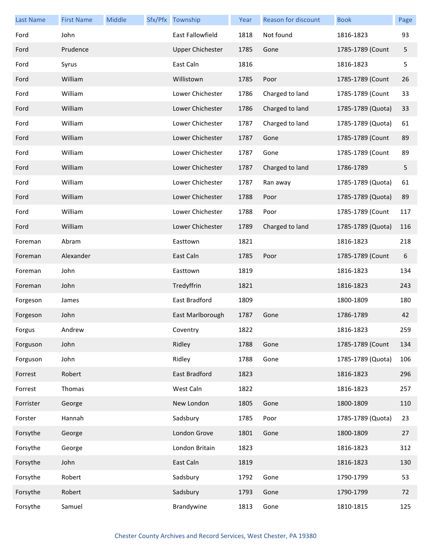| <b>Last Name</b> | <b>First Name</b> | Middle | Sfx/Pfx Township        | Year | <b>Reason for discount</b> | <b>Book</b>       | Page |
|------------------|-------------------|--------|-------------------------|------|----------------------------|-------------------|------|
| Ford             | John              |        | East Fallowfield        | 1818 | Not found                  | 1816-1823         | 93   |
| Ford             | Prudence          |        | <b>Upper Chichester</b> | 1785 | Gone                       | 1785-1789 (Count  | 5    |
| Ford             | Syrus             |        | East Caln               | 1816 |                            | 1816-1823         | 5    |
| Ford             | William           |        | Willistown              | 1785 | Poor                       | 1785-1789 (Count  | 26   |
| Ford             | William           |        | Lower Chichester        | 1786 | Charged to land            | 1785-1789 (Count  | 33   |
| Ford             | William           |        | Lower Chichester        | 1786 | Charged to land            | 1785-1789 (Quota) | 33   |
| Ford             | William           |        | Lower Chichester        | 1787 | Charged to land            | 1785-1789 (Quota) | 61   |
| Ford             | William           |        | Lower Chichester        | 1787 | Gone                       | 1785-1789 (Count  | 89   |
| Ford             | William           |        | Lower Chichester        | 1787 | Gone                       | 1785-1789 (Count  | 89   |
| Ford             | William           |        | Lower Chichester        | 1787 | Charged to land            | 1786-1789         | 5    |
| Ford             | William           |        | Lower Chichester        | 1787 | Ran away                   | 1785-1789 (Quota) | 61   |
| Ford             | William           |        | Lower Chichester        | 1788 | Poor                       | 1785-1789 (Quota) | 89   |
| Ford             | William           |        | Lower Chichester        | 1788 | Poor                       | 1785-1789 (Count  | 117  |
| Ford             | William           |        | Lower Chichester        | 1789 | Charged to land            | 1785-1789 (Quota) | 116  |
| Foreman          | Abram             |        | Easttown                | 1821 |                            | 1816-1823         | 218  |
| Foreman          | Alexander         |        | East Caln               | 1785 | Poor                       | 1785-1789 (Count  | 6    |
| Foreman          | John              |        | Easttown                | 1819 |                            | 1816-1823         | 134  |
| Foreman          | John              |        | Tredyffrin              | 1821 |                            | 1816-1823         | 243  |
| Forgeson         | James             |        | East Bradford           | 1809 |                            | 1800-1809         | 180  |
| Forgeson         | John              |        | East Marlborough        | 1787 | Gone                       | 1786-1789         | 42   |
| Forgus           | Andrew            |        | Coventry                | 1822 |                            | 1816-1823         | 259  |
| Forguson         | John              |        | Ridley                  | 1788 | Gone                       | 1785-1789 (Count  | 134  |
| Forguson         | John              |        | Ridley                  | 1788 | Gone                       | 1785-1789 (Quota) | 106  |
| Forrest          | Robert            |        | East Bradford           | 1823 |                            | 1816-1823         | 296  |
| Forrest          | Thomas            |        | West Caln               | 1822 |                            | 1816-1823         | 257  |
| Forrister        | George            |        | New London              | 1805 | Gone                       | 1800-1809         | 110  |
| Forster          | Hannah            |        | Sadsbury                | 1785 | Poor                       | 1785-1789 (Quota) | 23   |
| Forsythe         | George            |        | London Grove            | 1801 | Gone                       | 1800-1809         | 27   |
| Forsythe         | George            |        | London Britain          | 1823 |                            | 1816-1823         | 312  |
| Forsythe         | John              |        | East Caln               | 1819 |                            | 1816-1823         | 130  |
| Forsythe         | Robert            |        | Sadsbury                | 1792 | Gone                       | 1790-1799         | 53   |
| Forsythe         | Robert            |        | Sadsbury                | 1793 | Gone                       | 1790-1799         | 72   |
| Forsythe         | Samuel            |        | Brandywine              | 1813 | Gone                       | 1810-1815         | 125  |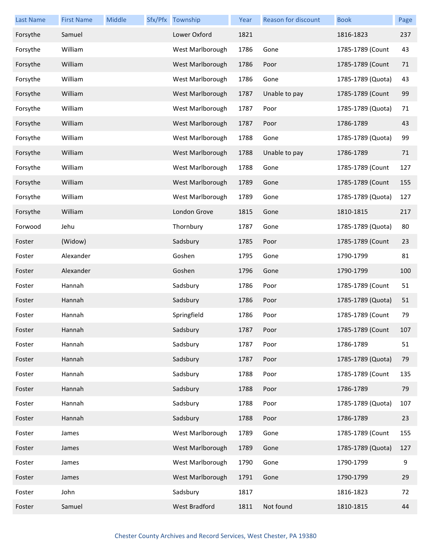| <b>Last Name</b> | <b>First Name</b> | Middle | Sfx/Pfx Township     | Year | Reason for discount | <b>Book</b>       | Page |
|------------------|-------------------|--------|----------------------|------|---------------------|-------------------|------|
| Forsythe         | Samuel            |        | Lower Oxford         | 1821 |                     | 1816-1823         | 237  |
| Forsythe         | William           |        | West Marlborough     | 1786 | Gone                | 1785-1789 (Count  | 43   |
| Forsythe         | William           |        | West Marlborough     | 1786 | Poor                | 1785-1789 (Count  | 71   |
| Forsythe         | William           |        | West Marlborough     | 1786 | Gone                | 1785-1789 (Quota) | 43   |
| Forsythe         | William           |        | West Marlborough     | 1787 | Unable to pay       | 1785-1789 (Count  | 99   |
| Forsythe         | William           |        | West Marlborough     | 1787 | Poor                | 1785-1789 (Quota) | 71   |
| Forsythe         | William           |        | West Marlborough     | 1787 | Poor                | 1786-1789         | 43   |
| Forsythe         | William           |        | West Marlborough     | 1788 | Gone                | 1785-1789 (Quota) | 99   |
| Forsythe         | William           |        | West Marlborough     | 1788 | Unable to pay       | 1786-1789         | 71   |
| Forsythe         | William           |        | West Marlborough     | 1788 | Gone                | 1785-1789 (Count  | 127  |
| Forsythe         | William           |        | West Marlborough     | 1789 | Gone                | 1785-1789 (Count  | 155  |
| Forsythe         | William           |        | West Marlborough     | 1789 | Gone                | 1785-1789 (Quota) | 127  |
| Forsythe         | William           |        | London Grove         | 1815 | Gone                | 1810-1815         | 217  |
| Forwood          | Jehu              |        | Thornbury            | 1787 | Gone                | 1785-1789 (Quota) | 80   |
| Foster           | (Widow)           |        | Sadsbury             | 1785 | Poor                | 1785-1789 (Count  | 23   |
| Foster           | Alexander         |        | Goshen               | 1795 | Gone                | 1790-1799         | 81   |
| Foster           | Alexander         |        | Goshen               | 1796 | Gone                | 1790-1799         | 100  |
| Foster           | Hannah            |        | Sadsbury             | 1786 | Poor                | 1785-1789 (Count  | 51   |
| Foster           | Hannah            |        | Sadsbury             | 1786 | Poor                | 1785-1789 (Quota) | 51   |
| Foster           | Hannah            |        | Springfield          | 1786 | Poor                | 1785-1789 (Count  | 79   |
| Foster           | Hannah            |        | Sadsbury             | 1787 | Poor                | 1785-1789 (Count  | 107  |
| Foster           | Hannah            |        | Sadsbury             | 1787 | Poor                | 1786-1789         | 51   |
| Foster           | Hannah            |        | Sadsbury             | 1787 | Poor                | 1785-1789 (Quota) | 79   |
| Foster           | Hannah            |        | Sadsbury             | 1788 | Poor                | 1785-1789 (Count  | 135  |
| Foster           | Hannah            |        | Sadsbury             | 1788 | Poor                | 1786-1789         | 79   |
| Foster           | Hannah            |        | Sadsbury             | 1788 | Poor                | 1785-1789 (Quota) | 107  |
| Foster           | Hannah            |        | Sadsbury             | 1788 | Poor                | 1786-1789         | 23   |
| Foster           | James             |        | West Marlborough     | 1789 | Gone                | 1785-1789 (Count  | 155  |
| Foster           | James             |        | West Marlborough     | 1789 | Gone                | 1785-1789 (Quota) | 127  |
| Foster           | James             |        | West Marlborough     | 1790 | Gone                | 1790-1799         | 9    |
| Foster           | James             |        | West Marlborough     | 1791 | Gone                | 1790-1799         | 29   |
| Foster           | John              |        | Sadsbury             | 1817 |                     | 1816-1823         | 72   |
| Foster           | Samuel            |        | <b>West Bradford</b> | 1811 | Not found           | 1810-1815         | 44   |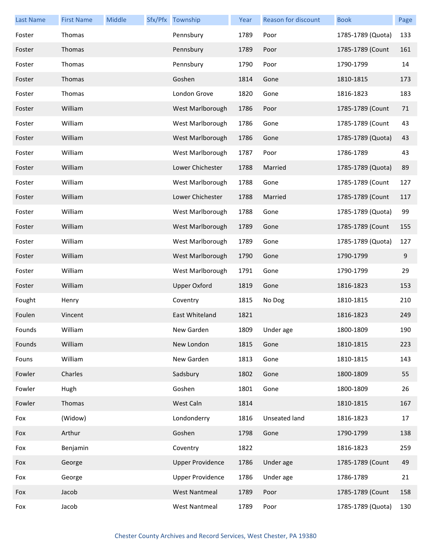| <b>Last Name</b> | <b>First Name</b> | Middle | Sfx/Pfx Township        | Year | Reason for discount  | <b>Book</b>       | Page |
|------------------|-------------------|--------|-------------------------|------|----------------------|-------------------|------|
| Foster           | Thomas            |        | Pennsbury               | 1789 | Poor                 | 1785-1789 (Quota) | 133  |
| Foster           | Thomas            |        | Pennsbury               | 1789 | Poor                 | 1785-1789 (Count  | 161  |
| Foster           | Thomas            |        | Pennsbury               | 1790 | Poor                 | 1790-1799         | 14   |
| Foster           | Thomas            |        | Goshen                  | 1814 | Gone                 | 1810-1815         | 173  |
| Foster           | Thomas            |        | London Grove            | 1820 | Gone                 | 1816-1823         | 183  |
| Foster           | William           |        | West Marlborough        | 1786 | Poor                 | 1785-1789 (Count  | 71   |
| Foster           | William           |        | West Marlborough        | 1786 | Gone                 | 1785-1789 (Count  | 43   |
| Foster           | William           |        | West Marlborough        | 1786 | Gone                 | 1785-1789 (Quota) | 43   |
| Foster           | William           |        | West Marlborough        | 1787 | Poor                 | 1786-1789         | 43   |
| Foster           | William           |        | Lower Chichester        | 1788 | Married              | 1785-1789 (Quota) | 89   |
| Foster           | William           |        | West Marlborough        | 1788 | Gone                 | 1785-1789 (Count  | 127  |
| Foster           | William           |        | Lower Chichester        | 1788 | Married              | 1785-1789 (Count  | 117  |
| Foster           | William           |        | West Marlborough        | 1788 | Gone                 | 1785-1789 (Quota) | 99   |
| Foster           | William           |        | West Marlborough        | 1789 | Gone                 | 1785-1789 (Count  | 155  |
| Foster           | William           |        | West Marlborough        | 1789 | Gone                 | 1785-1789 (Quota) | 127  |
| Foster           | William           |        | West Marlborough        | 1790 | Gone                 | 1790-1799         | 9    |
| Foster           | William           |        | West Marlborough        | 1791 | Gone                 | 1790-1799         | 29   |
| Foster           | William           |        | <b>Upper Oxford</b>     | 1819 | Gone                 | 1816-1823         | 153  |
| Fought           | Henry             |        | Coventry                | 1815 | No Dog               | 1810-1815         | 210  |
| Foulen           | Vincent           |        | East Whiteland          | 1821 |                      | 1816-1823         | 249  |
| Founds           | William           |        | New Garden              | 1809 | Under age            | 1800-1809         | 190  |
| Founds           | William           |        | New London              | 1815 | Gone                 | 1810-1815         | 223  |
| Founs            | William           |        | New Garden              | 1813 | Gone                 | 1810-1815         | 143  |
| Fowler           | Charles           |        | Sadsbury                | 1802 | Gone                 | 1800-1809         | 55   |
| Fowler           | Hugh              |        | Goshen                  | 1801 | Gone                 | 1800-1809         | 26   |
| Fowler           | Thomas            |        | West Caln               | 1814 |                      | 1810-1815         | 167  |
| Fox              | (Widow)           |        | Londonderry             | 1816 | <b>Unseated land</b> | 1816-1823         | 17   |
| Fox              | Arthur            |        | Goshen                  | 1798 | Gone                 | 1790-1799         | 138  |
| Fox              | Benjamin          |        | Coventry                | 1822 |                      | 1816-1823         | 259  |
| Fox              | George            |        | <b>Upper Providence</b> | 1786 | Under age            | 1785-1789 (Count  | 49   |
| Fox              | George            |        | <b>Upper Providence</b> | 1786 | Under age            | 1786-1789         | 21   |
| Fox              | Jacob             |        | <b>West Nantmeal</b>    | 1789 | Poor                 | 1785-1789 (Count  | 158  |
| Fox              | Jacob             |        | West Nantmeal           | 1789 | Poor                 | 1785-1789 (Quota) | 130  |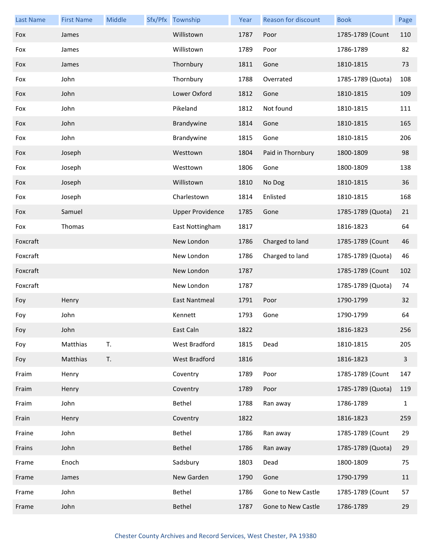| <b>Last Name</b> | <b>First Name</b> | Middle | Sfx/Pfx Township        | Year | <b>Reason for discount</b> | <b>Book</b>       | Page           |
|------------------|-------------------|--------|-------------------------|------|----------------------------|-------------------|----------------|
| Fox              | James             |        | Willistown              | 1787 | Poor                       | 1785-1789 (Count  | 110            |
| Fox              | James             |        | Willistown              | 1789 | Poor                       | 1786-1789         | 82             |
| Fox              | James             |        | Thornbury               | 1811 | Gone                       | 1810-1815         | 73             |
| Fox              | John              |        | Thornbury               | 1788 | Overrated                  | 1785-1789 (Quota) | 108            |
| Fox              | John              |        | Lower Oxford            | 1812 | Gone                       | 1810-1815         | 109            |
| Fox              | John              |        | Pikeland                | 1812 | Not found                  | 1810-1815         | 111            |
| Fox              | John              |        | Brandywine              | 1814 | Gone                       | 1810-1815         | 165            |
| Fox              | John              |        | Brandywine              | 1815 | Gone                       | 1810-1815         | 206            |
| Fox              | Joseph            |        | Westtown                | 1804 | Paid in Thornbury          | 1800-1809         | 98             |
| Fox              | Joseph            |        | Westtown                | 1806 | Gone                       | 1800-1809         | 138            |
| Fox              | Joseph            |        | Willistown              | 1810 | No Dog                     | 1810-1815         | 36             |
| Fox              | Joseph            |        | Charlestown             | 1814 | Enlisted                   | 1810-1815         | 168            |
| Fox              | Samuel            |        | <b>Upper Providence</b> | 1785 | Gone                       | 1785-1789 (Quota) | 21             |
| Fox              | Thomas            |        | East Nottingham         | 1817 |                            | 1816-1823         | 64             |
| Foxcraft         |                   |        | New London              | 1786 | Charged to land            | 1785-1789 (Count  | 46             |
| Foxcraft         |                   |        | New London              | 1786 | Charged to land            | 1785-1789 (Quota) | 46             |
| Foxcraft         |                   |        | New London              | 1787 |                            | 1785-1789 (Count  | 102            |
| Foxcraft         |                   |        | New London              | 1787 |                            | 1785-1789 (Quota) | 74             |
| Foy              | Henry             |        | <b>East Nantmeal</b>    | 1791 | Poor                       | 1790-1799         | 32             |
| Foy              | John              |        | Kennett                 | 1793 | Gone                       | 1790-1799         | 64             |
| Foy              | John              |        | East Caln               | 1822 |                            | 1816-1823         | 256            |
| Foy              | Matthias          | T.     | West Bradford           | 1815 | Dead                       | 1810-1815         | 205            |
| Foy              | Matthias          | T.     | <b>West Bradford</b>    | 1816 |                            | 1816-1823         | $\overline{3}$ |
| Fraim            | Henry             |        | Coventry                | 1789 | Poor                       | 1785-1789 (Count  | 147            |
| Fraim            | Henry             |        | Coventry                | 1789 | Poor                       | 1785-1789 (Quota) | 119            |
| Fraim            | John              |        | Bethel                  | 1788 | Ran away                   | 1786-1789         | $\mathbf{1}$   |
| Frain            | Henry             |        | Coventry                | 1822 |                            | 1816-1823         | 259            |
| Fraine           | John              |        | Bethel                  | 1786 | Ran away                   | 1785-1789 (Count  | 29             |
| Frains           | John              |        | Bethel                  | 1786 | Ran away                   | 1785-1789 (Quota) | 29             |
| Frame            | Enoch             |        | Sadsbury                | 1803 | Dead                       | 1800-1809         | 75             |
| Frame            | James             |        | New Garden              | 1790 | Gone                       | 1790-1799         | 11             |
| Frame            | John              |        | Bethel                  | 1786 | Gone to New Castle         | 1785-1789 (Count  | 57             |
| Frame            | John              |        | Bethel                  | 1787 | Gone to New Castle         | 1786-1789         | 29             |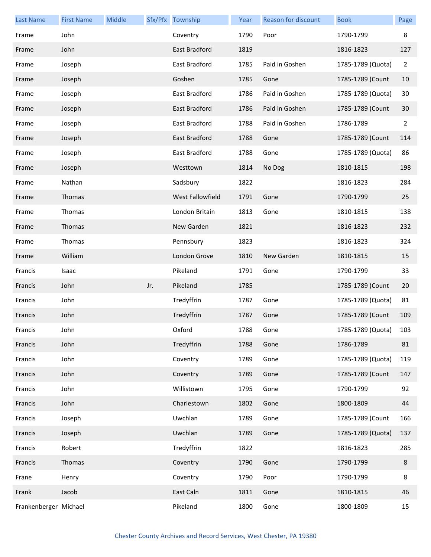| <b>Last Name</b>      | <b>First Name</b> | Middle |     | Sfx/Pfx Township | Year | Reason for discount | <b>Book</b>       | Page           |
|-----------------------|-------------------|--------|-----|------------------|------|---------------------|-------------------|----------------|
| Frame                 | John              |        |     | Coventry         | 1790 | Poor                | 1790-1799         | 8              |
| Frame                 | John              |        |     | East Bradford    | 1819 |                     | 1816-1823         | 127            |
| Frame                 | Joseph            |        |     | East Bradford    | 1785 | Paid in Goshen      | 1785-1789 (Quota) | $\overline{2}$ |
| Frame                 | Joseph            |        |     | Goshen           | 1785 | Gone                | 1785-1789 (Count  | 10             |
| Frame                 | Joseph            |        |     | East Bradford    | 1786 | Paid in Goshen      | 1785-1789 (Quota) | 30             |
| Frame                 | Joseph            |        |     | East Bradford    | 1786 | Paid in Goshen      | 1785-1789 (Count  | 30             |
| Frame                 | Joseph            |        |     | East Bradford    | 1788 | Paid in Goshen      | 1786-1789         | $\overline{2}$ |
| Frame                 | Joseph            |        |     | East Bradford    | 1788 | Gone                | 1785-1789 (Count  | 114            |
| Frame                 | Joseph            |        |     | East Bradford    | 1788 | Gone                | 1785-1789 (Quota) | 86             |
| Frame                 | Joseph            |        |     | Westtown         | 1814 | No Dog              | 1810-1815         | 198            |
| Frame                 | Nathan            |        |     | Sadsbury         | 1822 |                     | 1816-1823         | 284            |
| Frame                 | Thomas            |        |     | West Fallowfield | 1791 | Gone                | 1790-1799         | 25             |
| Frame                 | Thomas            |        |     | London Britain   | 1813 | Gone                | 1810-1815         | 138            |
| Frame                 | Thomas            |        |     | New Garden       | 1821 |                     | 1816-1823         | 232            |
| Frame                 | Thomas            |        |     | Pennsbury        | 1823 |                     | 1816-1823         | 324            |
| Frame                 | William           |        |     | London Grove     | 1810 | New Garden          | 1810-1815         | 15             |
| Francis               | Isaac             |        |     | Pikeland         | 1791 | Gone                | 1790-1799         | 33             |
| Francis               | John              |        | Jr. | Pikeland         | 1785 |                     | 1785-1789 (Count  | 20             |
| Francis               | John              |        |     | Tredyffrin       | 1787 | Gone                | 1785-1789 (Quota) | 81             |
| Francis               | John              |        |     | Tredyffrin       | 1787 | Gone                | 1785-1789 (Count  | 109            |
| Francis               | John              |        |     | Oxford           | 1788 | Gone                | 1785-1789 (Quota) | 103            |
| Francis               | John              |        |     | Tredyffrin       | 1788 | Gone                | 1786-1789         | 81             |
| Francis               | John              |        |     | Coventry         | 1789 | Gone                | 1785-1789 (Quota) | 119            |
| Francis               | John              |        |     | Coventry         | 1789 | Gone                | 1785-1789 (Count  | 147            |
| Francis               | John              |        |     | Willistown       | 1795 | Gone                | 1790-1799         | 92             |
| Francis               | John              |        |     | Charlestown      | 1802 | Gone                | 1800-1809         | 44             |
| Francis               | Joseph            |        |     | Uwchlan          | 1789 | Gone                | 1785-1789 (Count  | 166            |
| Francis               | Joseph            |        |     | Uwchlan          | 1789 | Gone                | 1785-1789 (Quota) | 137            |
| Francis               | Robert            |        |     | Tredyffrin       | 1822 |                     | 1816-1823         | 285            |
| Francis               | Thomas            |        |     | Coventry         | 1790 | Gone                | 1790-1799         | 8              |
| Frane                 | Henry             |        |     | Coventry         | 1790 | Poor                | 1790-1799         | 8              |
| Frank                 | Jacob             |        |     | East Caln        | 1811 | Gone                | 1810-1815         | 46             |
| Frankenberger Michael |                   |        |     | Pikeland         | 1800 | Gone                | 1800-1809         | 15             |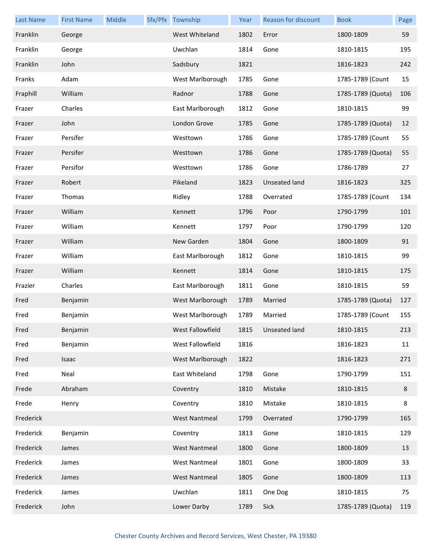| <b>Last Name</b> | <b>First Name</b> | Middle | Sfx/Pfx Township     | Year | Reason for discount  | <b>Book</b>       | Page |
|------------------|-------------------|--------|----------------------|------|----------------------|-------------------|------|
| Franklin         | George            |        | West Whiteland       | 1802 | Error                | 1800-1809         | 59   |
| Franklin         | George            |        | Uwchlan              | 1814 | Gone                 | 1810-1815         | 195  |
| Franklin         | John              |        | Sadsbury             | 1821 |                      | 1816-1823         | 242  |
| Franks           | Adam              |        | West Marlborough     | 1785 | Gone                 | 1785-1789 (Count  | 15   |
| Fraphill         | William           |        | Radnor               | 1788 | Gone                 | 1785-1789 (Quota) | 106  |
| Frazer           | Charles           |        | East Marlborough     | 1812 | Gone                 | 1810-1815         | 99   |
| Frazer           | John              |        | London Grove         | 1785 | Gone                 | 1785-1789 (Quota) | 12   |
| Frazer           | Persifer          |        | Westtown             | 1786 | Gone                 | 1785-1789 (Count  | 55   |
| Frazer           | Persifer          |        | Westtown             | 1786 | Gone                 | 1785-1789 (Quota) | 55   |
| Frazer           | Persifor          |        | Westtown             | 1786 | Gone                 | 1786-1789         | 27   |
| Frazer           | Robert            |        | Pikeland             | 1823 | <b>Unseated land</b> | 1816-1823         | 325  |
| Frazer           | Thomas            |        | Ridley               | 1788 | Overrated            | 1785-1789 (Count  | 134  |
| Frazer           | William           |        | Kennett              | 1796 | Poor                 | 1790-1799         | 101  |
| Frazer           | William           |        | Kennett              | 1797 | Poor                 | 1790-1799         | 120  |
| Frazer           | William           |        | New Garden           | 1804 | Gone                 | 1800-1809         | 91   |
| Frazer           | William           |        | East Marlborough     | 1812 | Gone                 | 1810-1815         | 99   |
| Frazer           | William           |        | Kennett              | 1814 | Gone                 | 1810-1815         | 175  |
| Frazier          | Charles           |        | East Marlborough     | 1811 | Gone                 | 1810-1815         | 59   |
| Fred             | Benjamin          |        | West Marlborough     | 1789 | Married              | 1785-1789 (Quota) | 127  |
| Fred             | Benjamin          |        | West Marlborough     | 1789 | Married              | 1785-1789 (Count  | 155  |
| Fred             | Benjamin          |        | West Fallowfield     | 1815 | Unseated land        | 1810-1815         | 213  |
| Fred             | Benjamin          |        | West Fallowfield     | 1816 |                      | 1816-1823         | 11   |
| Fred             | Isaac             |        | West Marlborough     | 1822 |                      | 1816-1823         | 271  |
| Fred             | Neal              |        | East Whiteland       | 1798 | Gone                 | 1790-1799         | 151  |
| Frede            | Abraham           |        | Coventry             | 1810 | Mistake              | 1810-1815         | 8    |
| Frede            | Henry             |        | Coventry             | 1810 | Mistake              | 1810-1815         | 8    |
| Frederick        |                   |        | <b>West Nantmeal</b> | 1799 | Overrated            | 1790-1799         | 165  |
| Frederick        | Benjamin          |        | Coventry             | 1813 | Gone                 | 1810-1815         | 129  |
| Frederick        | James             |        | <b>West Nantmeal</b> | 1800 | Gone                 | 1800-1809         | 13   |
| Frederick        | James             |        | <b>West Nantmeal</b> | 1801 | Gone                 | 1800-1809         | 33   |
| Frederick        | James             |        | <b>West Nantmeal</b> | 1805 | Gone                 | 1800-1809         | 113  |
| Frederick        | James             |        | Uwchlan              | 1811 | One Dog              | 1810-1815         | 75   |
| Frederick        | John              |        | Lower Darby          | 1789 | Sick                 | 1785-1789 (Quota) | 119  |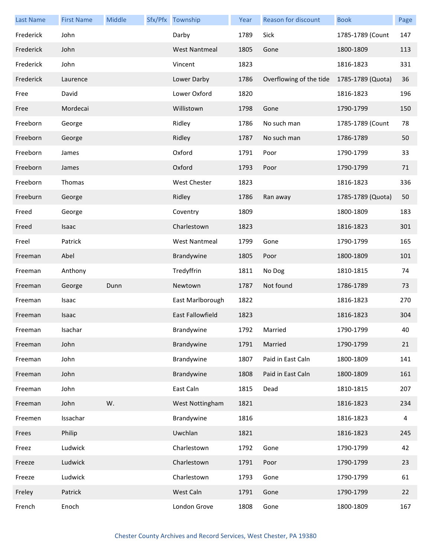| <b>Last Name</b> | <b>First Name</b> | Middle | Sfx/Pfx Township     | Year | Reason for discount     | <b>Book</b>       | Page |
|------------------|-------------------|--------|----------------------|------|-------------------------|-------------------|------|
| Frederick        | John              |        | Darby                | 1789 | Sick                    | 1785-1789 (Count  | 147  |
| Frederick        | John              |        | <b>West Nantmeal</b> | 1805 | Gone                    | 1800-1809         | 113  |
| Frederick        | John              |        | Vincent              | 1823 |                         | 1816-1823         | 331  |
| Frederick        | Laurence          |        | Lower Darby          | 1786 | Overflowing of the tide | 1785-1789 (Quota) | 36   |
| Free             | David             |        | Lower Oxford         | 1820 |                         | 1816-1823         | 196  |
| Free             | Mordecai          |        | Willistown           | 1798 | Gone                    | 1790-1799         | 150  |
| Freeborn         | George            |        | Ridley               | 1786 | No such man             | 1785-1789 (Count  | 78   |
| Freeborn         | George            |        | Ridley               | 1787 | No such man             | 1786-1789         | 50   |
| Freeborn         | James             |        | Oxford               | 1791 | Poor                    | 1790-1799         | 33   |
| Freeborn         | James             |        | Oxford               | 1793 | Poor                    | 1790-1799         | 71   |
| Freeborn         | Thomas            |        | <b>West Chester</b>  | 1823 |                         | 1816-1823         | 336  |
| Freeburn         | George            |        | Ridley               | 1786 | Ran away                | 1785-1789 (Quota) | 50   |
| Freed            | George            |        | Coventry             | 1809 |                         | 1800-1809         | 183  |
| Freed            | Isaac             |        | Charlestown          | 1823 |                         | 1816-1823         | 301  |
| Freel            | Patrick           |        | <b>West Nantmeal</b> | 1799 | Gone                    | 1790-1799         | 165  |
| Freeman          | Abel              |        | Brandywine           | 1805 | Poor                    | 1800-1809         | 101  |
| Freeman          | Anthony           |        | Tredyffrin           | 1811 | No Dog                  | 1810-1815         | 74   |
| Freeman          | George            | Dunn   | Newtown              | 1787 | Not found               | 1786-1789         | 73   |
| Freeman          | Isaac             |        | East Marlborough     | 1822 |                         | 1816-1823         | 270  |
| Freeman          | Isaac             |        | East Fallowfield     | 1823 |                         | 1816-1823         | 304  |
| Freeman          | Isachar           |        | Brandywine           | 1792 | Married                 | 1790-1799         | 40   |
| Freeman          | John              |        | Brandywine           | 1791 | Married                 | 1790-1799         | 21   |
| Freeman          | John              |        | Brandywine           | 1807 | Paid in East Caln       | 1800-1809         | 141  |
| Freeman          | John              |        | Brandywine           | 1808 | Paid in East Caln       | 1800-1809         | 161  |
| Freeman          | John              |        | East Caln            | 1815 | Dead                    | 1810-1815         | 207  |
| Freeman          | John              | W.     | West Nottingham      | 1821 |                         | 1816-1823         | 234  |
| Freemen          | Issachar          |        | Brandywine           | 1816 |                         | 1816-1823         | 4    |
| Frees            | Philip            |        | Uwchlan              | 1821 |                         | 1816-1823         | 245  |
| Freez            | Ludwick           |        | Charlestown          | 1792 | Gone                    | 1790-1799         | 42   |
| Freeze           | Ludwick           |        | Charlestown          | 1791 | Poor                    | 1790-1799         | 23   |
| Freeze           | Ludwick           |        | Charlestown          | 1793 | Gone                    | 1790-1799         | 61   |
| Freley           | Patrick           |        | West Caln            | 1791 | Gone                    | 1790-1799         | 22   |
| French           | Enoch             |        | London Grove         | 1808 | Gone                    | 1800-1809         | 167  |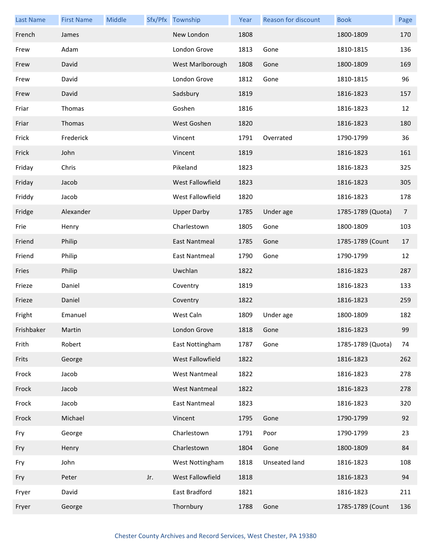| <b>Last Name</b> | <b>First Name</b> | Middle |     | Sfx/Pfx Township     | Year | <b>Reason for discount</b> | <b>Book</b>       | Page           |
|------------------|-------------------|--------|-----|----------------------|------|----------------------------|-------------------|----------------|
| French           | James             |        |     | New London           | 1808 |                            | 1800-1809         | 170            |
| Frew             | Adam              |        |     | London Grove         | 1813 | Gone                       | 1810-1815         | 136            |
| Frew             | David             |        |     | West Marlborough     | 1808 | Gone                       | 1800-1809         | 169            |
| Frew             | David             |        |     | London Grove         | 1812 | Gone                       | 1810-1815         | 96             |
| Frew             | David             |        |     | Sadsbury             | 1819 |                            | 1816-1823         | 157            |
| Friar            | Thomas            |        |     | Goshen               | 1816 |                            | 1816-1823         | 12             |
| Friar            | Thomas            |        |     | West Goshen          | 1820 |                            | 1816-1823         | 180            |
| Frick            | Frederick         |        |     | Vincent              | 1791 | Overrated                  | 1790-1799         | 36             |
| Frick            | John              |        |     | Vincent              | 1819 |                            | 1816-1823         | 161            |
| Friday           | Chris             |        |     | Pikeland             | 1823 |                            | 1816-1823         | 325            |
| Friday           | Jacob             |        |     | West Fallowfield     | 1823 |                            | 1816-1823         | 305            |
| Friddy           | Jacob             |        |     | West Fallowfield     | 1820 |                            | 1816-1823         | 178            |
| Fridge           | Alexander         |        |     | <b>Upper Darby</b>   | 1785 | Under age                  | 1785-1789 (Quota) | $\overline{7}$ |
| Frie             | Henry             |        |     | Charlestown          | 1805 | Gone                       | 1800-1809         | 103            |
| Friend           | Philip            |        |     | East Nantmeal        | 1785 | Gone                       | 1785-1789 (Count  | 17             |
| Friend           | Philip            |        |     | East Nantmeal        | 1790 | Gone                       | 1790-1799         | 12             |
| Fries            | Philip            |        |     | Uwchlan              | 1822 |                            | 1816-1823         | 287            |
| Frieze           | Daniel            |        |     | Coventry             | 1819 |                            | 1816-1823         | 133            |
| Frieze           | Daniel            |        |     | Coventry             | 1822 |                            | 1816-1823         | 259            |
| Fright           | Emanuel           |        |     | West Caln            | 1809 | Under age                  | 1800-1809         | 182            |
| Frishbaker       | Martin            |        |     | London Grove         | 1818 | Gone                       | 1816-1823         | 99             |
| Frith            | Robert            |        |     | East Nottingham      | 1787 | Gone                       | 1785-1789 (Quota) | 74             |
| Frits            | George            |        |     | West Fallowfield     | 1822 |                            | 1816-1823         | 262            |
| Frock            | Jacob             |        |     | <b>West Nantmeal</b> | 1822 |                            | 1816-1823         | 278            |
| Frock            | Jacob             |        |     | <b>West Nantmeal</b> | 1822 |                            | 1816-1823         | 278            |
| Frock            | Jacob             |        |     | East Nantmeal        | 1823 |                            | 1816-1823         | 320            |
| Frock            | Michael           |        |     | Vincent              | 1795 | Gone                       | 1790-1799         | 92             |
| Fry              | George            |        |     | Charlestown          | 1791 | Poor                       | 1790-1799         | 23             |
| Fry              | Henry             |        |     | Charlestown          | 1804 | Gone                       | 1800-1809         | 84             |
| Fry              | John              |        |     | West Nottingham      | 1818 | Unseated land              | 1816-1823         | 108            |
| Fry              | Peter             |        | Jr. | West Fallowfield     | 1818 |                            | 1816-1823         | 94             |
| Fryer            | David             |        |     | East Bradford        | 1821 |                            | 1816-1823         | 211            |
| Fryer            | George            |        |     | Thornbury            | 1788 | Gone                       | 1785-1789 (Count  | 136            |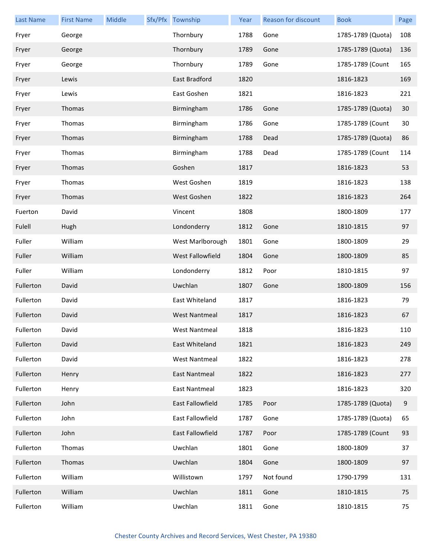| <b>Last Name</b> | <b>First Name</b> | Middle | Sfx/Pfx Township        | Year | Reason for discount | <b>Book</b>       | Page |
|------------------|-------------------|--------|-------------------------|------|---------------------|-------------------|------|
| Fryer            | George            |        | Thornbury               | 1788 | Gone                | 1785-1789 (Quota) | 108  |
| Fryer            | George            |        | Thornbury               | 1789 | Gone                | 1785-1789 (Quota) | 136  |
| Fryer            | George            |        | Thornbury               | 1789 | Gone                | 1785-1789 (Count  | 165  |
| Fryer            | Lewis             |        | East Bradford           | 1820 |                     | 1816-1823         | 169  |
| Fryer            | Lewis             |        | East Goshen             | 1821 |                     | 1816-1823         | 221  |
| Fryer            | Thomas            |        | Birmingham              | 1786 | Gone                | 1785-1789 (Quota) | 30   |
| Fryer            | Thomas            |        | Birmingham              | 1786 | Gone                | 1785-1789 (Count  | 30   |
| Fryer            | Thomas            |        | Birmingham              | 1788 | Dead                | 1785-1789 (Quota) | 86   |
| Fryer            | Thomas            |        | Birmingham              | 1788 | Dead                | 1785-1789 (Count  | 114  |
| Fryer            | Thomas            |        | Goshen                  | 1817 |                     | 1816-1823         | 53   |
| Fryer            | Thomas            |        | West Goshen             | 1819 |                     | 1816-1823         | 138  |
| Fryer            | Thomas            |        | West Goshen             | 1822 |                     | 1816-1823         | 264  |
| Fuerton          | David             |        | Vincent                 | 1808 |                     | 1800-1809         | 177  |
| Fulell           | Hugh              |        | Londonderry             | 1812 | Gone                | 1810-1815         | 97   |
| Fuller           | William           |        | West Marlborough        | 1801 | Gone                | 1800-1809         | 29   |
| Fuller           | William           |        | West Fallowfield        | 1804 | Gone                | 1800-1809         | 85   |
| Fuller           | William           |        | Londonderry             | 1812 | Poor                | 1810-1815         | 97   |
| Fullerton        | David             |        | Uwchlan                 | 1807 | Gone                | 1800-1809         | 156  |
| Fullerton        | David             |        | East Whiteland          | 1817 |                     | 1816-1823         | 79   |
| Fullerton        | David             |        | <b>West Nantmeal</b>    | 1817 |                     | 1816-1823         | 67   |
| Fullerton        | David             |        | West Nantmeal           | 1818 |                     | 1816-1823         | 110  |
| Fullerton        | David             |        | East Whiteland          | 1821 |                     | 1816-1823         | 249  |
| Fullerton        | David             |        | <b>West Nantmeal</b>    | 1822 |                     | 1816-1823         | 278  |
| Fullerton        | Henry             |        | <b>East Nantmeal</b>    | 1822 |                     | 1816-1823         | 277  |
| Fullerton        | Henry             |        | <b>East Nantmeal</b>    | 1823 |                     | 1816-1823         | 320  |
| Fullerton        | John              |        | <b>East Fallowfield</b> | 1785 | Poor                | 1785-1789 (Quota) | 9    |
| Fullerton        | John              |        | East Fallowfield        | 1787 | Gone                | 1785-1789 (Quota) | 65   |
| Fullerton        | John              |        | East Fallowfield        | 1787 | Poor                | 1785-1789 (Count  | 93   |
| Fullerton        | Thomas            |        | Uwchlan                 | 1801 | Gone                | 1800-1809         | 37   |
| Fullerton        | Thomas            |        | Uwchlan                 | 1804 | Gone                | 1800-1809         | 97   |
| Fullerton        | William           |        | Willistown              | 1797 | Not found           | 1790-1799         | 131  |
| Fullerton        | William           |        | Uwchlan                 | 1811 | Gone                | 1810-1815         | 75   |
| Fullerton        | William           |        | Uwchlan                 | 1811 | Gone                | 1810-1815         | 75   |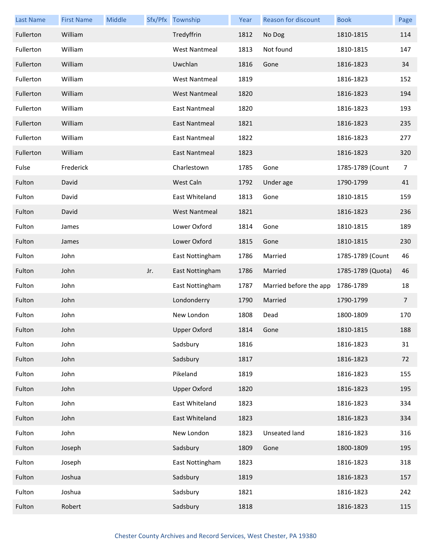| <b>Last Name</b> | <b>First Name</b> | Middle |     | Sfx/Pfx Township     | Year | Reason for discount    | <b>Book</b>       | Page           |
|------------------|-------------------|--------|-----|----------------------|------|------------------------|-------------------|----------------|
| Fullerton        | William           |        |     | Tredyffrin           | 1812 | No Dog                 | 1810-1815         | 114            |
| Fullerton        | William           |        |     | <b>West Nantmeal</b> | 1813 | Not found              | 1810-1815         | 147            |
| Fullerton        | William           |        |     | Uwchlan              | 1816 | Gone                   | 1816-1823         | 34             |
| Fullerton        | William           |        |     | <b>West Nantmeal</b> | 1819 |                        | 1816-1823         | 152            |
| Fullerton        | William           |        |     | <b>West Nantmeal</b> | 1820 |                        | 1816-1823         | 194            |
| Fullerton        | William           |        |     | East Nantmeal        | 1820 |                        | 1816-1823         | 193            |
| Fullerton        | William           |        |     | East Nantmeal        | 1821 |                        | 1816-1823         | 235            |
| Fullerton        | William           |        |     | East Nantmeal        | 1822 |                        | 1816-1823         | 277            |
| Fullerton        | William           |        |     | East Nantmeal        | 1823 |                        | 1816-1823         | 320            |
| Fulse            | Frederick         |        |     | Charlestown          | 1785 | Gone                   | 1785-1789 (Count  | $\overline{7}$ |
| Fulton           | David             |        |     | West Caln            | 1792 | Under age              | 1790-1799         | 41             |
| Fulton           | David             |        |     | East Whiteland       | 1813 | Gone                   | 1810-1815         | 159            |
| Fulton           | David             |        |     | <b>West Nantmeal</b> | 1821 |                        | 1816-1823         | 236            |
| Fulton           | James             |        |     | Lower Oxford         | 1814 | Gone                   | 1810-1815         | 189            |
| Fulton           | James             |        |     | Lower Oxford         | 1815 | Gone                   | 1810-1815         | 230            |
| Fulton           | John              |        |     | East Nottingham      | 1786 | Married                | 1785-1789 (Count  | 46             |
| Fulton           | John              |        | Jr. | East Nottingham      | 1786 | Married                | 1785-1789 (Quota) | 46             |
| Fulton           | John              |        |     | East Nottingham      | 1787 | Married before the app | 1786-1789         | 18             |
| Fulton           | John              |        |     | Londonderry          | 1790 | Married                | 1790-1799         | $\overline{7}$ |
| Fulton           | John              |        |     | New London           | 1808 | Dead                   | 1800-1809         | 170            |
| Fulton           | John              |        |     | <b>Upper Oxford</b>  | 1814 | Gone                   | 1810-1815         | 188            |
| Fulton           | John              |        |     | Sadsbury             | 1816 |                        | 1816-1823         | 31             |
| Fulton           | John              |        |     | Sadsbury             | 1817 |                        | 1816-1823         | 72             |
| Fulton           | John              |        |     | Pikeland             | 1819 |                        | 1816-1823         | 155            |
| Fulton           | John              |        |     | <b>Upper Oxford</b>  | 1820 |                        | 1816-1823         | 195            |
| Fulton           | John              |        |     | East Whiteland       | 1823 |                        | 1816-1823         | 334            |
| Fulton           | John              |        |     | East Whiteland       | 1823 |                        | 1816-1823         | 334            |
| Fulton           | John              |        |     | New London           | 1823 | Unseated land          | 1816-1823         | 316            |
| Fulton           | Joseph            |        |     | Sadsbury             | 1809 | Gone                   | 1800-1809         | 195            |
| Fulton           | Joseph            |        |     | East Nottingham      | 1823 |                        | 1816-1823         | 318            |
| Fulton           | Joshua            |        |     | Sadsbury             | 1819 |                        | 1816-1823         | 157            |
| Fulton           | Joshua            |        |     | Sadsbury             | 1821 |                        | 1816-1823         | 242            |
| Fulton           | Robert            |        |     | Sadsbury             | 1818 |                        | 1816-1823         | 115            |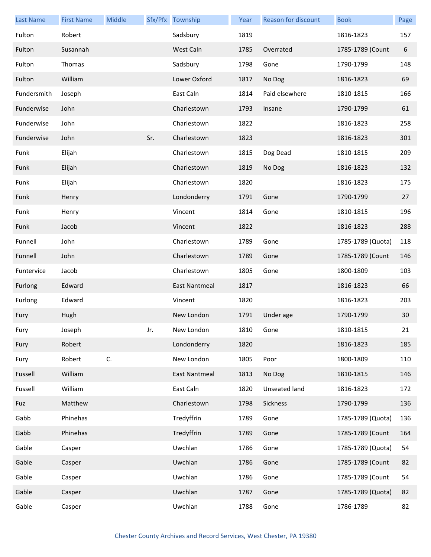| <b>Last Name</b> | <b>First Name</b> | Middle |     | Sfx/Pfx Township | Year | <b>Reason for discount</b> | <b>Book</b>       | Page |
|------------------|-------------------|--------|-----|------------------|------|----------------------------|-------------------|------|
| Fulton           | Robert            |        |     | Sadsbury         | 1819 |                            | 1816-1823         | 157  |
| Fulton           | Susannah          |        |     | West Caln        | 1785 | Overrated                  | 1785-1789 (Count  | 6    |
| Fulton           | Thomas            |        |     | Sadsbury         | 1798 | Gone                       | 1790-1799         | 148  |
| Fulton           | William           |        |     | Lower Oxford     | 1817 | No Dog                     | 1816-1823         | 69   |
| Fundersmith      | Joseph            |        |     | East Caln        | 1814 | Paid elsewhere             | 1810-1815         | 166  |
| Funderwise       | John              |        |     | Charlestown      | 1793 | Insane                     | 1790-1799         | 61   |
| Funderwise       | John              |        |     | Charlestown      | 1822 |                            | 1816-1823         | 258  |
| Funderwise       | John              |        | Sr. | Charlestown      | 1823 |                            | 1816-1823         | 301  |
| Funk             | Elijah            |        |     | Charlestown      | 1815 | Dog Dead                   | 1810-1815         | 209  |
| Funk             | Elijah            |        |     | Charlestown      | 1819 | No Dog                     | 1816-1823         | 132  |
| Funk             | Elijah            |        |     | Charlestown      | 1820 |                            | 1816-1823         | 175  |
| Funk             | Henry             |        |     | Londonderry      | 1791 | Gone                       | 1790-1799         | 27   |
| Funk             | Henry             |        |     | Vincent          | 1814 | Gone                       | 1810-1815         | 196  |
| Funk             | Jacob             |        |     | Vincent          | 1822 |                            | 1816-1823         | 288  |
| Funnell          | John              |        |     | Charlestown      | 1789 | Gone                       | 1785-1789 (Quota) | 118  |
| Funnell          | John              |        |     | Charlestown      | 1789 | Gone                       | 1785-1789 (Count  | 146  |
| Funtervice       | Jacob             |        |     | Charlestown      | 1805 | Gone                       | 1800-1809         | 103  |
| Furlong          | Edward            |        |     | East Nantmeal    | 1817 |                            | 1816-1823         | 66   |
| Furlong          | Edward            |        |     | Vincent          | 1820 |                            | 1816-1823         | 203  |
| Fury             | Hugh              |        |     | New London       | 1791 | Under age                  | 1790-1799         | 30   |
| Fury             | Joseph            |        | Jr. | New London       | 1810 | Gone                       | 1810-1815         | 21   |
| Fury             | Robert            |        |     | Londonderry      | 1820 |                            | 1816-1823         | 185  |
| Fury             | Robert            | C.     |     | New London       | 1805 | Poor                       | 1800-1809         | 110  |
| Fussell          | William           |        |     | East Nantmeal    | 1813 | No Dog                     | 1810-1815         | 146  |
| Fussell          | William           |        |     | East Caln        | 1820 | Unseated land              | 1816-1823         | 172  |
| Fuz              | Matthew           |        |     | Charlestown      | 1798 | Sickness                   | 1790-1799         | 136  |
| Gabb             | Phinehas          |        |     | Tredyffrin       | 1789 | Gone                       | 1785-1789 (Quota) | 136  |
| Gabb             | Phinehas          |        |     | Tredyffrin       | 1789 | Gone                       | 1785-1789 (Count  | 164  |
| Gable            | Casper            |        |     | Uwchlan          | 1786 | Gone                       | 1785-1789 (Quota) | 54   |
| Gable            | Casper            |        |     | Uwchlan          | 1786 | Gone                       | 1785-1789 (Count  | 82   |
| Gable            | Casper            |        |     | Uwchlan          | 1786 | Gone                       | 1785-1789 (Count  | 54   |
| Gable            | Casper            |        |     | Uwchlan          | 1787 | Gone                       | 1785-1789 (Quota) | 82   |
| Gable            | Casper            |        |     | Uwchlan          | 1788 | Gone                       | 1786-1789         | 82   |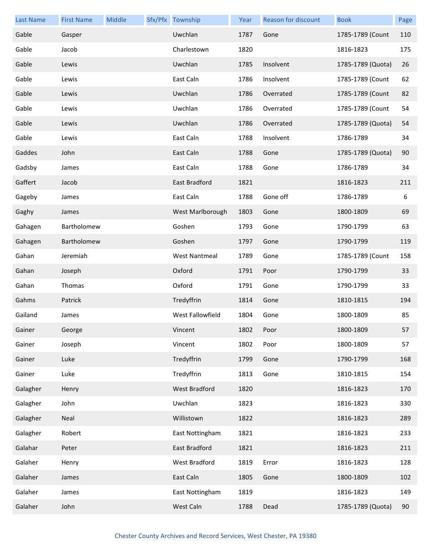| <b>Last Name</b> | <b>First Name</b> | Middle | Sfx/Pfx Township     | Year | <b>Reason for discount</b> | <b>Book</b>       | Page |
|------------------|-------------------|--------|----------------------|------|----------------------------|-------------------|------|
| Gable            | Gasper            |        | Uwchlan              | 1787 | Gone                       | 1785-1789 (Count  | 110  |
| Gable            | Jacob             |        | Charlestown          | 1820 |                            | 1816-1823         | 175  |
| Gable            | Lewis             |        | Uwchlan              | 1785 | Insolvent                  | 1785-1789 (Quota) | 26   |
| Gable            | Lewis             |        | East Caln            | 1786 | Insolvent                  | 1785-1789 (Count  | 62   |
| Gable            | Lewis             |        | Uwchlan              | 1786 | Overrated                  | 1785-1789 (Count  | 82   |
| Gable            | Lewis             |        | Uwchlan              | 1786 | Overrated                  | 1785-1789 (Count  | 54   |
| Gable            | Lewis             |        | Uwchlan              | 1786 | Overrated                  | 1785-1789 (Quota) | 54   |
| Gable            | Lewis             |        | East Caln            | 1788 | Insolvent                  | 1786-1789         | 34   |
| Gaddes           | John              |        | East Caln            | 1788 | Gone                       | 1785-1789 (Quota) | 90   |
| Gadsby           | James             |        | East Caln            | 1788 | Gone                       | 1786-1789         | 34   |
| Gaffert          | Jacob             |        | East Bradford        | 1821 |                            | 1816-1823         | 211  |
| Gageby           | James             |        | East Caln            | 1788 | Gone off                   | 1786-1789         | 6    |
| Gaghy            | James             |        | West Marlborough     | 1803 | Gone                       | 1800-1809         | 69   |
| Gahagen          | Bartholomew       |        | Goshen               | 1793 | Gone                       | 1790-1799         | 63   |
| Gahagen          | Bartholomew       |        | Goshen               | 1797 | Gone                       | 1790-1799         | 119  |
| Gahan            | Jeremiah          |        | <b>West Nantmeal</b> | 1789 | Gone                       | 1785-1789 (Count  | 158  |
| Gahan            | Joseph            |        | Oxford               | 1791 | Poor                       | 1790-1799         | 33   |
| Gahan            | Thomas            |        | Oxford               | 1791 | Gone                       | 1790-1799         | 33   |
| Gahms            | Patrick           |        | Tredyffrin           | 1814 | Gone                       | 1810-1815         | 194  |
| Gailand          | James             |        | West Fallowfield     | 1804 | Gone                       | 1800-1809         | 85   |
| Gainer           | George            |        | Vincent              | 1802 | Poor                       | 1800-1809         | 57   |
| Gainer           | Joseph            |        | Vincent              | 1802 | Poor                       | 1800-1809         | 57   |
| Gainer           | Luke              |        | Tredyffrin           | 1799 | Gone                       | 1790-1799         | 168  |
| Gainer           | Luke              |        | Tredyffrin           | 1813 | Gone                       | 1810-1815         | 154  |
| Galagher         | Henry             |        | <b>West Bradford</b> | 1820 |                            | 1816-1823         | 170  |
| Galagher         | John              |        | Uwchlan              | 1823 |                            | 1816-1823         | 330  |
| Galagher         | Neal              |        | Willistown           | 1822 |                            | 1816-1823         | 289  |
| Galagher         | Robert            |        | East Nottingham      | 1821 |                            | 1816-1823         | 233  |
| Galahar          | Peter             |        | East Bradford        | 1821 |                            | 1816-1823         | 211  |
| Galaher          | Henry             |        | West Bradford        | 1819 | Error                      | 1816-1823         | 128  |
| Galaher          | James             |        | East Caln            | 1805 | Gone                       | 1800-1809         | 102  |
| Galaher          | James             |        | East Nottingham      | 1819 |                            | 1816-1823         | 149  |
| Galaher          | John              |        | West Caln            | 1788 | Dead                       | 1785-1789 (Quota) | 90   |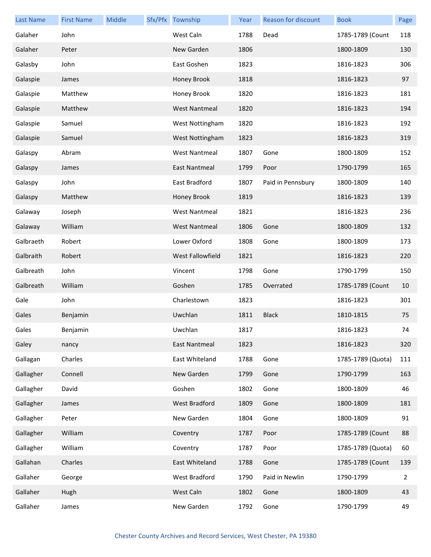| <b>Last Name</b> | <b>First Name</b> | Middle | Sfx/Pfx Township     | Year | Reason for discount | <b>Book</b>       | Page           |
|------------------|-------------------|--------|----------------------|------|---------------------|-------------------|----------------|
| Galaher          | John              |        | West Caln            | 1788 | Dead                | 1785-1789 (Count  | 118            |
| Galaher          | Peter             |        | New Garden           | 1806 |                     | 1800-1809         | 130            |
| Galasby          | John              |        | East Goshen          | 1823 |                     | 1816-1823         | 306            |
| Galaspie         | James             |        | Honey Brook          | 1818 |                     | 1816-1823         | 97             |
| Galaspie         | Matthew           |        | Honey Brook          | 1820 |                     | 1816-1823         | 181            |
| Galaspie         | Matthew           |        | <b>West Nantmeal</b> | 1820 |                     | 1816-1823         | 194            |
| Galaspie         | Samuel            |        | West Nottingham      | 1820 |                     | 1816-1823         | 192            |
| Galaspie         | Samuel            |        | West Nottingham      | 1823 |                     | 1816-1823         | 319            |
| Galaspy          | Abram             |        | <b>West Nantmeal</b> | 1807 | Gone                | 1800-1809         | 152            |
| Galaspy          | James             |        | <b>East Nantmeal</b> | 1799 | Poor                | 1790-1799         | 165            |
| Galaspy          | John              |        | East Bradford        | 1807 | Paid in Pennsbury   | 1800-1809         | 140            |
| Galaspy          | Matthew           |        | Honey Brook          | 1819 |                     | 1816-1823         | 139            |
| Galaway          | Joseph            |        | <b>West Nantmeal</b> | 1821 |                     | 1816-1823         | 236            |
| Galaway          | William           |        | <b>West Nantmeal</b> | 1806 | Gone                | 1800-1809         | 132            |
| Galbraeth        | Robert            |        | Lower Oxford         | 1808 | Gone                | 1800-1809         | 173            |
| Galbraith        | Robert            |        | West Fallowfield     | 1821 |                     | 1816-1823         | 220            |
| Galbreath        | John              |        | Vincent              | 1798 | Gone                | 1790-1799         | 150            |
| Galbreath        | William           |        | Goshen               | 1785 | Overrated           | 1785-1789 (Count  | 10             |
| Gale             | John              |        | Charlestown          | 1823 |                     | 1816-1823         | 301            |
| Gales            | Benjamin          |        | Uwchlan              | 1811 | <b>Black</b>        | 1810-1815         | 75             |
| Gales            | Benjamin          |        | Uwchlan              | 1817 |                     | 1816-1823         | 74             |
| Galey            | nancy             |        | East Nantmeal        | 1823 |                     | 1816-1823         | 320            |
| Gallagan         | Charles           |        | East Whiteland       | 1788 | Gone                | 1785-1789 (Quota) | 111            |
| Gallagher        | Connell           |        | New Garden           | 1799 | Gone                | 1790-1799         | 163            |
| Gallagher        | David             |        | Goshen               | 1802 | Gone                | 1800-1809         | 46             |
| Gallagher        | James             |        | <b>West Bradford</b> | 1809 | Gone                | 1800-1809         | 181            |
| Gallagher        | Peter             |        | New Garden           | 1804 | Gone                | 1800-1809         | 91             |
| Gallagher        | William           |        | Coventry             | 1787 | Poor                | 1785-1789 (Count  | 88             |
| Gallagher        | William           |        | Coventry             | 1787 | Poor                | 1785-1789 (Quota) | 60             |
| Gallahan         | Charles           |        | East Whiteland       | 1788 | Gone                | 1785-1789 (Count  | 139            |
| Gallaher         | George            |        | West Bradford        | 1790 | Paid in Newlin      | 1790-1799         | $\overline{2}$ |
| Gallaher         | Hugh              |        | West Caln            | 1802 | Gone                | 1800-1809         | 43             |
| Gallaher         | James             |        | New Garden           | 1792 | Gone                | 1790-1799         | 49             |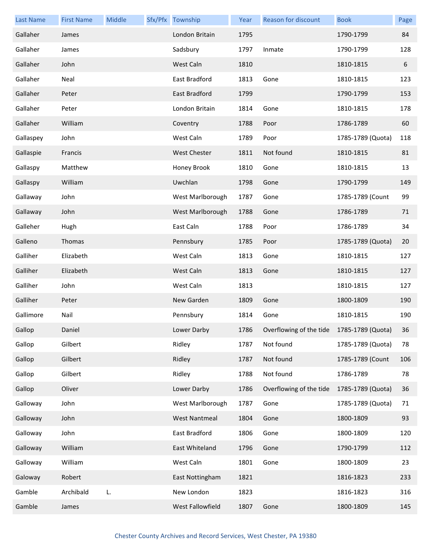| <b>Last Name</b> | <b>First Name</b> | Middle | Sfx/Pfx Township     | Year | Reason for discount                       | <b>Book</b>       | Page |
|------------------|-------------------|--------|----------------------|------|-------------------------------------------|-------------------|------|
| Gallaher         | James             |        | London Britain       | 1795 |                                           | 1790-1799         | 84   |
| Gallaher         | James             |        | Sadsbury             | 1797 | Inmate                                    | 1790-1799         | 128  |
| Gallaher         | John              |        | West Caln            | 1810 |                                           | 1810-1815         | 6    |
| Gallaher         | Neal              |        | East Bradford        | 1813 | Gone                                      | 1810-1815         | 123  |
| Gallaher         | Peter             |        | East Bradford        | 1799 |                                           | 1790-1799         | 153  |
| Gallaher         | Peter             |        | London Britain       | 1814 | Gone                                      | 1810-1815         | 178  |
| Gallaher         | William           |        | Coventry             | 1788 | Poor                                      | 1786-1789         | 60   |
| Gallaspey        | John              |        | West Caln            | 1789 | Poor                                      | 1785-1789 (Quota) | 118  |
| Gallaspie        | Francis           |        | <b>West Chester</b>  | 1811 | Not found                                 | 1810-1815         | 81   |
| Gallaspy         | Matthew           |        | Honey Brook          | 1810 | Gone                                      | 1810-1815         | 13   |
| Gallaspy         | William           |        | Uwchlan              | 1798 | Gone                                      | 1790-1799         | 149  |
| Gallaway         | John              |        | West Marlborough     | 1787 | Gone                                      | 1785-1789 (Count  | 99   |
| Gallaway         | John              |        | West Marlborough     | 1788 | Gone                                      | 1786-1789         | 71   |
| Galleher         | Hugh              |        | East Caln            | 1788 | Poor                                      | 1786-1789         | 34   |
| Galleno          | Thomas            |        | Pennsbury            | 1785 | Poor                                      | 1785-1789 (Quota) | 20   |
| Galliher         | Elizabeth         |        | West Caln            | 1813 | Gone                                      | 1810-1815         | 127  |
| Galliher         | Elizabeth         |        | West Caln            | 1813 | Gone                                      | 1810-1815         | 127  |
| Galliher         | John              |        | West Caln            | 1813 |                                           | 1810-1815         | 127  |
| Galliher         | Peter             |        | New Garden           | 1809 | Gone                                      | 1800-1809         | 190  |
| Gallimore        | Nail              |        | Pennsbury            | 1814 | Gone                                      | 1810-1815         | 190  |
| Gallop           | Daniel            |        | Lower Darby          | 1786 | Overflowing of the tide 1785-1789 (Quota) |                   | 36   |
| Gallop           | Gilbert           |        | Ridley               | 1787 | Not found                                 | 1785-1789 (Quota) | 78   |
| Gallop           | Gilbert           |        | Ridley               | 1787 | Not found                                 | 1785-1789 (Count  | 106  |
| Gallop           | Gilbert           |        | Ridley               | 1788 | Not found                                 | 1786-1789         | 78   |
| Gallop           | Oliver            |        | Lower Darby          | 1786 | Overflowing of the tide                   | 1785-1789 (Quota) | 36   |
| Galloway         | John              |        | West Marlborough     | 1787 | Gone                                      | 1785-1789 (Quota) | 71   |
| Galloway         | John              |        | <b>West Nantmeal</b> | 1804 | Gone                                      | 1800-1809         | 93   |
| Galloway         | John              |        | East Bradford        | 1806 | Gone                                      | 1800-1809         | 120  |
| Galloway         | William           |        | East Whiteland       | 1796 | Gone                                      | 1790-1799         | 112  |
| Galloway         | William           |        | West Caln            | 1801 | Gone                                      | 1800-1809         | 23   |
| Galoway          | Robert            |        | East Nottingham      | 1821 |                                           | 1816-1823         | 233  |
| Gamble           | Archibald         | L.     | New London           | 1823 |                                           | 1816-1823         | 316  |
| Gamble           | James             |        | West Fallowfield     | 1807 | Gone                                      | 1800-1809         | 145  |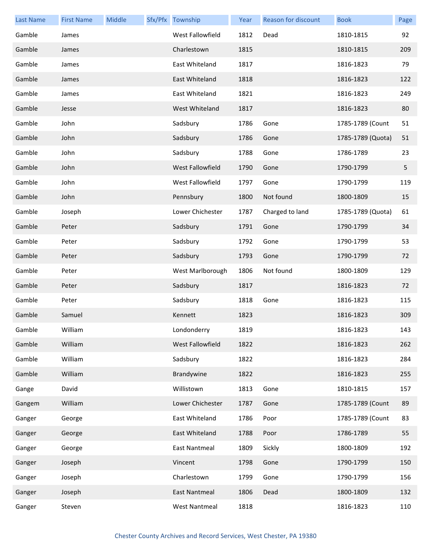| <b>Last Name</b> | <b>First Name</b> | Middle | Sfx/Pfx Township     | Year | Reason for discount | <b>Book</b>       | Page |
|------------------|-------------------|--------|----------------------|------|---------------------|-------------------|------|
| Gamble           | James             |        | West Fallowfield     | 1812 | Dead                | 1810-1815         | 92   |
| Gamble           | James             |        | Charlestown          | 1815 |                     | 1810-1815         | 209  |
| Gamble           | James             |        | East Whiteland       | 1817 |                     | 1816-1823         | 79   |
| Gamble           | James             |        | East Whiteland       | 1818 |                     | 1816-1823         | 122  |
| Gamble           | James             |        | East Whiteland       | 1821 |                     | 1816-1823         | 249  |
| Gamble           | Jesse             |        | West Whiteland       | 1817 |                     | 1816-1823         | 80   |
| Gamble           | John              |        | Sadsbury             | 1786 | Gone                | 1785-1789 (Count  | 51   |
| Gamble           | John              |        | Sadsbury             | 1786 | Gone                | 1785-1789 (Quota) | 51   |
| Gamble           | John              |        | Sadsbury             | 1788 | Gone                | 1786-1789         | 23   |
| Gamble           | John              |        | West Fallowfield     | 1790 | Gone                | 1790-1799         | 5    |
| Gamble           | John              |        | West Fallowfield     | 1797 | Gone                | 1790-1799         | 119  |
| Gamble           | John              |        | Pennsbury            | 1800 | Not found           | 1800-1809         | 15   |
| Gamble           | Joseph            |        | Lower Chichester     | 1787 | Charged to land     | 1785-1789 (Quota) | 61   |
| Gamble           | Peter             |        | Sadsbury             | 1791 | Gone                | 1790-1799         | 34   |
| Gamble           | Peter             |        | Sadsbury             | 1792 | Gone                | 1790-1799         | 53   |
| Gamble           | Peter             |        | Sadsbury             | 1793 | Gone                | 1790-1799         | 72   |
| Gamble           | Peter             |        | West Marlborough     | 1806 | Not found           | 1800-1809         | 129  |
| Gamble           | Peter             |        | Sadsbury             | 1817 |                     | 1816-1823         | 72   |
| Gamble           | Peter             |        | Sadsbury             | 1818 | Gone                | 1816-1823         | 115  |
| Gamble           | Samuel            |        | Kennett              | 1823 |                     | 1816-1823         | 309  |
| Gamble           | William           |        | Londonderry          | 1819 |                     | 1816-1823         | 143  |
| Gamble           | William           |        | West Fallowfield     | 1822 |                     | 1816-1823         | 262  |
| Gamble           | William           |        | Sadsbury             | 1822 |                     | 1816-1823         | 284  |
| Gamble           | William           |        | Brandywine           | 1822 |                     | 1816-1823         | 255  |
| Gange            | David             |        | Willistown           | 1813 | Gone                | 1810-1815         | 157  |
| Gangem           | William           |        | Lower Chichester     | 1787 | Gone                | 1785-1789 (Count  | 89   |
| Ganger           | George            |        | East Whiteland       | 1786 | Poor                | 1785-1789 (Count  | 83   |
| Ganger           | George            |        | East Whiteland       | 1788 | Poor                | 1786-1789         | 55   |
| Ganger           | George            |        | <b>East Nantmeal</b> | 1809 | Sickly              | 1800-1809         | 192  |
| Ganger           | Joseph            |        | Vincent              | 1798 | Gone                | 1790-1799         | 150  |
| Ganger           | Joseph            |        | Charlestown          | 1799 | Gone                | 1790-1799         | 156  |
| Ganger           | Joseph            |        | <b>East Nantmeal</b> | 1806 | Dead                | 1800-1809         | 132  |
| Ganger           | Steven            |        | West Nantmeal        | 1818 |                     | 1816-1823         | 110  |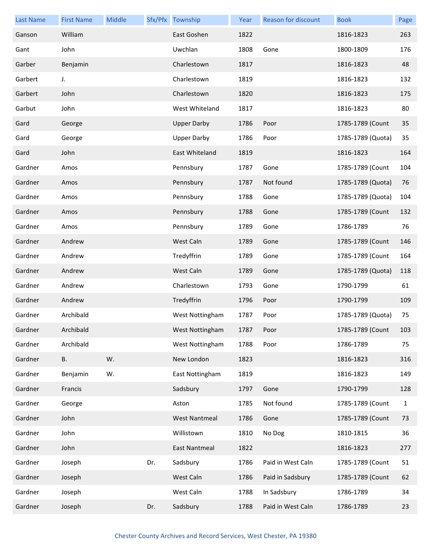| <b>Last Name</b> | <b>First Name</b> | Middle |     | Sfx/Pfx Township     | Year | <b>Reason for discount</b> | <b>Book</b>       | Page         |
|------------------|-------------------|--------|-----|----------------------|------|----------------------------|-------------------|--------------|
| Ganson           | William           |        |     | East Goshen          | 1822 |                            | 1816-1823         | 263          |
| Gant             | John              |        |     | Uwchlan              | 1808 | Gone                       | 1800-1809         | 176          |
| Garber           | Benjamin          |        |     | Charlestown          | 1817 |                            | 1816-1823         | 48           |
| Garbert          | J.                |        |     | Charlestown          | 1819 |                            | 1816-1823         | 132          |
| Garbert          | John              |        |     | Charlestown          | 1820 |                            | 1816-1823         | 175          |
| Garbut           | John              |        |     | West Whiteland       | 1817 |                            | 1816-1823         | 80           |
| Gard             | George            |        |     | <b>Upper Darby</b>   | 1786 | Poor                       | 1785-1789 (Count  | 35           |
| Gard             | George            |        |     | <b>Upper Darby</b>   | 1786 | Poor                       | 1785-1789 (Quota) | 35           |
| Gard             | John              |        |     | East Whiteland       | 1819 |                            | 1816-1823         | 164          |
| Gardner          | Amos              |        |     | Pennsbury            | 1787 | Gone                       | 1785-1789 (Count  | 104          |
| Gardner          | Amos              |        |     | Pennsbury            | 1787 | Not found                  | 1785-1789 (Quota) | 76           |
| Gardner          | Amos              |        |     | Pennsbury            | 1788 | Gone                       | 1785-1789 (Quota) | 104          |
| Gardner          | Amos              |        |     | Pennsbury            | 1788 | Gone                       | 1785-1789 (Count  | 132          |
| Gardner          | Amos              |        |     | Pennsbury            | 1789 | Gone                       | 1786-1789         | 76           |
| Gardner          | Andrew            |        |     | West Caln            | 1789 | Gone                       | 1785-1789 (Count  | 146          |
| Gardner          | Andrew            |        |     | Tredyffrin           | 1789 | Gone                       | 1785-1789 (Count  | 164          |
| Gardner          | Andrew            |        |     | West Caln            | 1789 | Gone                       | 1785-1789 (Quota) | 118          |
| Gardner          | Andrew            |        |     | Charlestown          | 1793 | Gone                       | 1790-1799         | 61           |
| Gardner          | Andrew            |        |     | Tredyffrin           | 1796 | Poor                       | 1790-1799         | 109          |
| Gardner          | Archibald         |        |     | West Nottingham      | 1787 | Poor                       | 1785-1789 (Quota) | 75           |
| Gardner          | Archibald         |        |     | West Nottingham      | 1787 | Poor                       | 1785-1789 (Count  | 103          |
| Gardner          | Archibald         |        |     | West Nottingham      | 1788 | Poor                       | 1786-1789         | 75           |
| Gardner          | В.                | W.     |     | New London           | 1823 |                            | 1816-1823         | 316          |
| Gardner          | Benjamin          | W.     |     | East Nottingham      | 1819 |                            | 1816-1823         | 149          |
| Gardner          | Francis           |        |     | Sadsbury             | 1797 | Gone                       | 1790-1799         | 128          |
| Gardner          | George            |        |     | Aston                | 1785 | Not found                  | 1785-1789 (Count  | $\mathbf{1}$ |
| Gardner          | John              |        |     | <b>West Nantmeal</b> | 1786 | Gone                       | 1785-1789 (Count  | 73           |
| Gardner          | John              |        |     | Willistown           | 1810 | No Dog                     | 1810-1815         | 36           |
| Gardner          | John              |        |     | <b>East Nantmeal</b> | 1822 |                            | 1816-1823         | 277          |
| Gardner          | Joseph            |        | Dr. | Sadsbury             | 1786 | Paid in West Caln          | 1785-1789 (Count  | 51           |
| Gardner          | Joseph            |        |     | West Caln            | 1786 | Paid in Sadsbury           | 1785-1789 (Count  | 62           |
| Gardner          | Joseph            |        |     | West Caln            | 1788 | In Sadsbury                | 1786-1789         | 34           |
| Gardner          | Joseph            |        | Dr. | Sadsbury             | 1788 | Paid in West Caln          | 1786-1789         | 23           |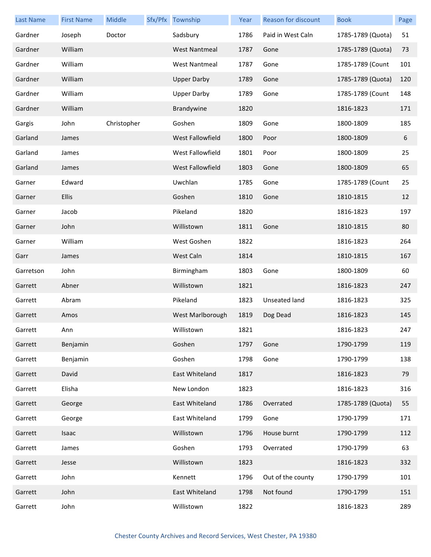| <b>Last Name</b> | <b>First Name</b> | Middle      | Sfx/Pfx Township        | Year | Reason for discount | <b>Book</b>       | Page |
|------------------|-------------------|-------------|-------------------------|------|---------------------|-------------------|------|
| Gardner          | Joseph            | Doctor      | Sadsbury                | 1786 | Paid in West Caln   | 1785-1789 (Quota) | 51   |
| Gardner          | William           |             | <b>West Nantmeal</b>    | 1787 | Gone                | 1785-1789 (Quota) | 73   |
| Gardner          | William           |             | <b>West Nantmeal</b>    | 1787 | Gone                | 1785-1789 (Count  | 101  |
| Gardner          | William           |             | <b>Upper Darby</b>      | 1789 | Gone                | 1785-1789 (Quota) | 120  |
| Gardner          | William           |             | <b>Upper Darby</b>      | 1789 | Gone                | 1785-1789 (Count  | 148  |
| Gardner          | William           |             | Brandywine              | 1820 |                     | 1816-1823         | 171  |
| Gargis           | John              | Christopher | Goshen                  | 1809 | Gone                | 1800-1809         | 185  |
| Garland          | James             |             | <b>West Fallowfield</b> | 1800 | Poor                | 1800-1809         | 6    |
| Garland          | James             |             | West Fallowfield        | 1801 | Poor                | 1800-1809         | 25   |
| Garland          | James             |             | West Fallowfield        | 1803 | Gone                | 1800-1809         | 65   |
| Garner           | Edward            |             | Uwchlan                 | 1785 | Gone                | 1785-1789 (Count  | 25   |
| Garner           | <b>Ellis</b>      |             | Goshen                  | 1810 | Gone                | 1810-1815         | 12   |
| Garner           | Jacob             |             | Pikeland                | 1820 |                     | 1816-1823         | 197  |
| Garner           | John              |             | Willistown              | 1811 | Gone                | 1810-1815         | 80   |
| Garner           | William           |             | West Goshen             | 1822 |                     | 1816-1823         | 264  |
| Garr             | James             |             | West Caln               | 1814 |                     | 1810-1815         | 167  |
| Garretson        | John              |             | Birmingham              | 1803 | Gone                | 1800-1809         | 60   |
| Garrett          | Abner             |             | Willistown              | 1821 |                     | 1816-1823         | 247  |
| Garrett          | Abram             |             | Pikeland                | 1823 | Unseated land       | 1816-1823         | 325  |
| Garrett          | Amos              |             | West Marlborough        | 1819 | Dog Dead            | 1816-1823         | 145  |
| Garrett          | Ann               |             | Willistown              | 1821 |                     | 1816-1823         | 247  |
| Garrett          | Benjamin          |             | Goshen                  | 1797 | Gone                | 1790-1799         | 119  |
| Garrett          | Benjamin          |             | Goshen                  | 1798 | Gone                | 1790-1799         | 138  |
| Garrett          | David             |             | East Whiteland          | 1817 |                     | 1816-1823         | 79   |
| Garrett          | Elisha            |             | New London              | 1823 |                     | 1816-1823         | 316  |
| Garrett          | George            |             | East Whiteland          | 1786 | Overrated           | 1785-1789 (Quota) | 55   |
| Garrett          | George            |             | East Whiteland          | 1799 | Gone                | 1790-1799         | 171  |
| Garrett          | Isaac             |             | Willistown              | 1796 | House burnt         | 1790-1799         | 112  |
| Garrett          | James             |             | Goshen                  | 1793 | Overrated           | 1790-1799         | 63   |
| Garrett          | Jesse             |             | Willistown              | 1823 |                     | 1816-1823         | 332  |
| Garrett          | John              |             | Kennett                 | 1796 | Out of the county   | 1790-1799         | 101  |
| Garrett          | John              |             | East Whiteland          | 1798 | Not found           | 1790-1799         | 151  |
| Garrett          | John              |             | Willistown              | 1822 |                     | 1816-1823         | 289  |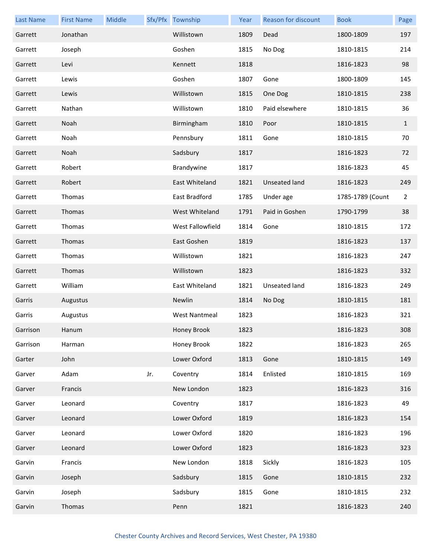| <b>Last Name</b> | <b>First Name</b> | Middle |     | Sfx/Pfx Township     | Year | Reason for discount  | <b>Book</b>      | Page           |
|------------------|-------------------|--------|-----|----------------------|------|----------------------|------------------|----------------|
| Garrett          | Jonathan          |        |     | Willistown           | 1809 | Dead                 | 1800-1809        | 197            |
| Garrett          | Joseph            |        |     | Goshen               | 1815 | No Dog               | 1810-1815        | 214            |
| Garrett          | Levi              |        |     | Kennett              | 1818 |                      | 1816-1823        | 98             |
| Garrett          | Lewis             |        |     | Goshen               | 1807 | Gone                 | 1800-1809        | 145            |
| Garrett          | Lewis             |        |     | Willistown           | 1815 | One Dog              | 1810-1815        | 238            |
| Garrett          | Nathan            |        |     | Willistown           | 1810 | Paid elsewhere       | 1810-1815        | 36             |
| Garrett          | Noah              |        |     | Birmingham           | 1810 | Poor                 | 1810-1815        | $\mathbf{1}$   |
| Garrett          | Noah              |        |     | Pennsbury            | 1811 | Gone                 | 1810-1815        | 70             |
| Garrett          | Noah              |        |     | Sadsbury             | 1817 |                      | 1816-1823        | 72             |
| Garrett          | Robert            |        |     | Brandywine           | 1817 |                      | 1816-1823        | 45             |
| Garrett          | Robert            |        |     | East Whiteland       | 1821 | <b>Unseated land</b> | 1816-1823        | 249            |
| Garrett          | Thomas            |        |     | East Bradford        | 1785 | Under age            | 1785-1789 (Count | $\overline{2}$ |
| Garrett          | Thomas            |        |     | West Whiteland       | 1791 | Paid in Goshen       | 1790-1799        | 38             |
| Garrett          | Thomas            |        |     | West Fallowfield     | 1814 | Gone                 | 1810-1815        | 172            |
| Garrett          | Thomas            |        |     | East Goshen          | 1819 |                      | 1816-1823        | 137            |
| Garrett          | Thomas            |        |     | Willistown           | 1821 |                      | 1816-1823        | 247            |
| Garrett          | Thomas            |        |     | Willistown           | 1823 |                      | 1816-1823        | 332            |
| Garrett          | William           |        |     | East Whiteland       | 1821 | Unseated land        | 1816-1823        | 249            |
| Garris           | Augustus          |        |     | Newlin               | 1814 | No Dog               | 1810-1815        | 181            |
| Garris           | Augustus          |        |     | <b>West Nantmeal</b> | 1823 |                      | 1816-1823        | 321            |
| Garrison         | Hanum             |        |     | Honey Brook          | 1823 |                      | 1816-1823        | 308            |
| Garrison         | Harman            |        |     | Honey Brook          | 1822 |                      | 1816-1823        | 265            |
| Garter           | John              |        |     | Lower Oxford         | 1813 | Gone                 | 1810-1815        | 149            |
| Garver           | Adam              |        | Jr. | Coventry             | 1814 | Enlisted             | 1810-1815        | 169            |
| Garver           | Francis           |        |     | New London           | 1823 |                      | 1816-1823        | 316            |
| Garver           | Leonard           |        |     | Coventry             | 1817 |                      | 1816-1823        | 49             |
| Garver           | Leonard           |        |     | Lower Oxford         | 1819 |                      | 1816-1823        | 154            |
| Garver           | Leonard           |        |     | Lower Oxford         | 1820 |                      | 1816-1823        | 196            |
| Garver           | Leonard           |        |     | Lower Oxford         | 1823 |                      | 1816-1823        | 323            |
| Garvin           | Francis           |        |     | New London           | 1818 | Sickly               | 1816-1823        | 105            |
| Garvin           | Joseph            |        |     | Sadsbury             | 1815 | Gone                 | 1810-1815        | 232            |
| Garvin           | Joseph            |        |     | Sadsbury             | 1815 | Gone                 | 1810-1815        | 232            |
| Garvin           | Thomas            |        |     | Penn                 | 1821 |                      | 1816-1823        | 240            |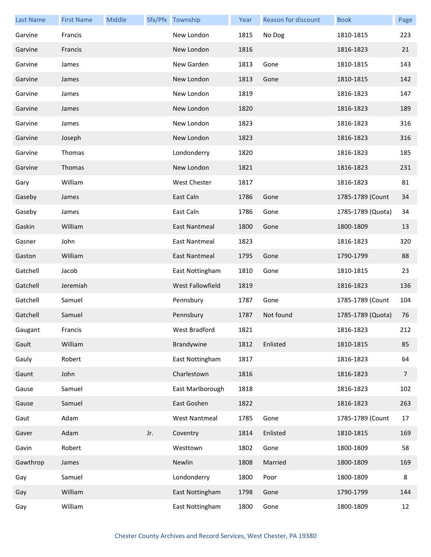| <b>Last Name</b> | <b>First Name</b> | Middle |     | Sfx/Pfx Township     | Year | <b>Reason for discount</b> | <b>Book</b>       | Page           |
|------------------|-------------------|--------|-----|----------------------|------|----------------------------|-------------------|----------------|
| Garvine          | Francis           |        |     | New London           | 1815 | No Dog                     | 1810-1815         | 223            |
| Garvine          | Francis           |        |     | New London           | 1816 |                            | 1816-1823         | 21             |
| Garvine          | James             |        |     | New Garden           | 1813 | Gone                       | 1810-1815         | 143            |
| Garvine          | James             |        |     | New London           | 1813 | Gone                       | 1810-1815         | 142            |
| Garvine          | James             |        |     | New London           | 1819 |                            | 1816-1823         | 147            |
| Garvine          | James             |        |     | New London           | 1820 |                            | 1816-1823         | 189            |
| Garvine          | James             |        |     | New London           | 1823 |                            | 1816-1823         | 316            |
| Garvine          | Joseph            |        |     | New London           | 1823 |                            | 1816-1823         | 316            |
| Garvine          | Thomas            |        |     | Londonderry          | 1820 |                            | 1816-1823         | 185            |
| Garvine          | Thomas            |        |     | New London           | 1821 |                            | 1816-1823         | 231            |
| Gary             | William           |        |     | West Chester         | 1817 |                            | 1816-1823         | 81             |
| Gaseby           | James             |        |     | East Caln            | 1786 | Gone                       | 1785-1789 (Count  | 34             |
| Gaseby           | James             |        |     | East Caln            | 1786 | Gone                       | 1785-1789 (Quota) | 34             |
| Gaskin           | William           |        |     | <b>East Nantmeal</b> | 1800 | Gone                       | 1800-1809         | 13             |
| Gasner           | John              |        |     | <b>East Nantmeal</b> | 1823 |                            | 1816-1823         | 320            |
| Gaston           | William           |        |     | East Nantmeal        | 1795 | Gone                       | 1790-1799         | 88             |
| Gatchell         | Jacob             |        |     | East Nottingham      | 1810 | Gone                       | 1810-1815         | 23             |
| Gatchell         | Jeremiah          |        |     | West Fallowfield     | 1819 |                            | 1816-1823         | 136            |
| Gatchell         | Samuel            |        |     | Pennsbury            | 1787 | Gone                       | 1785-1789 (Count  | 104            |
| Gatchell         | Samuel            |        |     | Pennsbury            | 1787 | Not found                  | 1785-1789 (Quota) | 76             |
| Gaugant          | Francis           |        |     | West Bradford        | 1821 |                            | 1816-1823         | 212            |
| Gault            | William           |        |     | Brandywine           | 1812 | Enlisted                   | 1810-1815         | 85             |
| Gauly            | Robert            |        |     | East Nottingham      | 1817 |                            | 1816-1823         | 64             |
| Gaunt            | John              |        |     | Charlestown          | 1816 |                            | 1816-1823         | $\overline{7}$ |
| Gause            | Samuel            |        |     | East Marlborough     | 1818 |                            | 1816-1823         | 102            |
| Gause            | Samuel            |        |     | East Goshen          | 1822 |                            | 1816-1823         | 263            |
| Gaut             | Adam              |        |     | <b>West Nantmeal</b> | 1785 | Gone                       | 1785-1789 (Count  | 17             |
| Gaver            | Adam              |        | Jr. | Coventry             | 1814 | Enlisted                   | 1810-1815         | 169            |
| Gavin            | Robert            |        |     | Westtown             | 1802 | Gone                       | 1800-1809         | 58             |
| Gawthrop         | James             |        |     | Newlin               | 1808 | Married                    | 1800-1809         | 169            |
| Gay              | Samuel            |        |     | Londonderry          | 1800 | Poor                       | 1800-1809         | 8              |
| Gay              | William           |        |     | East Nottingham      | 1798 | Gone                       | 1790-1799         | 144            |
| Gay              | William           |        |     | East Nottingham      | 1800 | Gone                       | 1800-1809         | 12             |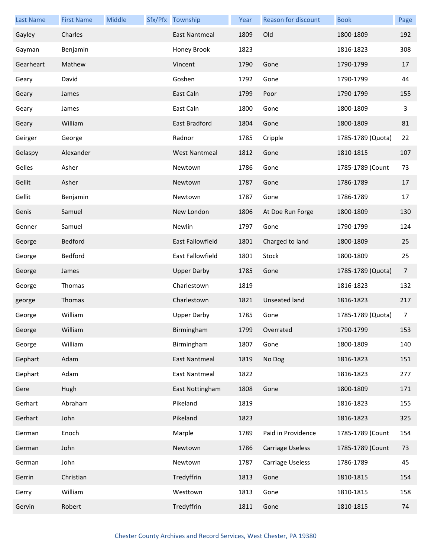| <b>Last Name</b> | <b>First Name</b> | Middle | Sfx/Pfx Township        | Year | Reason for discount     | <b>Book</b>       | Page           |
|------------------|-------------------|--------|-------------------------|------|-------------------------|-------------------|----------------|
| Gayley           | Charles           |        | East Nantmeal           | 1809 | Old                     | 1800-1809         | 192            |
| Gayman           | Benjamin          |        | Honey Brook             | 1823 |                         | 1816-1823         | 308            |
| Gearheart        | Mathew            |        | Vincent                 | 1790 | Gone                    | 1790-1799         | 17             |
| Geary            | David             |        | Goshen                  | 1792 | Gone                    | 1790-1799         | 44             |
| Geary            | James             |        | East Caln               | 1799 | Poor                    | 1790-1799         | 155            |
| Geary            | James             |        | East Caln               | 1800 | Gone                    | 1800-1809         | 3              |
| Geary            | William           |        | East Bradford           | 1804 | Gone                    | 1800-1809         | 81             |
| Geirger          | George            |        | Radnor                  | 1785 | Cripple                 | 1785-1789 (Quota) | 22             |
| Gelaspy          | Alexander         |        | <b>West Nantmeal</b>    | 1812 | Gone                    | 1810-1815         | 107            |
| Gelles           | Asher             |        | Newtown                 | 1786 | Gone                    | 1785-1789 (Count  | 73             |
| Gellit           | Asher             |        | Newtown                 | 1787 | Gone                    | 1786-1789         | 17             |
| Gellit           | Benjamin          |        | Newtown                 | 1787 | Gone                    | 1786-1789         | 17             |
| Genis            | Samuel            |        | New London              | 1806 | At Doe Run Forge        | 1800-1809         | 130            |
| Genner           | Samuel            |        | Newlin                  | 1797 | Gone                    | 1790-1799         | 124            |
| George           | Bedford           |        | <b>East Fallowfield</b> | 1801 | Charged to land         | 1800-1809         | 25             |
| George           | Bedford           |        | East Fallowfield        | 1801 | Stock                   | 1800-1809         | 25             |
| George           | James             |        | <b>Upper Darby</b>      | 1785 | Gone                    | 1785-1789 (Quota) | $\overline{7}$ |
| George           | Thomas            |        | Charlestown             | 1819 |                         | 1816-1823         | 132            |
| george           | Thomas            |        | Charlestown             | 1821 | <b>Unseated land</b>    | 1816-1823         | 217            |
| George           | William           |        | <b>Upper Darby</b>      | 1785 | Gone                    | 1785-1789 (Quota) | 7              |
| George           | William           |        | Birmingham              |      | 1799 Overrated          | 1790-1799         | 153            |
| George           | William           |        | Birmingham              | 1807 | Gone                    | 1800-1809         | 140            |
| Gephart          | Adam              |        | <b>East Nantmeal</b>    | 1819 | No Dog                  | 1816-1823         | 151            |
| Gephart          | Adam              |        | East Nantmeal           | 1822 |                         | 1816-1823         | 277            |
| Gere             | Hugh              |        | East Nottingham         | 1808 | Gone                    | 1800-1809         | 171            |
| Gerhart          | Abraham           |        | Pikeland                | 1819 |                         | 1816-1823         | 155            |
| Gerhart          | John              |        | Pikeland                | 1823 |                         | 1816-1823         | 325            |
| German           | Enoch             |        | Marple                  | 1789 | Paid in Providence      | 1785-1789 (Count  | 154            |
| German           | John              |        | Newtown                 | 1786 | <b>Carriage Useless</b> | 1785-1789 (Count  | 73             |
| German           | John              |        | Newtown                 | 1787 | <b>Carriage Useless</b> | 1786-1789         | 45             |
| Gerrin           | Christian         |        | Tredyffrin              | 1813 | Gone                    | 1810-1815         | 154            |
| Gerry            | William           |        | Westtown                | 1813 | Gone                    | 1810-1815         | 158            |
| Gervin           | Robert            |        | Tredyffrin              | 1811 | Gone                    | 1810-1815         | 74             |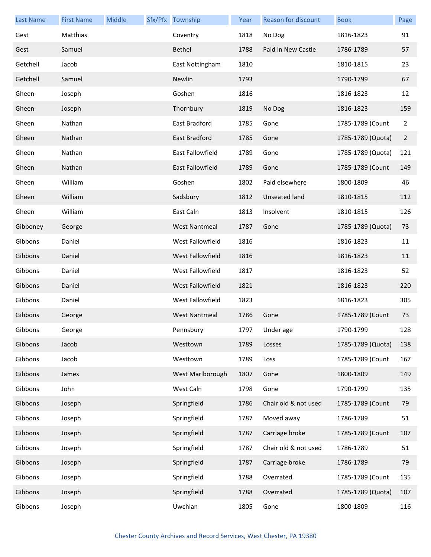| <b>Last Name</b> | <b>First Name</b> | Middle | Sfx/Pfx Township        | Year | <b>Reason for discount</b> | <b>Book</b>       | Page           |
|------------------|-------------------|--------|-------------------------|------|----------------------------|-------------------|----------------|
| Gest             | Matthias          |        | Coventry                | 1818 | No Dog                     | 1816-1823         | 91             |
| Gest             | Samuel            |        | Bethel                  | 1788 | Paid in New Castle         | 1786-1789         | 57             |
| Getchell         | Jacob             |        | East Nottingham         | 1810 |                            | 1810-1815         | 23             |
| Getchell         | Samuel            |        | Newlin                  | 1793 |                            | 1790-1799         | 67             |
| Gheen            | Joseph            |        | Goshen                  | 1816 |                            | 1816-1823         | 12             |
| Gheen            | Joseph            |        | Thornbury               | 1819 | No Dog                     | 1816-1823         | 159            |
| Gheen            | Nathan            |        | East Bradford           | 1785 | Gone                       | 1785-1789 (Count  | 2              |
| Gheen            | Nathan            |        | East Bradford           | 1785 | Gone                       | 1785-1789 (Quota) | $\overline{2}$ |
| Gheen            | Nathan            |        | East Fallowfield        | 1789 | Gone                       | 1785-1789 (Quota) | 121            |
| Gheen            | Nathan            |        | <b>East Fallowfield</b> | 1789 | Gone                       | 1785-1789 (Count  | 149            |
| Gheen            | William           |        | Goshen                  | 1802 | Paid elsewhere             | 1800-1809         | 46             |
| Gheen            | William           |        | Sadsbury                | 1812 | Unseated land              | 1810-1815         | 112            |
| Gheen            | William           |        | East Caln               | 1813 | Insolvent                  | 1810-1815         | 126            |
| Gibboney         | George            |        | <b>West Nantmeal</b>    | 1787 | Gone                       | 1785-1789 (Quota) | 73             |
| Gibbons          | Daniel            |        | West Fallowfield        | 1816 |                            | 1816-1823         | 11             |
| Gibbons          | Daniel            |        | <b>West Fallowfield</b> | 1816 |                            | 1816-1823         | 11             |
| Gibbons          | Daniel            |        | West Fallowfield        | 1817 |                            | 1816-1823         | 52             |
| Gibbons          | Daniel            |        | West Fallowfield        | 1821 |                            | 1816-1823         | 220            |
| Gibbons          | Daniel            |        | West Fallowfield        | 1823 |                            | 1816-1823         | 305            |
| Gibbons          | George            |        | <b>West Nantmeal</b>    | 1786 | Gone                       | 1785-1789 (Count  | 73             |
| Gibbons          | George            |        | Pennsbury               | 1797 | Under age                  | 1790-1799         | 128            |
| Gibbons          | Jacob             |        | Westtown                | 1789 | Losses                     | 1785-1789 (Quota) | 138            |
| Gibbons          | Jacob             |        | Westtown                | 1789 | Loss                       | 1785-1789 (Count  | 167            |
| Gibbons          | James             |        | West Marlborough        | 1807 | Gone                       | 1800-1809         | 149            |
| Gibbons          | John              |        | West Caln               | 1798 | Gone                       | 1790-1799         | 135            |
| Gibbons          | Joseph            |        | Springfield             | 1786 | Chair old & not used       | 1785-1789 (Count  | 79             |
| Gibbons          | Joseph            |        | Springfield             | 1787 | Moved away                 | 1786-1789         | 51             |
| Gibbons          | Joseph            |        | Springfield             | 1787 | Carriage broke             | 1785-1789 (Count  | 107            |
| Gibbons          | Joseph            |        | Springfield             | 1787 | Chair old & not used       | 1786-1789         | 51             |
| Gibbons          | Joseph            |        | Springfield             | 1787 | Carriage broke             | 1786-1789         | 79             |
| Gibbons          | Joseph            |        | Springfield             | 1788 | Overrated                  | 1785-1789 (Count  | 135            |
| Gibbons          | Joseph            |        | Springfield             | 1788 | Overrated                  | 1785-1789 (Quota) | 107            |
| Gibbons          | Joseph            |        | Uwchlan                 | 1805 | Gone                       | 1800-1809         | 116            |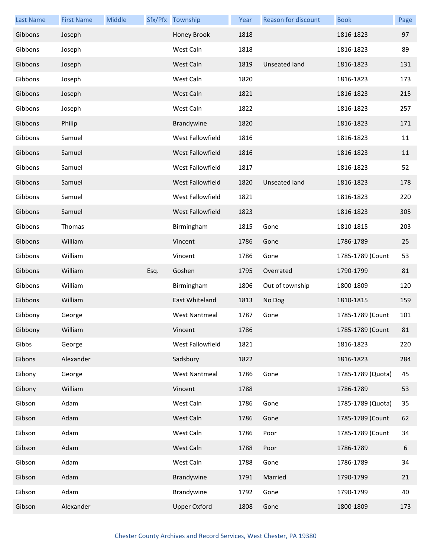| <b>Last Name</b> | <b>First Name</b> | Middle |      | Sfx/Pfx Township     | Year | <b>Reason for discount</b> | <b>Book</b>       | Page |
|------------------|-------------------|--------|------|----------------------|------|----------------------------|-------------------|------|
| Gibbons          | Joseph            |        |      | Honey Brook          | 1818 |                            | 1816-1823         | 97   |
| Gibbons          | Joseph            |        |      | West Caln            | 1818 |                            | 1816-1823         | 89   |
| Gibbons          | Joseph            |        |      | West Caln            | 1819 | Unseated land              | 1816-1823         | 131  |
| Gibbons          | Joseph            |        |      | West Caln            | 1820 |                            | 1816-1823         | 173  |
| Gibbons          | Joseph            |        |      | West Caln            | 1821 |                            | 1816-1823         | 215  |
| Gibbons          | Joseph            |        |      | West Caln            | 1822 |                            | 1816-1823         | 257  |
| Gibbons          | Philip            |        |      | Brandywine           | 1820 |                            | 1816-1823         | 171  |
| Gibbons          | Samuel            |        |      | West Fallowfield     | 1816 |                            | 1816-1823         | 11   |
| Gibbons          | Samuel            |        |      | West Fallowfield     | 1816 |                            | 1816-1823         | 11   |
| Gibbons          | Samuel            |        |      | West Fallowfield     | 1817 |                            | 1816-1823         | 52   |
| Gibbons          | Samuel            |        |      | West Fallowfield     | 1820 | Unseated land              | 1816-1823         | 178  |
| Gibbons          | Samuel            |        |      | West Fallowfield     | 1821 |                            | 1816-1823         | 220  |
| Gibbons          | Samuel            |        |      | West Fallowfield     | 1823 |                            | 1816-1823         | 305  |
| Gibbons          | Thomas            |        |      | Birmingham           | 1815 | Gone                       | 1810-1815         | 203  |
| Gibbons          | William           |        |      | Vincent              | 1786 | Gone                       | 1786-1789         | 25   |
| Gibbons          | William           |        |      | Vincent              | 1786 | Gone                       | 1785-1789 (Count  | 53   |
| Gibbons          | William           |        | Esq. | Goshen               | 1795 | Overrated                  | 1790-1799         | 81   |
| Gibbons          | William           |        |      | Birmingham           | 1806 | Out of township            | 1800-1809         | 120  |
| Gibbons          | William           |        |      | East Whiteland       | 1813 | No Dog                     | 1810-1815         | 159  |
| Gibbony          | George            |        |      | <b>West Nantmeal</b> | 1787 | Gone                       | 1785-1789 (Count  | 101  |
| Gibbony          | William           |        |      | Vincent              | 1786 |                            | 1785-1789 (Count  | 81   |
| Gibbs            | George            |        |      | West Fallowfield     | 1821 |                            | 1816-1823         | 220  |
| Gibons           | Alexander         |        |      | Sadsbury             | 1822 |                            | 1816-1823         | 284  |
| Gibony           | George            |        |      | <b>West Nantmeal</b> | 1786 | Gone                       | 1785-1789 (Quota) | 45   |
| Gibony           | William           |        |      | Vincent              | 1788 |                            | 1786-1789         | 53   |
| Gibson           | Adam              |        |      | West Caln            | 1786 | Gone                       | 1785-1789 (Quota) | 35   |
| Gibson           | Adam              |        |      | West Caln            | 1786 | Gone                       | 1785-1789 (Count  | 62   |
| Gibson           | Adam              |        |      | West Caln            | 1786 | Poor                       | 1785-1789 (Count  | 34   |
| Gibson           | Adam              |        |      | West Caln            | 1788 | Poor                       | 1786-1789         | 6    |
| Gibson           | Adam              |        |      | West Caln            | 1788 | Gone                       | 1786-1789         | 34   |
| Gibson           | Adam              |        |      | Brandywine           | 1791 | Married                    | 1790-1799         | 21   |
| Gibson           | Adam              |        |      | Brandywine           | 1792 | Gone                       | 1790-1799         | 40   |
| Gibson           | Alexander         |        |      | <b>Upper Oxford</b>  | 1808 | Gone                       | 1800-1809         | 173  |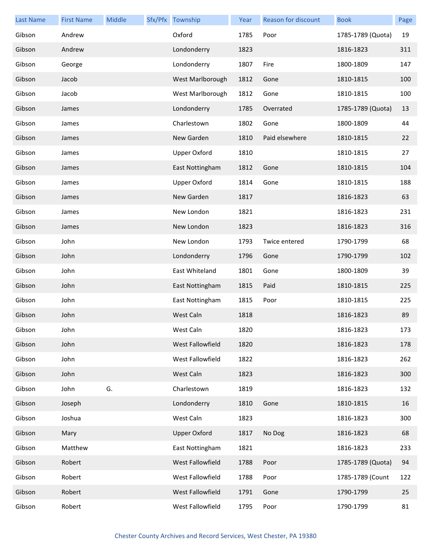| <b>Last Name</b> | <b>First Name</b> | Middle | Sfx/Pfx Township    | Year | Reason for discount | <b>Book</b>       | Page |
|------------------|-------------------|--------|---------------------|------|---------------------|-------------------|------|
| Gibson           | Andrew            |        | Oxford              | 1785 | Poor                | 1785-1789 (Quota) | 19   |
| Gibson           | Andrew            |        | Londonderry         | 1823 |                     | 1816-1823         | 311  |
| Gibson           | George            |        | Londonderry         | 1807 | Fire                | 1800-1809         | 147  |
| Gibson           | Jacob             |        | West Marlborough    | 1812 | Gone                | 1810-1815         | 100  |
| Gibson           | Jacob             |        | West Marlborough    | 1812 | Gone                | 1810-1815         | 100  |
| Gibson           | James             |        | Londonderry         | 1785 | Overrated           | 1785-1789 (Quota) | 13   |
| Gibson           | James             |        | Charlestown         | 1802 | Gone                | 1800-1809         | 44   |
| Gibson           | James             |        | New Garden          | 1810 | Paid elsewhere      | 1810-1815         | 22   |
| Gibson           | James             |        | <b>Upper Oxford</b> | 1810 |                     | 1810-1815         | 27   |
| Gibson           | James             |        | East Nottingham     | 1812 | Gone                | 1810-1815         | 104  |
| Gibson           | James             |        | <b>Upper Oxford</b> | 1814 | Gone                | 1810-1815         | 188  |
| Gibson           | James             |        | New Garden          | 1817 |                     | 1816-1823         | 63   |
| Gibson           | James             |        | New London          | 1821 |                     | 1816-1823         | 231  |
| Gibson           | James             |        | New London          | 1823 |                     | 1816-1823         | 316  |
| Gibson           | John              |        | New London          | 1793 | Twice entered       | 1790-1799         | 68   |
| Gibson           | John              |        | Londonderry         | 1796 | Gone                | 1790-1799         | 102  |
| Gibson           | John              |        | East Whiteland      | 1801 | Gone                | 1800-1809         | 39   |
| Gibson           | John              |        | East Nottingham     | 1815 | Paid                | 1810-1815         | 225  |
| Gibson           | John              |        | East Nottingham     | 1815 | Poor                | 1810-1815         | 225  |
| Gibson           | John              |        | West Caln           | 1818 |                     | 1816-1823         | 89   |
| Gibson           | John              |        | West Caln           | 1820 |                     | 1816-1823         | 173  |
| Gibson           | John              |        | West Fallowfield    | 1820 |                     | 1816-1823         | 178  |
| Gibson           | John              |        | West Fallowfield    | 1822 |                     | 1816-1823         | 262  |
| Gibson           | John              |        | West Caln           | 1823 |                     | 1816-1823         | 300  |
| Gibson           | John              | G.     | Charlestown         | 1819 |                     | 1816-1823         | 132  |
| Gibson           | Joseph            |        | Londonderry         | 1810 | Gone                | 1810-1815         | 16   |
| Gibson           | Joshua            |        | West Caln           | 1823 |                     | 1816-1823         | 300  |
| Gibson           | Mary              |        | <b>Upper Oxford</b> | 1817 | No Dog              | 1816-1823         | 68   |
| Gibson           | Matthew           |        | East Nottingham     | 1821 |                     | 1816-1823         | 233  |
| Gibson           | Robert            |        | West Fallowfield    | 1788 | Poor                | 1785-1789 (Quota) | 94   |
| Gibson           | Robert            |        | West Fallowfield    | 1788 | Poor                | 1785-1789 (Count  | 122  |
| Gibson           | Robert            |        | West Fallowfield    | 1791 | Gone                | 1790-1799         | 25   |
| Gibson           | Robert            |        | West Fallowfield    | 1795 | Poor                | 1790-1799         | 81   |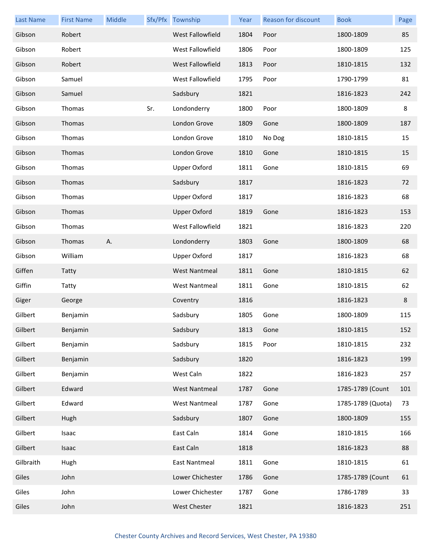| <b>Last Name</b> | <b>First Name</b> | Middle |     | Sfx/Pfx Township        | Year | Reason for discount | <b>Book</b>       | Page |
|------------------|-------------------|--------|-----|-------------------------|------|---------------------|-------------------|------|
| Gibson           | Robert            |        |     | West Fallowfield        | 1804 | Poor                | 1800-1809         | 85   |
| Gibson           | Robert            |        |     | West Fallowfield        | 1806 | Poor                | 1800-1809         | 125  |
| Gibson           | Robert            |        |     | <b>West Fallowfield</b> | 1813 | Poor                | 1810-1815         | 132  |
| Gibson           | Samuel            |        |     | West Fallowfield        | 1795 | Poor                | 1790-1799         | 81   |
| Gibson           | Samuel            |        |     | Sadsbury                | 1821 |                     | 1816-1823         | 242  |
| Gibson           | Thomas            |        | Sr. | Londonderry             | 1800 | Poor                | 1800-1809         | 8    |
| Gibson           | Thomas            |        |     | London Grove            | 1809 | Gone                | 1800-1809         | 187  |
| Gibson           | Thomas            |        |     | London Grove            | 1810 | No Dog              | 1810-1815         | 15   |
| Gibson           | Thomas            |        |     | London Grove            | 1810 | Gone                | 1810-1815         | 15   |
| Gibson           | Thomas            |        |     | <b>Upper Oxford</b>     | 1811 | Gone                | 1810-1815         | 69   |
| Gibson           | Thomas            |        |     | Sadsbury                | 1817 |                     | 1816-1823         | 72   |
| Gibson           | Thomas            |        |     | <b>Upper Oxford</b>     | 1817 |                     | 1816-1823         | 68   |
| Gibson           | Thomas            |        |     | <b>Upper Oxford</b>     | 1819 | Gone                | 1816-1823         | 153  |
| Gibson           | Thomas            |        |     | West Fallowfield        | 1821 |                     | 1816-1823         | 220  |
| Gibson           | Thomas            | Α.     |     | Londonderry             | 1803 | Gone                | 1800-1809         | 68   |
| Gibson           | William           |        |     | <b>Upper Oxford</b>     | 1817 |                     | 1816-1823         | 68   |
| Giffen           | Tatty             |        |     | <b>West Nantmeal</b>    | 1811 | Gone                | 1810-1815         | 62   |
| Giffin           | Tatty             |        |     | <b>West Nantmeal</b>    | 1811 | Gone                | 1810-1815         | 62   |
| Giger            | George            |        |     | Coventry                | 1816 |                     | 1816-1823         | 8    |
| Gilbert          | Benjamin          |        |     | Sadsbury                | 1805 | Gone                | 1800-1809         | 115  |
| Gilbert          | Benjamin          |        |     | Sadsbury                | 1813 | Gone                | 1810-1815         | 152  |
| Gilbert          | Benjamin          |        |     | Sadsbury                | 1815 | Poor                | 1810-1815         | 232  |
| Gilbert          | Benjamin          |        |     | Sadsbury                | 1820 |                     | 1816-1823         | 199  |
| Gilbert          | Benjamin          |        |     | West Caln               | 1822 |                     | 1816-1823         | 257  |
| Gilbert          | Edward            |        |     | <b>West Nantmeal</b>    | 1787 | Gone                | 1785-1789 (Count  | 101  |
| Gilbert          | Edward            |        |     | <b>West Nantmeal</b>    | 1787 | Gone                | 1785-1789 (Quota) | 73   |
| Gilbert          | Hugh              |        |     | Sadsbury                | 1807 | Gone                | 1800-1809         | 155  |
| Gilbert          | Isaac             |        |     | East Caln               | 1814 | Gone                | 1810-1815         | 166  |
| Gilbert          | Isaac             |        |     | East Caln               | 1818 |                     | 1816-1823         | 88   |
| Gilbraith        | Hugh              |        |     | <b>East Nantmeal</b>    | 1811 | Gone                | 1810-1815         | 61   |
| Giles            | John              |        |     | Lower Chichester        | 1786 | Gone                | 1785-1789 (Count  | 61   |
| Giles            | John              |        |     | Lower Chichester        | 1787 | Gone                | 1786-1789         | 33   |
| Giles            | John              |        |     | West Chester            | 1821 |                     | 1816-1823         | 251  |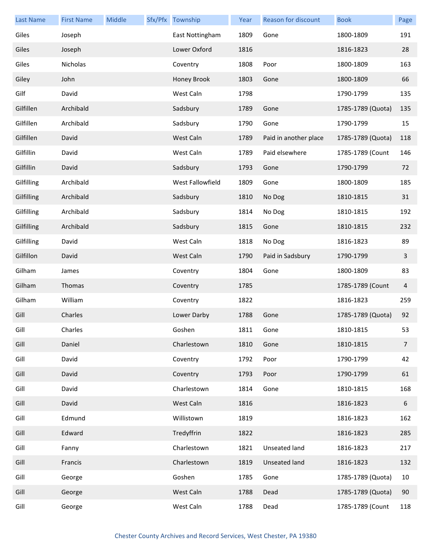| <b>Last Name</b> | <b>First Name</b> | Middle | Sfx/Pfx Township | Year | <b>Reason for discount</b> | <b>Book</b>       | Page            |
|------------------|-------------------|--------|------------------|------|----------------------------|-------------------|-----------------|
| Giles            | Joseph            |        | East Nottingham  | 1809 | Gone                       | 1800-1809         | 191             |
| Giles            | Joseph            |        | Lower Oxford     | 1816 |                            | 1816-1823         | 28              |
| Giles            | Nicholas          |        | Coventry         | 1808 | Poor                       | 1800-1809         | 163             |
| Giley            | John              |        | Honey Brook      | 1803 | Gone                       | 1800-1809         | 66              |
| Gilf             | David             |        | West Caln        | 1798 |                            | 1790-1799         | 135             |
| Gilfillen        | Archibald         |        | Sadsbury         | 1789 | Gone                       | 1785-1789 (Quota) | 135             |
| Gilfillen        | Archibald         |        | Sadsbury         | 1790 | Gone                       | 1790-1799         | 15              |
| Gilfillen        | David             |        | West Caln        | 1789 | Paid in another place      | 1785-1789 (Quota) | 118             |
| Gilfillin        | David             |        | West Caln        | 1789 | Paid elsewhere             | 1785-1789 (Count  | 146             |
| Gilfillin        | David             |        | Sadsbury         | 1793 | Gone                       | 1790-1799         | 72              |
| Gilfilling       | Archibald         |        | West Fallowfield | 1809 | Gone                       | 1800-1809         | 185             |
| Gilfilling       | Archibald         |        | Sadsbury         | 1810 | No Dog                     | 1810-1815         | 31              |
| Gilfilling       | Archibald         |        | Sadsbury         | 1814 | No Dog                     | 1810-1815         | 192             |
| Gilfilling       | Archibald         |        | Sadsbury         | 1815 | Gone                       | 1810-1815         | 232             |
| Gilfilling       | David             |        | West Caln        | 1818 | No Dog                     | 1816-1823         | 89              |
| Gilfillon        | David             |        | West Caln        | 1790 | Paid in Sadsbury           | 1790-1799         | 3               |
| Gilham           | James             |        | Coventry         | 1804 | Gone                       | 1800-1809         | 83              |
| Gilham           | Thomas            |        | Coventry         | 1785 |                            | 1785-1789 (Count  | 4               |
| Gilham           | William           |        | Coventry         | 1822 |                            | 1816-1823         | 259             |
| Gill             | Charles           |        | Lower Darby      | 1788 | Gone                       | 1785-1789 (Quota) | 92              |
| Gill             | Charles           |        | Goshen           | 1811 | Gone                       | 1810-1815         | 53              |
| Gill             | Daniel            |        | Charlestown      | 1810 | Gone                       | 1810-1815         | $7\overline{ }$ |
| Gill             | David             |        | Coventry         | 1792 | Poor                       | 1790-1799         | 42              |
| Gill             | David             |        | Coventry         | 1793 | Poor                       | 1790-1799         | 61              |
| Gill             | David             |        | Charlestown      | 1814 | Gone                       | 1810-1815         | 168             |
| Gill             | David             |        | West Caln        | 1816 |                            | 1816-1823         | 6               |
| Gill             | Edmund            |        | Willistown       | 1819 |                            | 1816-1823         | 162             |
| Gill             | Edward            |        | Tredyffrin       | 1822 |                            | 1816-1823         | 285             |
| Gill             | Fanny             |        | Charlestown      | 1821 | Unseated land              | 1816-1823         | 217             |
| Gill             | Francis           |        | Charlestown      | 1819 | <b>Unseated land</b>       | 1816-1823         | 132             |
| Gill             | George            |        | Goshen           | 1785 | Gone                       | 1785-1789 (Quota) | 10              |
| Gill             | George            |        | West Caln        | 1788 | Dead                       | 1785-1789 (Quota) | 90              |
| Gill             | George            |        | West Caln        | 1788 | Dead                       | 1785-1789 (Count  | 118             |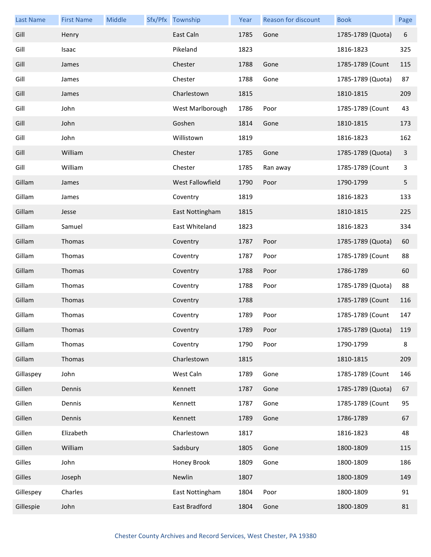| <b>Last Name</b> | <b>First Name</b> | Middle | Sfx/Pfx Township | Year | Reason for discount | <b>Book</b>       | Page           |
|------------------|-------------------|--------|------------------|------|---------------------|-------------------|----------------|
| Gill             | Henry             |        | East Caln        | 1785 | Gone                | 1785-1789 (Quota) | 6              |
| Gill             | Isaac             |        | Pikeland         | 1823 |                     | 1816-1823         | 325            |
| Gill             | James             |        | Chester          | 1788 | Gone                | 1785-1789 (Count  | 115            |
| Gill             | James             |        | Chester          | 1788 | Gone                | 1785-1789 (Quota) | 87             |
| Gill             | James             |        | Charlestown      | 1815 |                     | 1810-1815         | 209            |
| Gill             | John              |        | West Marlborough | 1786 | Poor                | 1785-1789 (Count  | 43             |
| Gill             | John              |        | Goshen           | 1814 | Gone                | 1810-1815         | 173            |
| Gill             | John              |        | Willistown       | 1819 |                     | 1816-1823         | 162            |
| Gill             | William           |        | Chester          | 1785 | Gone                | 1785-1789 (Quota) | $\overline{3}$ |
| Gill             | William           |        | Chester          | 1785 | Ran away            | 1785-1789 (Count  | 3              |
| Gillam           | James             |        | West Fallowfield | 1790 | Poor                | 1790-1799         | 5              |
| Gillam           | James             |        | Coventry         | 1819 |                     | 1816-1823         | 133            |
| Gillam           | Jesse             |        | East Nottingham  | 1815 |                     | 1810-1815         | 225            |
| Gillam           | Samuel            |        | East Whiteland   | 1823 |                     | 1816-1823         | 334            |
| Gillam           | Thomas            |        | Coventry         | 1787 | Poor                | 1785-1789 (Quota) | 60             |
| Gillam           | Thomas            |        | Coventry         | 1787 | Poor                | 1785-1789 (Count  | 88             |
| Gillam           | Thomas            |        | Coventry         | 1788 | Poor                | 1786-1789         | 60             |
| Gillam           | Thomas            |        | Coventry         | 1788 | Poor                | 1785-1789 (Quota) | 88             |
| Gillam           | Thomas            |        | Coventry         | 1788 |                     | 1785-1789 (Count  | 116            |
| Gillam           | Thomas            |        | Coventry         | 1789 | Poor                | 1785-1789 (Count  | 147            |
| Gillam           | Thomas            |        | Coventry         | 1789 | Poor                | 1785-1789 (Quota) | 119            |
| Gillam           | Thomas            |        | Coventry         | 1790 | Poor                | 1790-1799         | 8              |
| Gillam           | Thomas            |        | Charlestown      | 1815 |                     | 1810-1815         | 209            |
| Gillaspey        | John              |        | West Caln        | 1789 | Gone                | 1785-1789 (Count  | 146            |
| Gillen           | Dennis            |        | Kennett          | 1787 | Gone                | 1785-1789 (Quota) | 67             |
| Gillen           | Dennis            |        | Kennett          | 1787 | Gone                | 1785-1789 (Count  | 95             |
| Gillen           | Dennis            |        | Kennett          | 1789 | Gone                | 1786-1789         | 67             |
| Gillen           | Elizabeth         |        | Charlestown      | 1817 |                     | 1816-1823         | 48             |
| Gillen           | William           |        | Sadsbury         | 1805 | Gone                | 1800-1809         | 115            |
| Gilles           | John              |        | Honey Brook      | 1809 | Gone                | 1800-1809         | 186            |
| Gilles           | Joseph            |        | Newlin           | 1807 |                     | 1800-1809         | 149            |
| Gillespey        | Charles           |        | East Nottingham  | 1804 | Poor                | 1800-1809         | 91             |
| Gillespie        | John              |        | East Bradford    | 1804 | Gone                | 1800-1809         | 81             |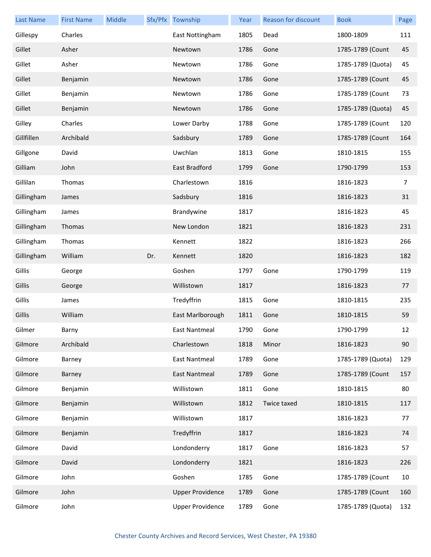| <b>Last Name</b> | <b>First Name</b> | Middle |     | Sfx/Pfx Township        | Year | Reason for discount | <b>Book</b>       | Page |
|------------------|-------------------|--------|-----|-------------------------|------|---------------------|-------------------|------|
| Gillespy         | Charles           |        |     | East Nottingham         | 1805 | Dead                | 1800-1809         | 111  |
| Gillet           | Asher             |        |     | Newtown                 | 1786 | Gone                | 1785-1789 (Count  | 45   |
| Gillet           | Asher             |        |     | Newtown                 | 1786 | Gone                | 1785-1789 (Quota) | 45   |
| Gillet           | Benjamin          |        |     | Newtown                 | 1786 | Gone                | 1785-1789 (Count  | 45   |
| Gillet           | Benjamin          |        |     | Newtown                 | 1786 | Gone                | 1785-1789 (Count  | 73   |
| Gillet           | Benjamin          |        |     | Newtown                 | 1786 | Gone                | 1785-1789 (Quota) | 45   |
| Gilley           | Charles           |        |     | Lower Darby             | 1788 | Gone                | 1785-1789 (Count  | 120  |
| Gillfillen       | Archibald         |        |     | Sadsbury                | 1789 | Gone                | 1785-1789 (Count  | 164  |
| Gillgone         | David             |        |     | Uwchlan                 | 1813 | Gone                | 1810-1815         | 155  |
| Gilliam          | John              |        |     | East Bradford           | 1799 | Gone                | 1790-1799         | 153  |
| Gillilan         | Thomas            |        |     | Charlestown             | 1816 |                     | 1816-1823         | 7    |
| Gillingham       | James             |        |     | Sadsbury                | 1816 |                     | 1816-1823         | 31   |
| Gillingham       | James             |        |     | Brandywine              | 1817 |                     | 1816-1823         | 45   |
| Gillingham       | Thomas            |        |     | New London              | 1821 |                     | 1816-1823         | 231  |
| Gillingham       | Thomas            |        |     | Kennett                 | 1822 |                     | 1816-1823         | 266  |
| Gillingham       | William           |        | Dr. | Kennett                 | 1820 |                     | 1816-1823         | 182  |
| Gillis           | George            |        |     | Goshen                  | 1797 | Gone                | 1790-1799         | 119  |
| Gillis           | George            |        |     | Willistown              | 1817 |                     | 1816-1823         | 77   |
| Gillis           | James             |        |     | Tredyffrin              | 1815 | Gone                | 1810-1815         | 235  |
| Gillis           | William           |        |     | East Marlborough        | 1811 | Gone                | 1810-1815         | 59   |
| Gilmer           | Barny             |        |     | East Nantmeal           | 1790 | Gone                | 1790-1799         | 12   |
| Gilmore          | Archibald         |        |     | Charlestown             | 1818 | Minor               | 1816-1823         | 90   |
| Gilmore          | Barney            |        |     | East Nantmeal           | 1789 | Gone                | 1785-1789 (Quota) | 129  |
| Gilmore          | Barney            |        |     | <b>East Nantmeal</b>    | 1789 | Gone                | 1785-1789 (Count  | 157  |
| Gilmore          | Benjamin          |        |     | Willistown              | 1811 | Gone                | 1810-1815         | 80   |
| Gilmore          | Benjamin          |        |     | Willistown              | 1812 | Twice taxed         | 1810-1815         | 117  |
| Gilmore          | Benjamin          |        |     | Willistown              | 1817 |                     | 1816-1823         | 77   |
| Gilmore          | Benjamin          |        |     | Tredyffrin              | 1817 |                     | 1816-1823         | 74   |
| Gilmore          | David             |        |     | Londonderry             | 1817 | Gone                | 1816-1823         | 57   |
| Gilmore          | David             |        |     | Londonderry             | 1821 |                     | 1816-1823         | 226  |
| Gilmore          | John              |        |     | Goshen                  | 1785 | Gone                | 1785-1789 (Count  | 10   |
| Gilmore          | John              |        |     | <b>Upper Providence</b> | 1789 | Gone                | 1785-1789 (Count  | 160  |
| Gilmore          | John              |        |     | <b>Upper Providence</b> | 1789 | Gone                | 1785-1789 (Quota) | 132  |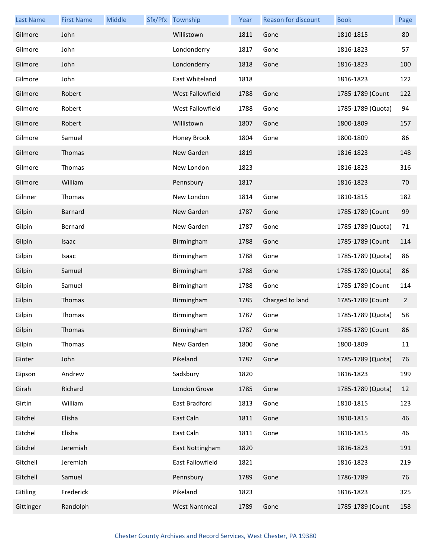| <b>Last Name</b> | <b>First Name</b> | Middle | Sfx/Pfx Township     | Year | Reason for discount | <b>Book</b>       | Page           |
|------------------|-------------------|--------|----------------------|------|---------------------|-------------------|----------------|
| Gilmore          | John              |        | Willistown           | 1811 | Gone                | 1810-1815         | 80             |
| Gilmore          | John              |        | Londonderry          | 1817 | Gone                | 1816-1823         | 57             |
| Gilmore          | John              |        | Londonderry          | 1818 | Gone                | 1816-1823         | 100            |
| Gilmore          | John              |        | East Whiteland       | 1818 |                     | 1816-1823         | 122            |
| Gilmore          | Robert            |        | West Fallowfield     | 1788 | Gone                | 1785-1789 (Count  | 122            |
| Gilmore          | Robert            |        | West Fallowfield     | 1788 | Gone                | 1785-1789 (Quota) | 94             |
| Gilmore          | Robert            |        | Willistown           | 1807 | Gone                | 1800-1809         | 157            |
| Gilmore          | Samuel            |        | Honey Brook          | 1804 | Gone                | 1800-1809         | 86             |
| Gilmore          | Thomas            |        | New Garden           | 1819 |                     | 1816-1823         | 148            |
| Gilmore          | Thomas            |        | New London           | 1823 |                     | 1816-1823         | 316            |
| Gilmore          | William           |        | Pennsbury            | 1817 |                     | 1816-1823         | 70             |
| Gilnner          | Thomas            |        | New London           | 1814 | Gone                | 1810-1815         | 182            |
| Gilpin           | Barnard           |        | New Garden           | 1787 | Gone                | 1785-1789 (Count  | 99             |
| Gilpin           | Bernard           |        | New Garden           | 1787 | Gone                | 1785-1789 (Quota) | 71             |
| Gilpin           | Isaac             |        | Birmingham           | 1788 | Gone                | 1785-1789 (Count  | 114            |
| Gilpin           | Isaac             |        | Birmingham           | 1788 | Gone                | 1785-1789 (Quota) | 86             |
| Gilpin           | Samuel            |        | Birmingham           | 1788 | Gone                | 1785-1789 (Quota) | 86             |
| Gilpin           | Samuel            |        | Birmingham           | 1788 | Gone                | 1785-1789 (Count  | 114            |
| Gilpin           | Thomas            |        | Birmingham           | 1785 | Charged to land     | 1785-1789 (Count  | $\overline{2}$ |
| Gilpin           | Thomas            |        | Birmingham           | 1787 | Gone                | 1785-1789 (Quota) | 58             |
| Gilpin           | Thomas            |        | Birmingham           | 1787 | Gone                | 1785-1789 (Count  | 86             |
| Gilpin           | Thomas            |        | New Garden           | 1800 | Gone                | 1800-1809         | 11             |
| Ginter           | John              |        | Pikeland             | 1787 | Gone                | 1785-1789 (Quota) | 76             |
| Gipson           | Andrew            |        | Sadsbury             | 1820 |                     | 1816-1823         | 199            |
| Girah            | Richard           |        | London Grove         | 1785 | Gone                | 1785-1789 (Quota) | 12             |
| Girtin           | William           |        | East Bradford        | 1813 | Gone                | 1810-1815         | 123            |
| Gitchel          | Elisha            |        | East Caln            | 1811 | Gone                | 1810-1815         | 46             |
| Gitchel          | Elisha            |        | East Caln            | 1811 | Gone                | 1810-1815         | 46             |
| Gitchel          | Jeremiah          |        | East Nottingham      | 1820 |                     | 1816-1823         | 191            |
| Gitchell         | Jeremiah          |        | East Fallowfield     | 1821 |                     | 1816-1823         | 219            |
| Gitchell         | Samuel            |        | Pennsbury            | 1789 | Gone                | 1786-1789         | 76             |
| Gitiling         | Frederick         |        | Pikeland             | 1823 |                     | 1816-1823         | 325            |
| Gittinger        | Randolph          |        | <b>West Nantmeal</b> | 1789 | Gone                | 1785-1789 (Count  | 158            |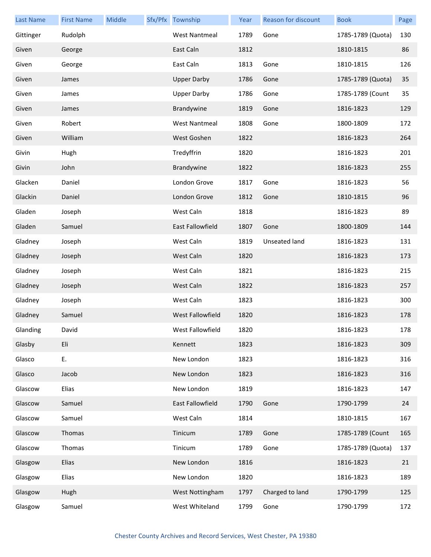| <b>Last Name</b> | <b>First Name</b> | Middle | Sfx/Pfx Township        | Year | Reason for discount | <b>Book</b>       | Page |
|------------------|-------------------|--------|-------------------------|------|---------------------|-------------------|------|
| Gittinger        | Rudolph           |        | <b>West Nantmeal</b>    | 1789 | Gone                | 1785-1789 (Quota) | 130  |
| Given            | George            |        | East Caln               | 1812 |                     | 1810-1815         | 86   |
| Given            | George            |        | East Caln               | 1813 | Gone                | 1810-1815         | 126  |
| Given            | James             |        | <b>Upper Darby</b>      | 1786 | Gone                | 1785-1789 (Quota) | 35   |
| Given            | James             |        | <b>Upper Darby</b>      | 1786 | Gone                | 1785-1789 (Count  | 35   |
| Given            | James             |        | Brandywine              | 1819 | Gone                | 1816-1823         | 129  |
| Given            | Robert            |        | <b>West Nantmeal</b>    | 1808 | Gone                | 1800-1809         | 172  |
| Given            | William           |        | West Goshen             | 1822 |                     | 1816-1823         | 264  |
| Givin            | Hugh              |        | Tredyffrin              | 1820 |                     | 1816-1823         | 201  |
| Givin            | John              |        | Brandywine              | 1822 |                     | 1816-1823         | 255  |
| Glacken          | Daniel            |        | London Grove            | 1817 | Gone                | 1816-1823         | 56   |
| Glackin          | Daniel            |        | London Grove            | 1812 | Gone                | 1810-1815         | 96   |
| Gladen           | Joseph            |        | West Caln               | 1818 |                     | 1816-1823         | 89   |
| Gladen           | Samuel            |        | <b>East Fallowfield</b> | 1807 | Gone                | 1800-1809         | 144  |
| Gladney          | Joseph            |        | West Caln               | 1819 | Unseated land       | 1816-1823         | 131  |
| Gladney          | Joseph            |        | West Caln               | 1820 |                     | 1816-1823         | 173  |
| Gladney          | Joseph            |        | West Caln               | 1821 |                     | 1816-1823         | 215  |
| Gladney          | Joseph            |        | West Caln               | 1822 |                     | 1816-1823         | 257  |
| Gladney          | Joseph            |        | West Caln               | 1823 |                     | 1816-1823         | 300  |
| Gladney          | Samuel            |        | West Fallowfield        | 1820 |                     | 1816-1823         | 178  |
| Glanding         | David             |        | West Fallowfield        | 1820 |                     | 1816-1823         | 178  |
| Glasby           | Eli               |        | Kennett                 | 1823 |                     | 1816-1823         | 309  |
| Glasco           | Ε.                |        | New London              | 1823 |                     | 1816-1823         | 316  |
| Glasco           | Jacob             |        | New London              | 1823 |                     | 1816-1823         | 316  |
| Glascow          | Elias             |        | New London              | 1819 |                     | 1816-1823         | 147  |
| Glascow          | Samuel            |        | East Fallowfield        | 1790 | Gone                | 1790-1799         | 24   |
| Glascow          | Samuel            |        | West Caln               | 1814 |                     | 1810-1815         | 167  |
| Glascow          | Thomas            |        | Tinicum                 | 1789 | Gone                | 1785-1789 (Count  | 165  |
| Glascow          | Thomas            |        | Tinicum                 | 1789 | Gone                | 1785-1789 (Quota) | 137  |
| Glasgow          | Elias             |        | New London              | 1816 |                     | 1816-1823         | 21   |
| Glasgow          | Elias             |        | New London              | 1820 |                     | 1816-1823         | 189  |
| Glasgow          | Hugh              |        | West Nottingham         | 1797 | Charged to land     | 1790-1799         | 125  |
| Glasgow          | Samuel            |        | West Whiteland          | 1799 | Gone                | 1790-1799         | 172  |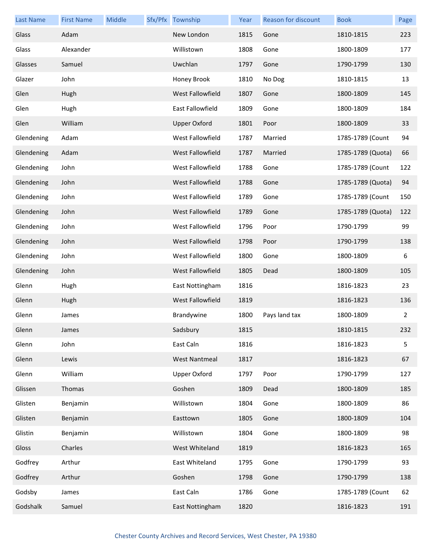| <b>Last Name</b> | <b>First Name</b> | Middle | Sfx/Pfx Township        | Year | Reason for discount | <b>Book</b>       | Page |
|------------------|-------------------|--------|-------------------------|------|---------------------|-------------------|------|
| Glass            | Adam              |        | New London              | 1815 | Gone                | 1810-1815         | 223  |
| Glass            | Alexander         |        | Willistown              | 1808 | Gone                | 1800-1809         | 177  |
| Glasses          | Samuel            |        | Uwchlan                 | 1797 | Gone                | 1790-1799         | 130  |
| Glazer           | John              |        | Honey Brook             | 1810 | No Dog              | 1810-1815         | 13   |
| Glen             | Hugh              |        | <b>West Fallowfield</b> | 1807 | Gone                | 1800-1809         | 145  |
| Glen             | Hugh              |        | East Fallowfield        | 1809 | Gone                | 1800-1809         | 184  |
| Glen             | William           |        | <b>Upper Oxford</b>     | 1801 | Poor                | 1800-1809         | 33   |
| Glendening       | Adam              |        | West Fallowfield        | 1787 | Married             | 1785-1789 (Count  | 94   |
| Glendening       | Adam              |        | West Fallowfield        | 1787 | Married             | 1785-1789 (Quota) | 66   |
| Glendening       | John              |        | West Fallowfield        | 1788 | Gone                | 1785-1789 (Count  | 122  |
| Glendening       | John              |        | West Fallowfield        | 1788 | Gone                | 1785-1789 (Quota) | 94   |
| Glendening       | John              |        | West Fallowfield        | 1789 | Gone                | 1785-1789 (Count  | 150  |
| Glendening       | John              |        | West Fallowfield        | 1789 | Gone                | 1785-1789 (Quota) | 122  |
| Glendening       | John              |        | West Fallowfield        | 1796 | Poor                | 1790-1799         | 99   |
| Glendening       | John              |        | West Fallowfield        | 1798 | Poor                | 1790-1799         | 138  |
| Glendening       | John              |        | West Fallowfield        | 1800 | Gone                | 1800-1809         | 6    |
| Glendening       | John              |        | West Fallowfield        | 1805 | Dead                | 1800-1809         | 105  |
| Glenn            | Hugh              |        | East Nottingham         | 1816 |                     | 1816-1823         | 23   |
| Glenn            | Hugh              |        | <b>West Fallowfield</b> | 1819 |                     | 1816-1823         | 136  |
| Glenn            | James             |        | Brandywine              | 1800 | Pays land tax       | 1800-1809         | 2    |
| Glenn            | James             |        | Sadsbury                | 1815 |                     | 1810-1815         | 232  |
| Glenn            | John              |        | East Caln               | 1816 |                     | 1816-1823         | 5    |
| Glenn            | Lewis             |        | <b>West Nantmeal</b>    | 1817 |                     | 1816-1823         | 67   |
| Glenn            | William           |        | <b>Upper Oxford</b>     | 1797 | Poor                | 1790-1799         | 127  |
| Glissen          | Thomas            |        | Goshen                  | 1809 | Dead                | 1800-1809         | 185  |
| Glisten          | Benjamin          |        | Willistown              | 1804 | Gone                | 1800-1809         | 86   |
| Glisten          | Benjamin          |        | Easttown                | 1805 | Gone                | 1800-1809         | 104  |
| Glistin          | Benjamin          |        | Willistown              | 1804 | Gone                | 1800-1809         | 98   |
| Gloss            | Charles           |        | West Whiteland          | 1819 |                     | 1816-1823         | 165  |
| Godfrey          | Arthur            |        | East Whiteland          | 1795 | Gone                | 1790-1799         | 93   |
| Godfrey          | Arthur            |        | Goshen                  | 1798 | Gone                | 1790-1799         | 138  |
| Godsby           | James             |        | East Caln               | 1786 | Gone                | 1785-1789 (Count  | 62   |
| Godshalk         | Samuel            |        | East Nottingham         | 1820 |                     | 1816-1823         | 191  |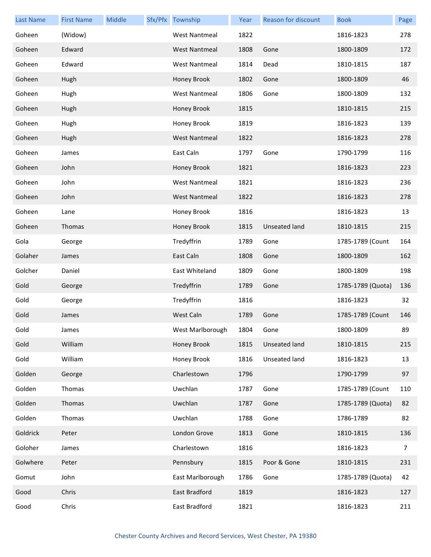| <b>Last Name</b> | <b>First Name</b> | Middle | Sfx/Pfx Township     | Year | Reason for discount  | <b>Book</b>       | Page |
|------------------|-------------------|--------|----------------------|------|----------------------|-------------------|------|
| Goheen           | (Widow)           |        | <b>West Nantmeal</b> | 1822 |                      | 1816-1823         | 278  |
| Goheen           | Edward            |        | <b>West Nantmeal</b> | 1808 | Gone                 | 1800-1809         | 172  |
| Goheen           | Edward            |        | <b>West Nantmeal</b> | 1814 | Dead                 | 1810-1815         | 187  |
| Goheen           | Hugh              |        | Honey Brook          | 1802 | Gone                 | 1800-1809         | 46   |
| Goheen           | Hugh              |        | <b>West Nantmeal</b> | 1806 | Gone                 | 1800-1809         | 132  |
| Goheen           | Hugh              |        | Honey Brook          | 1815 |                      | 1810-1815         | 215  |
| Goheen           | Hugh              |        | Honey Brook          | 1819 |                      | 1816-1823         | 139  |
| Goheen           | Hugh              |        | <b>West Nantmeal</b> | 1822 |                      | 1816-1823         | 278  |
| Goheen           | James             |        | East Caln            | 1797 | Gone                 | 1790-1799         | 116  |
| Goheen           | John              |        | Honey Brook          | 1821 |                      | 1816-1823         | 223  |
| Goheen           | John              |        | <b>West Nantmeal</b> | 1821 |                      | 1816-1823         | 236  |
| Goheen           | John              |        | <b>West Nantmeal</b> | 1822 |                      | 1816-1823         | 278  |
| Goheen           | Lane              |        | Honey Brook          | 1816 |                      | 1816-1823         | 13   |
| Goheen           | Thomas            |        | Honey Brook          | 1815 | <b>Unseated land</b> | 1810-1815         | 215  |
| Gola             | George            |        | Tredyffrin           | 1789 | Gone                 | 1785-1789 (Count  | 164  |
| Golaher          | James             |        | East Caln            | 1808 | Gone                 | 1800-1809         | 162  |
| Golcher          | Daniel            |        | East Whiteland       | 1809 | Gone                 | 1800-1809         | 198  |
| Gold             | George            |        | Tredyffrin           | 1789 | Gone                 | 1785-1789 (Quota) | 136  |
| Gold             | George            |        | Tredyffrin           | 1816 |                      | 1816-1823         | 32   |
| Gold             | James             |        | West Caln            | 1789 | Gone                 | 1785-1789 (Count  | 146  |
| Gold             | James             |        | West Marlborough     | 1804 | Gone                 | 1800-1809         | 89   |
| Gold             | William           |        | Honey Brook          | 1815 | Unseated land        | 1810-1815         | 215  |
| Gold             | William           |        | Honey Brook          | 1816 | Unseated land        | 1816-1823         | 13   |
| Golden           | George            |        | Charlestown          | 1796 |                      | 1790-1799         | 97   |
| Golden           | Thomas            |        | Uwchlan              | 1787 | Gone                 | 1785-1789 (Count  | 110  |
| Golden           | Thomas            |        | Uwchlan              | 1787 | Gone                 | 1785-1789 (Quota) | 82   |
| Golden           | Thomas            |        | Uwchlan              | 1788 | Gone                 | 1786-1789         | 82   |
| Goldrick         | Peter             |        | London Grove         | 1813 | Gone                 | 1810-1815         | 136  |
| Goloher          | James             |        | Charlestown          | 1816 |                      | 1816-1823         | 7    |
| Golwhere         | Peter             |        | Pennsbury            | 1815 | Poor & Gone          | 1810-1815         | 231  |
| Gomut            | John              |        | East Marlborough     | 1786 | Gone                 | 1785-1789 (Quota) | 42   |
| Good             | Chris             |        | East Bradford        | 1819 |                      | 1816-1823         | 127  |
| Good             | Chris             |        | East Bradford        | 1821 |                      | 1816-1823         | 211  |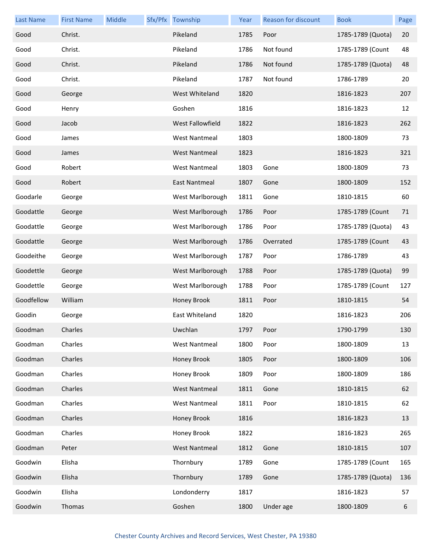| <b>Last Name</b> | <b>First Name</b> | Middle | Sfx/Pfx Township        | Year | <b>Reason for discount</b> | <b>Book</b>       | Page |
|------------------|-------------------|--------|-------------------------|------|----------------------------|-------------------|------|
| Good             | Christ.           |        | Pikeland                | 1785 | Poor                       | 1785-1789 (Quota) | 20   |
| Good             | Christ.           |        | Pikeland                | 1786 | Not found                  | 1785-1789 (Count  | 48   |
| Good             | Christ.           |        | Pikeland                | 1786 | Not found                  | 1785-1789 (Quota) | 48   |
| Good             | Christ.           |        | Pikeland                | 1787 | Not found                  | 1786-1789         | 20   |
| Good             | George            |        | West Whiteland          | 1820 |                            | 1816-1823         | 207  |
| Good             | Henry             |        | Goshen                  | 1816 |                            | 1816-1823         | 12   |
| Good             | Jacob             |        | <b>West Fallowfield</b> | 1822 |                            | 1816-1823         | 262  |
| Good             | James             |        | <b>West Nantmeal</b>    | 1803 |                            | 1800-1809         | 73   |
| Good             | James             |        | <b>West Nantmeal</b>    | 1823 |                            | 1816-1823         | 321  |
| Good             | Robert            |        | <b>West Nantmeal</b>    | 1803 | Gone                       | 1800-1809         | 73   |
| Good             | Robert            |        | <b>East Nantmeal</b>    | 1807 | Gone                       | 1800-1809         | 152  |
| Goodarle         | George            |        | West Marlborough        | 1811 | Gone                       | 1810-1815         | 60   |
| Goodattle        | George            |        | West Marlborough        | 1786 | Poor                       | 1785-1789 (Count  | 71   |
| Goodattle        | George            |        | West Marlborough        | 1786 | Poor                       | 1785-1789 (Quota) | 43   |
| Goodattle        | George            |        | West Marlborough        | 1786 | Overrated                  | 1785-1789 (Count  | 43   |
| Goodeithe        | George            |        | West Marlborough        | 1787 | Poor                       | 1786-1789         | 43   |
| Goodettle        | George            |        | West Marlborough        | 1788 | Poor                       | 1785-1789 (Quota) | 99   |
| Goodettle        | George            |        | West Marlborough        | 1788 | Poor                       | 1785-1789 (Count  | 127  |
| Goodfellow       | William           |        | Honey Brook             | 1811 | Poor                       | 1810-1815         | 54   |
| Goodin           | George            |        | East Whiteland          | 1820 |                            | 1816-1823         | 206  |
| Goodman          | Charles           |        | Uwchlan                 | 1797 | Poor                       | 1790-1799         | 130  |
| Goodman          | Charles           |        | <b>West Nantmeal</b>    | 1800 | Poor                       | 1800-1809         | 13   |
| Goodman          | Charles           |        | Honey Brook             | 1805 | Poor                       | 1800-1809         | 106  |
| Goodman          | Charles           |        | Honey Brook             | 1809 | Poor                       | 1800-1809         | 186  |
| Goodman          | Charles           |        | <b>West Nantmeal</b>    | 1811 | Gone                       | 1810-1815         | 62   |
| Goodman          | Charles           |        | <b>West Nantmeal</b>    | 1811 | Poor                       | 1810-1815         | 62   |
| Goodman          | Charles           |        | Honey Brook             | 1816 |                            | 1816-1823         | 13   |
| Goodman          | Charles           |        | Honey Brook             | 1822 |                            | 1816-1823         | 265  |
| Goodman          | Peter             |        | <b>West Nantmeal</b>    | 1812 | Gone                       | 1810-1815         | 107  |
| Goodwin          | Elisha            |        | Thornbury               | 1789 | Gone                       | 1785-1789 (Count  | 165  |
| Goodwin          | Elisha            |        | Thornbury               | 1789 | Gone                       | 1785-1789 (Quota) | 136  |
| Goodwin          | Elisha            |        | Londonderry             | 1817 |                            | 1816-1823         | 57   |
| Goodwin          | Thomas            |        | Goshen                  | 1800 | Under age                  | 1800-1809         | 6    |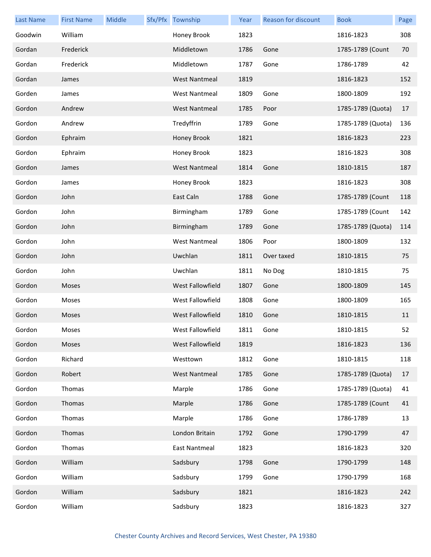| <b>Last Name</b> | <b>First Name</b> | Middle | Sfx/Pfx Township     | Year | Reason for discount | <b>Book</b>       | Page |
|------------------|-------------------|--------|----------------------|------|---------------------|-------------------|------|
| Goodwin          | William           |        | Honey Brook          | 1823 |                     | 1816-1823         | 308  |
| Gordan           | Frederick         |        | Middletown           | 1786 | Gone                | 1785-1789 (Count  | 70   |
| Gordan           | Frederick         |        | Middletown           | 1787 | Gone                | 1786-1789         | 42   |
| Gordan           | James             |        | <b>West Nantmeal</b> | 1819 |                     | 1816-1823         | 152  |
| Gorden           | James             |        | <b>West Nantmeal</b> | 1809 | Gone                | 1800-1809         | 192  |
| Gordon           | Andrew            |        | <b>West Nantmeal</b> | 1785 | Poor                | 1785-1789 (Quota) | 17   |
| Gordon           | Andrew            |        | Tredyffrin           | 1789 | Gone                | 1785-1789 (Quota) | 136  |
| Gordon           | Ephraim           |        | Honey Brook          | 1821 |                     | 1816-1823         | 223  |
| Gordon           | Ephraim           |        | Honey Brook          | 1823 |                     | 1816-1823         | 308  |
| Gordon           | James             |        | <b>West Nantmeal</b> | 1814 | Gone                | 1810-1815         | 187  |
| Gordon           | James             |        | Honey Brook          | 1823 |                     | 1816-1823         | 308  |
| Gordon           | John              |        | East Caln            | 1788 | Gone                | 1785-1789 (Count  | 118  |
| Gordon           | John              |        | Birmingham           | 1789 | Gone                | 1785-1789 (Count  | 142  |
| Gordon           | John              |        | Birmingham           | 1789 | Gone                | 1785-1789 (Quota) | 114  |
| Gordon           | John              |        | <b>West Nantmeal</b> | 1806 | Poor                | 1800-1809         | 132  |
| Gordon           | John              |        | Uwchlan              | 1811 | Over taxed          | 1810-1815         | 75   |
| Gordon           | John              |        | Uwchlan              | 1811 | No Dog              | 1810-1815         | 75   |
| Gordon           | Moses             |        | West Fallowfield     | 1807 | Gone                | 1800-1809         | 145  |
| Gordon           | Moses             |        | West Fallowfield     | 1808 | Gone                | 1800-1809         | 165  |
| Gordon           | Moses             |        | West Fallowfield     | 1810 | Gone                | 1810-1815         | 11   |
| Gordon           | Moses             |        | West Fallowfield     | 1811 | Gone                | 1810-1815         | 52   |
| Gordon           | Moses             |        | West Fallowfield     | 1819 |                     | 1816-1823         | 136  |
| Gordon           | Richard           |        | Westtown             | 1812 | Gone                | 1810-1815         | 118  |
| Gordon           | Robert            |        | <b>West Nantmeal</b> | 1785 | Gone                | 1785-1789 (Quota) | 17   |
| Gordon           | Thomas            |        | Marple               | 1786 | Gone                | 1785-1789 (Quota) | 41   |
| Gordon           | Thomas            |        | Marple               | 1786 | Gone                | 1785-1789 (Count  | 41   |
| Gordon           | Thomas            |        | Marple               | 1786 | Gone                | 1786-1789         | 13   |
| Gordon           | Thomas            |        | London Britain       | 1792 | Gone                | 1790-1799         | 47   |
| Gordon           | Thomas            |        | <b>East Nantmeal</b> | 1823 |                     | 1816-1823         | 320  |
| Gordon           | William           |        | Sadsbury             | 1798 | Gone                | 1790-1799         | 148  |
| Gordon           | William           |        | Sadsbury             | 1799 | Gone                | 1790-1799         | 168  |
| Gordon           | William           |        | Sadsbury             | 1821 |                     | 1816-1823         | 242  |
| Gordon           | William           |        | Sadsbury             | 1823 |                     | 1816-1823         | 327  |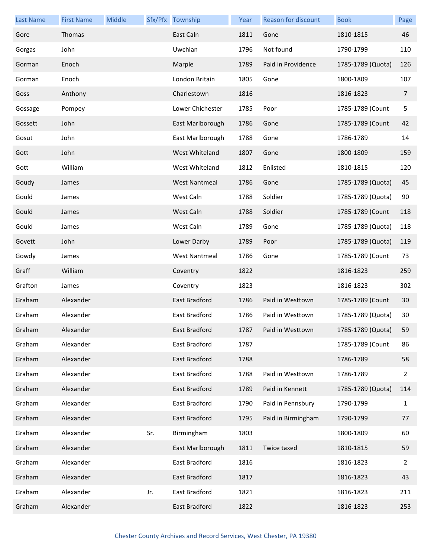| <b>Last Name</b> | <b>First Name</b> | <b>Middle</b> |     | Sfx/Pfx Township     | Year | <b>Reason for discount</b> | <b>Book</b>       | Page           |
|------------------|-------------------|---------------|-----|----------------------|------|----------------------------|-------------------|----------------|
| Gore             | Thomas            |               |     | East Caln            | 1811 | Gone                       | 1810-1815         | 46             |
| Gorgas           | John              |               |     | Uwchlan              | 1796 | Not found                  | 1790-1799         | 110            |
| Gorman           | Enoch             |               |     | Marple               | 1789 | Paid in Providence         | 1785-1789 (Quota) | 126            |
| Gorman           | Enoch             |               |     | London Britain       | 1805 | Gone                       | 1800-1809         | 107            |
| Goss             | Anthony           |               |     | Charlestown          | 1816 |                            | 1816-1823         | $\overline{7}$ |
| Gossage          | Pompey            |               |     | Lower Chichester     | 1785 | Poor                       | 1785-1789 (Count  | 5              |
| Gossett          | John              |               |     | East Marlborough     | 1786 | Gone                       | 1785-1789 (Count  | 42             |
| Gosut            | John              |               |     | East Marlborough     | 1788 | Gone                       | 1786-1789         | 14             |
| Gott             | John              |               |     | West Whiteland       | 1807 | Gone                       | 1800-1809         | 159            |
| Gott             | William           |               |     | West Whiteland       | 1812 | Enlisted                   | 1810-1815         | 120            |
| Goudy            | James             |               |     | <b>West Nantmeal</b> | 1786 | Gone                       | 1785-1789 (Quota) | 45             |
| Gould            | James             |               |     | West Caln            | 1788 | Soldier                    | 1785-1789 (Quota) | 90             |
| Gould            | James             |               |     | West Caln            | 1788 | Soldier                    | 1785-1789 (Count  | 118            |
| Gould            | James             |               |     | West Caln            | 1789 | Gone                       | 1785-1789 (Quota) | 118            |
| Govett           | John              |               |     | Lower Darby          | 1789 | Poor                       | 1785-1789 (Quota) | 119            |
| Gowdy            | James             |               |     | <b>West Nantmeal</b> | 1786 | Gone                       | 1785-1789 (Count  | 73             |
| Graff            | William           |               |     | Coventry             | 1822 |                            | 1816-1823         | 259            |
| Grafton          | James             |               |     | Coventry             | 1823 |                            | 1816-1823         | 302            |
| Graham           | Alexander         |               |     | East Bradford        | 1786 | Paid in Westtown           | 1785-1789 (Count  | 30             |
| Graham           | Alexander         |               |     | East Bradford        | 1786 | Paid in Westtown           | 1785-1789 (Quota) | 30             |
| Graham           | Alexander         |               |     | East Bradford        | 1787 | Paid in Westtown           | 1785-1789 (Quota) | 59             |
| Graham           | Alexander         |               |     | East Bradford        | 1787 |                            | 1785-1789 (Count  | 86             |
| Graham           | Alexander         |               |     | East Bradford        | 1788 |                            | 1786-1789         | 58             |
| Graham           | Alexander         |               |     | East Bradford        | 1788 | Paid in Westtown           | 1786-1789         | 2              |
| Graham           | Alexander         |               |     | East Bradford        | 1789 | Paid in Kennett            | 1785-1789 (Quota) | 114            |
| Graham           | Alexander         |               |     | East Bradford        | 1790 | Paid in Pennsbury          | 1790-1799         | $\mathbf{1}$   |
| Graham           | Alexander         |               |     | East Bradford        | 1795 | Paid in Birmingham         | 1790-1799         | 77             |
| Graham           | Alexander         |               | Sr. | Birmingham           | 1803 |                            | 1800-1809         | 60             |
| Graham           | Alexander         |               |     | East Marlborough     | 1811 | Twice taxed                | 1810-1815         | 59             |
| Graham           | Alexander         |               |     | East Bradford        | 1816 |                            | 1816-1823         | 2              |
| Graham           | Alexander         |               |     | East Bradford        | 1817 |                            | 1816-1823         | 43             |
| Graham           | Alexander         |               | Jr. | East Bradford        | 1821 |                            | 1816-1823         | 211            |
| Graham           | Alexander         |               |     | East Bradford        | 1822 |                            | 1816-1823         | 253            |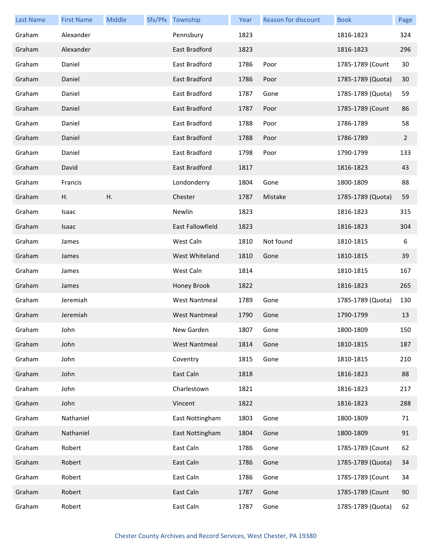| <b>Last Name</b> | <b>First Name</b> | Middle | Sfx/Pfx Township        | Year | Reason for discount | <b>Book</b>       | Page           |
|------------------|-------------------|--------|-------------------------|------|---------------------|-------------------|----------------|
| Graham           | Alexander         |        | Pennsbury               | 1823 |                     | 1816-1823         | 324            |
| Graham           | Alexander         |        | East Bradford           | 1823 |                     | 1816-1823         | 296            |
| Graham           | Daniel            |        | East Bradford           | 1786 | Poor                | 1785-1789 (Count  | 30             |
| Graham           | Daniel            |        | East Bradford           | 1786 | Poor                | 1785-1789 (Quota) | 30             |
| Graham           | Daniel            |        | East Bradford           | 1787 | Gone                | 1785-1789 (Quota) | 59             |
| Graham           | Daniel            |        | East Bradford           | 1787 | Poor                | 1785-1789 (Count  | 86             |
| Graham           | Daniel            |        | East Bradford           | 1788 | Poor                | 1786-1789         | 58             |
| Graham           | Daniel            |        | East Bradford           | 1788 | Poor                | 1786-1789         | $\overline{2}$ |
| Graham           | Daniel            |        | East Bradford           | 1798 | Poor                | 1790-1799         | 133            |
| Graham           | David             |        | East Bradford           | 1817 |                     | 1816-1823         | 43             |
| Graham           | Francis           |        | Londonderry             | 1804 | Gone                | 1800-1809         | 88             |
| Graham           | Η.                | Η.     | Chester                 | 1787 | Mistake             | 1785-1789 (Quota) | 59             |
| Graham           | Isaac             |        | Newlin                  | 1823 |                     | 1816-1823         | 315            |
| Graham           | Isaac             |        | <b>East Fallowfield</b> | 1823 |                     | 1816-1823         | 304            |
| Graham           | James             |        | West Caln               | 1810 | Not found           | 1810-1815         | 6              |
| Graham           | James             |        | West Whiteland          | 1810 | Gone                | 1810-1815         | 39             |
| Graham           | James             |        | West Caln               | 1814 |                     | 1810-1815         | 167            |
| Graham           | James             |        | Honey Brook             | 1822 |                     | 1816-1823         | 265            |
| Graham           | Jeremiah          |        | <b>West Nantmeal</b>    | 1789 | Gone                | 1785-1789 (Quota) | 130            |
| Graham           | Jeremiah          |        | <b>West Nantmeal</b>    | 1790 | Gone                | 1790-1799         | 13             |
| Graham           | John              |        | New Garden              | 1807 | Gone                | 1800-1809         | 150            |
| Graham           | John              |        | <b>West Nantmeal</b>    | 1814 | Gone                | 1810-1815         | 187            |
| Graham           | John              |        | Coventry                | 1815 | Gone                | 1810-1815         | 210            |
| Graham           | John              |        | East Caln               | 1818 |                     | 1816-1823         | 88             |
| Graham           | John              |        | Charlestown             | 1821 |                     | 1816-1823         | 217            |
| Graham           | John              |        | Vincent                 | 1822 |                     | 1816-1823         | 288            |
| Graham           | Nathaniel         |        | East Nottingham         | 1803 | Gone                | 1800-1809         | 71             |
| Graham           | Nathaniel         |        | East Nottingham         | 1804 | Gone                | 1800-1809         | 91             |
| Graham           | Robert            |        | East Caln               | 1786 | Gone                | 1785-1789 (Count  | 62             |
| Graham           | Robert            |        | East Caln               | 1786 | Gone                | 1785-1789 (Quota) | 34             |
| Graham           | Robert            |        | East Caln               | 1786 | Gone                | 1785-1789 (Count  | 34             |
| Graham           | Robert            |        | East Caln               | 1787 | Gone                | 1785-1789 (Count  | 90             |
| Graham           | Robert            |        | East Caln               | 1787 | Gone                | 1785-1789 (Quota) | 62             |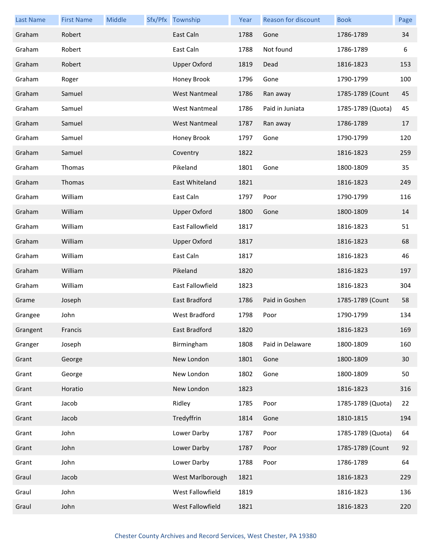| <b>Last Name</b> | <b>First Name</b> | Middle | Sfx/Pfx Township     | Year | Reason for discount | <b>Book</b>       | Page |
|------------------|-------------------|--------|----------------------|------|---------------------|-------------------|------|
| Graham           | Robert            |        | East Caln            | 1788 | Gone                | 1786-1789         | 34   |
| Graham           | Robert            |        | East Caln            | 1788 | Not found           | 1786-1789         | 6    |
| Graham           | Robert            |        | <b>Upper Oxford</b>  | 1819 | Dead                | 1816-1823         | 153  |
| Graham           | Roger             |        | Honey Brook          | 1796 | Gone                | 1790-1799         | 100  |
| Graham           | Samuel            |        | West Nantmeal        | 1786 | Ran away            | 1785-1789 (Count  | 45   |
| Graham           | Samuel            |        | <b>West Nantmeal</b> | 1786 | Paid in Juniata     | 1785-1789 (Quota) | 45   |
| Graham           | Samuel            |        | <b>West Nantmeal</b> | 1787 | Ran away            | 1786-1789         | 17   |
| Graham           | Samuel            |        | Honey Brook          | 1797 | Gone                | 1790-1799         | 120  |
| Graham           | Samuel            |        | Coventry             | 1822 |                     | 1816-1823         | 259  |
| Graham           | Thomas            |        | Pikeland             | 1801 | Gone                | 1800-1809         | 35   |
| Graham           | Thomas            |        | East Whiteland       | 1821 |                     | 1816-1823         | 249  |
| Graham           | William           |        | East Caln            | 1797 | Poor                | 1790-1799         | 116  |
| Graham           | William           |        | <b>Upper Oxford</b>  | 1800 | Gone                | 1800-1809         | 14   |
| Graham           | William           |        | East Fallowfield     | 1817 |                     | 1816-1823         | 51   |
| Graham           | William           |        | <b>Upper Oxford</b>  | 1817 |                     | 1816-1823         | 68   |
| Graham           | William           |        | East Caln            | 1817 |                     | 1816-1823         | 46   |
| Graham           | William           |        | Pikeland             | 1820 |                     | 1816-1823         | 197  |
| Graham           | William           |        | East Fallowfield     | 1823 |                     | 1816-1823         | 304  |
| Grame            | Joseph            |        | East Bradford        | 1786 | Paid in Goshen      | 1785-1789 (Count  | 58   |
| Grangee          | John              |        | West Bradford        | 1798 | Poor                | 1790-1799         | 134  |
| Grangent         | Francis           |        | East Bradford        | 1820 |                     | 1816-1823         | 169  |
| Granger          | Joseph            |        | Birmingham           | 1808 | Paid in Delaware    | 1800-1809         | 160  |
| Grant            | George            |        | New London           | 1801 | Gone                | 1800-1809         | 30   |
| Grant            | George            |        | New London           | 1802 | Gone                | 1800-1809         | 50   |
| Grant            | Horatio           |        | New London           | 1823 |                     | 1816-1823         | 316  |
| Grant            | Jacob             |        | Ridley               | 1785 | Poor                | 1785-1789 (Quota) | 22   |
| Grant            | Jacob             |        | Tredyffrin           | 1814 | Gone                | 1810-1815         | 194  |
| Grant            | John              |        | Lower Darby          | 1787 | Poor                | 1785-1789 (Quota) | 64   |
| Grant            | John              |        | Lower Darby          | 1787 | Poor                | 1785-1789 (Count  | 92   |
| Grant            | John              |        | Lower Darby          | 1788 | Poor                | 1786-1789         | 64   |
| Graul            | Jacob             |        | West Marlborough     | 1821 |                     | 1816-1823         | 229  |
| Graul            | John              |        | West Fallowfield     | 1819 |                     | 1816-1823         | 136  |
| Graul            | John              |        | West Fallowfield     | 1821 |                     | 1816-1823         | 220  |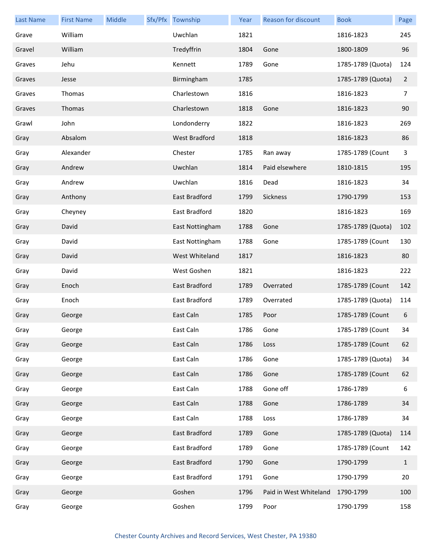| <b>Last Name</b> | <b>First Name</b> | <b>Middle</b> | Sfx/Pfx Township     | Year | <b>Reason for discount</b> | <b>Book</b>       | Page           |
|------------------|-------------------|---------------|----------------------|------|----------------------------|-------------------|----------------|
| Grave            | William           |               | Uwchlan              | 1821 |                            | 1816-1823         | 245            |
| Gravel           | William           |               | Tredyffrin           | 1804 | Gone                       | 1800-1809         | 96             |
| Graves           | Jehu              |               | Kennett              | 1789 | Gone                       | 1785-1789 (Quota) | 124            |
| Graves           | Jesse             |               | Birmingham           | 1785 |                            | 1785-1789 (Quota) | $\overline{2}$ |
| Graves           | Thomas            |               | Charlestown          | 1816 |                            | 1816-1823         | 7              |
| Graves           | Thomas            |               | Charlestown          | 1818 | Gone                       | 1816-1823         | 90             |
| Grawl            | John              |               | Londonderry          | 1822 |                            | 1816-1823         | 269            |
| Gray             | Absalom           |               | <b>West Bradford</b> | 1818 |                            | 1816-1823         | 86             |
| Gray             | Alexander         |               | Chester              | 1785 | Ran away                   | 1785-1789 (Count  | 3              |
| Gray             | Andrew            |               | Uwchlan              | 1814 | Paid elsewhere             | 1810-1815         | 195            |
| Gray             | Andrew            |               | Uwchlan              | 1816 | Dead                       | 1816-1823         | 34             |
| Gray             | Anthony           |               | East Bradford        | 1799 | Sickness                   | 1790-1799         | 153            |
| Gray             | Cheyney           |               | East Bradford        | 1820 |                            | 1816-1823         | 169            |
| Gray             | David             |               | East Nottingham      | 1788 | Gone                       | 1785-1789 (Quota) | 102            |
| Gray             | David             |               | East Nottingham      | 1788 | Gone                       | 1785-1789 (Count  | 130            |
| Gray             | David             |               | West Whiteland       | 1817 |                            | 1816-1823         | 80             |
| Gray             | David             |               | West Goshen          | 1821 |                            | 1816-1823         | 222            |
| Gray             | Enoch             |               | East Bradford        | 1789 | Overrated                  | 1785-1789 (Count  | 142            |
| Gray             | Enoch             |               | East Bradford        | 1789 | Overrated                  | 1785-1789 (Quota) | 114            |
| Gray             | George            |               | East Caln            | 1785 | Poor                       | 1785-1789 (Count  | 6              |
| Gray             | George            |               | East Caln            | 1786 | Gone                       | 1785-1789 (Count  | 34             |
| Gray             | George            |               | East Caln            | 1786 | Loss                       | 1785-1789 (Count  | 62             |
| Gray             | George            |               | East Caln            | 1786 | Gone                       | 1785-1789 (Quota) | 34             |
| Gray             | George            |               | East Caln            | 1786 | Gone                       | 1785-1789 (Count  | 62             |
| Gray             | George            |               | East Caln            | 1788 | Gone off                   | 1786-1789         | 6              |
| Gray             | George            |               | East Caln            | 1788 | Gone                       | 1786-1789         | 34             |
| Gray             | George            |               | East Caln            | 1788 | Loss                       | 1786-1789         | 34             |
| Gray             | George            |               | East Bradford        | 1789 | Gone                       | 1785-1789 (Quota) | 114            |
| Gray             | George            |               | East Bradford        | 1789 | Gone                       | 1785-1789 (Count  | 142            |
| Gray             | George            |               | East Bradford        | 1790 | Gone                       | 1790-1799         | $\mathbf{1}$   |
| Gray             | George            |               | East Bradford        | 1791 | Gone                       | 1790-1799         | 20             |
| Gray             | George            |               | Goshen               | 1796 | Paid in West Whiteland     | 1790-1799         | 100            |
| Gray             | George            |               | Goshen               | 1799 | Poor                       | 1790-1799         | 158            |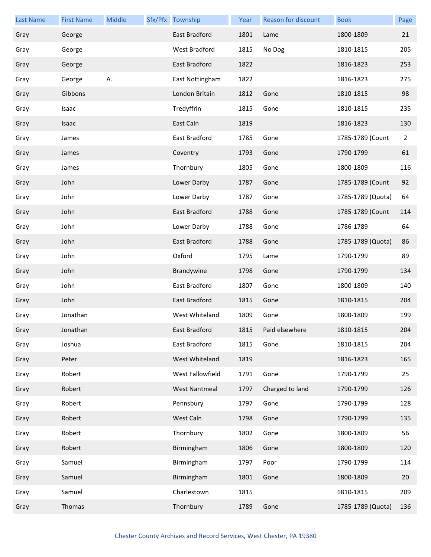| <b>Last Name</b> | <b>First Name</b> | Middle | Sfx/Pfx Township     | Year | Reason for discount | <b>Book</b>       | Page           |
|------------------|-------------------|--------|----------------------|------|---------------------|-------------------|----------------|
| Gray             | George            |        | East Bradford        | 1801 | Lame                | 1800-1809         | 21             |
| Gray             | George            |        | <b>West Bradford</b> | 1815 | No Dog              | 1810-1815         | 205            |
| Gray             | George            |        | East Bradford        | 1822 |                     | 1816-1823         | 253            |
| Gray             | George            | А.     | East Nottingham      | 1822 |                     | 1816-1823         | 275            |
| Gray             | Gibbons           |        | London Britain       | 1812 | Gone                | 1810-1815         | 98             |
| Gray             | Isaac             |        | Tredyffrin           | 1815 | Gone                | 1810-1815         | 235            |
| Gray             | Isaac             |        | East Caln            | 1819 |                     | 1816-1823         | 130            |
| Gray             | James             |        | East Bradford        | 1785 | Gone                | 1785-1789 (Count  | $\overline{2}$ |
| Gray             | James             |        | Coventry             | 1793 | Gone                | 1790-1799         | 61             |
| Gray             | James             |        | Thornbury            | 1805 | Gone                | 1800-1809         | 116            |
| Gray             | John              |        | Lower Darby          | 1787 | Gone                | 1785-1789 (Count  | 92             |
| Gray             | John              |        | Lower Darby          | 1787 | Gone                | 1785-1789 (Quota) | 64             |
| Gray             | John              |        | East Bradford        | 1788 | Gone                | 1785-1789 (Count  | 114            |
| Gray             | John              |        | Lower Darby          | 1788 | Gone                | 1786-1789         | 64             |
| Gray             | John              |        | East Bradford        | 1788 | Gone                | 1785-1789 (Quota) | 86             |
| Gray             | John              |        | Oxford               | 1795 | Lame                | 1790-1799         | 89             |
| Gray             | John              |        | Brandywine           | 1798 | Gone                | 1790-1799         | 134            |
| Gray             | John              |        | East Bradford        | 1807 | Gone                | 1800-1809         | 140            |
| Gray             | John              |        | East Bradford        | 1815 | Gone                | 1810-1815         | 204            |
| Gray             | Jonathan          |        | West Whiteland       | 1809 | Gone                | 1800-1809         | 199            |
| Gray             | Jonathan          |        | East Bradford        | 1815 | Paid elsewhere      | 1810-1815         | 204            |
| Gray             | Joshua            |        | East Bradford        | 1815 | Gone                | 1810-1815         | 204            |
| Gray             | Peter             |        | West Whiteland       | 1819 |                     | 1816-1823         | 165            |
| Gray             | Robert            |        | West Fallowfield     | 1791 | Gone                | 1790-1799         | 25             |
| Gray             | Robert            |        | <b>West Nantmeal</b> | 1797 | Charged to land     | 1790-1799         | 126            |
| Gray             | Robert            |        | Pennsbury            | 1797 | Gone                | 1790-1799         | 128            |
| Gray             | Robert            |        | West Caln            | 1798 | Gone                | 1790-1799         | 135            |
| Gray             | Robert            |        | Thornbury            | 1802 | Gone                | 1800-1809         | 56             |
| Gray             | Robert            |        | Birmingham           | 1806 | Gone                | 1800-1809         | 120            |
| Gray             | Samuel            |        | Birmingham           | 1797 | Poor                | 1790-1799         | 114            |
| Gray             | Samuel            |        | Birmingham           | 1801 | Gone                | 1800-1809         | 20             |
| Gray             | Samuel            |        | Charlestown          | 1815 |                     | 1810-1815         | 209            |
| Gray             | Thomas            |        | Thornbury            | 1789 | Gone                | 1785-1789 (Quota) | 136            |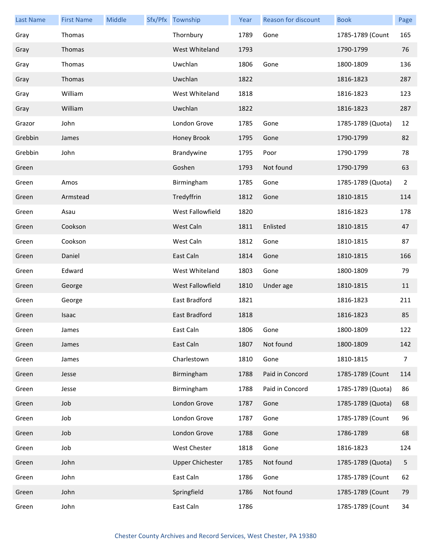| <b>Last Name</b> | <b>First Name</b> | Middle | Sfx/Pfx Township        | Year | <b>Reason for discount</b> | <b>Book</b>       | Page           |
|------------------|-------------------|--------|-------------------------|------|----------------------------|-------------------|----------------|
| Gray             | Thomas            |        | Thornbury               | 1789 | Gone                       | 1785-1789 (Count  | 165            |
| Gray             | Thomas            |        | West Whiteland          | 1793 |                            | 1790-1799         | 76             |
| Gray             | Thomas            |        | Uwchlan                 | 1806 | Gone                       | 1800-1809         | 136            |
| Gray             | Thomas            |        | Uwchlan                 | 1822 |                            | 1816-1823         | 287            |
| Gray             | William           |        | West Whiteland          | 1818 |                            | 1816-1823         | 123            |
| Gray             | William           |        | Uwchlan                 | 1822 |                            | 1816-1823         | 287            |
| Grazor           | John              |        | London Grove            | 1785 | Gone                       | 1785-1789 (Quota) | 12             |
| Grebbin          | James             |        | Honey Brook             | 1795 | Gone                       | 1790-1799         | 82             |
| Grebbin          | John              |        | Brandywine              | 1795 | Poor                       | 1790-1799         | 78             |
| Green            |                   |        | Goshen                  | 1793 | Not found                  | 1790-1799         | 63             |
| Green            | Amos              |        | Birmingham              | 1785 | Gone                       | 1785-1789 (Quota) | $\overline{2}$ |
| Green            | Armstead          |        | Tredyffrin              | 1812 | Gone                       | 1810-1815         | 114            |
| Green            | Asau              |        | West Fallowfield        | 1820 |                            | 1816-1823         | 178            |
| Green            | Cookson           |        | West Caln               | 1811 | Enlisted                   | 1810-1815         | 47             |
| Green            | Cookson           |        | West Caln               | 1812 | Gone                       | 1810-1815         | 87             |
| Green            | Daniel            |        | East Caln               | 1814 | Gone                       | 1810-1815         | 166            |
| Green            | Edward            |        | West Whiteland          | 1803 | Gone                       | 1800-1809         | 79             |
| Green            | George            |        | West Fallowfield        | 1810 | Under age                  | 1810-1815         | 11             |
| Green            | George            |        | East Bradford           | 1821 |                            | 1816-1823         | 211            |
| Green            | Isaac             |        | East Bradford           | 1818 |                            | 1816-1823         | 85             |
| Green            | James             |        | East Caln               | 1806 | Gone                       | 1800-1809         | 122            |
| Green            | James             |        | East Caln               | 1807 | Not found                  | 1800-1809         | 142            |
| Green            | James             |        | Charlestown             | 1810 | Gone                       | 1810-1815         | $\overline{7}$ |
| Green            | Jesse             |        | Birmingham              | 1788 | Paid in Concord            | 1785-1789 (Count  | 114            |
| Green            | Jesse             |        | Birmingham              | 1788 | Paid in Concord            | 1785-1789 (Quota) | 86             |
| Green            | Job               |        | London Grove            | 1787 | Gone                       | 1785-1789 (Quota) | 68             |
| Green            | Job               |        | London Grove            | 1787 | Gone                       | 1785-1789 (Count  | 96             |
| Green            | Job               |        | London Grove            | 1788 | Gone                       | 1786-1789         | 68             |
| Green            | Job               |        | West Chester            | 1818 | Gone                       | 1816-1823         | 124            |
| Green            | John              |        | <b>Upper Chichester</b> | 1785 | Not found                  | 1785-1789 (Quota) | 5              |
| Green            | John              |        | East Caln               | 1786 | Gone                       | 1785-1789 (Count  | 62             |
| Green            | John              |        | Springfield             | 1786 | Not found                  | 1785-1789 (Count  | 79             |
| Green            | John              |        | East Caln               | 1786 |                            | 1785-1789 (Count  | 34             |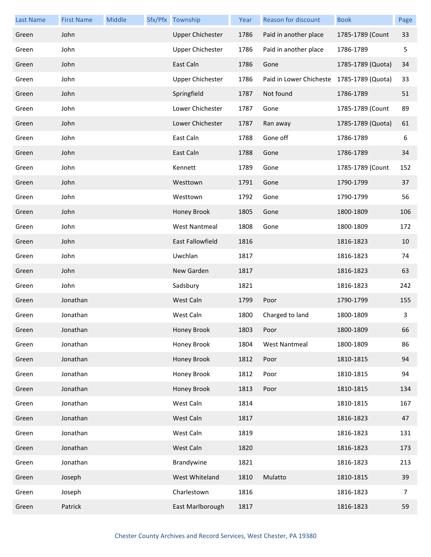| <b>Last Name</b> | <b>First Name</b> | Middle | Sfx/Pfx Township        | Year | <b>Reason for discount</b>                | <b>Book</b>       | Page |
|------------------|-------------------|--------|-------------------------|------|-------------------------------------------|-------------------|------|
| Green            | John              |        | <b>Upper Chichester</b> | 1786 | Paid in another place                     | 1785-1789 (Count  | 33   |
| Green            | John              |        | <b>Upper Chichester</b> | 1786 | Paid in another place                     | 1786-1789         | 5    |
| Green            | John              |        | East Caln               | 1786 | Gone                                      | 1785-1789 (Quota) | 34   |
| Green            | John              |        | <b>Upper Chichester</b> | 1786 | Paid in Lower Chicheste 1785-1789 (Quota) |                   | 33   |
| Green            | John              |        | Springfield             | 1787 | Not found                                 | 1786-1789         | 51   |
| Green            | John              |        | Lower Chichester        | 1787 | Gone                                      | 1785-1789 (Count  | 89   |
| Green            | John              |        | Lower Chichester        | 1787 | Ran away                                  | 1785-1789 (Quota) | 61   |
| Green            | John              |        | East Caln               | 1788 | Gone off                                  | 1786-1789         | 6    |
| Green            | John              |        | East Caln               | 1788 | Gone                                      | 1786-1789         | 34   |
| Green            | John              |        | Kennett                 | 1789 | Gone                                      | 1785-1789 (Count  | 152  |
| Green            | John              |        | Westtown                | 1791 | Gone                                      | 1790-1799         | 37   |
| Green            | John              |        | Westtown                | 1792 | Gone                                      | 1790-1799         | 56   |
| Green            | John              |        | Honey Brook             | 1805 | Gone                                      | 1800-1809         | 106  |
| Green            | John              |        | <b>West Nantmeal</b>    | 1808 | Gone                                      | 1800-1809         | 172  |
| Green            | John              |        | East Fallowfield        | 1816 |                                           | 1816-1823         | 10   |
| Green            | John              |        | Uwchlan                 | 1817 |                                           | 1816-1823         | 74   |
| Green            | John              |        | New Garden              | 1817 |                                           | 1816-1823         | 63   |
| Green            | John              |        | Sadsbury                | 1821 |                                           | 1816-1823         | 242  |
| Green            | Jonathan          |        | West Caln               | 1799 | Poor                                      | 1790-1799         | 155  |
| Green            | Jonathan          |        | West Caln               | 1800 | Charged to land                           | 1800-1809         | 3    |
| Green            | Jonathan          |        | Honey Brook             | 1803 | Poor                                      | 1800-1809         | 66   |
| Green            | Jonathan          |        | Honey Brook             | 1804 | <b>West Nantmeal</b>                      | 1800-1809         | 86   |
| Green            | Jonathan          |        | Honey Brook             | 1812 | Poor                                      | 1810-1815         | 94   |
| Green            | Jonathan          |        | Honey Brook             | 1812 | Poor                                      | 1810-1815         | 94   |
| Green            | Jonathan          |        | Honey Brook             | 1813 | Poor                                      | 1810-1815         | 134  |
| Green            | Jonathan          |        | West Caln               | 1814 |                                           | 1810-1815         | 167  |
| Green            | Jonathan          |        | West Caln               | 1817 |                                           | 1816-1823         | 47   |
| Green            | Jonathan          |        | West Caln               | 1819 |                                           | 1816-1823         | 131  |
| Green            | Jonathan          |        | West Caln               | 1820 |                                           | 1816-1823         | 173  |
| Green            | Jonathan          |        | Brandywine              | 1821 |                                           | 1816-1823         | 213  |
| Green            | Joseph            |        | West Whiteland          | 1810 | Mulatto                                   | 1810-1815         | 39   |
| Green            | Joseph            |        | Charlestown             | 1816 |                                           | 1816-1823         | 7    |
| Green            | Patrick           |        | East Marlborough        | 1817 |                                           | 1816-1823         | 59   |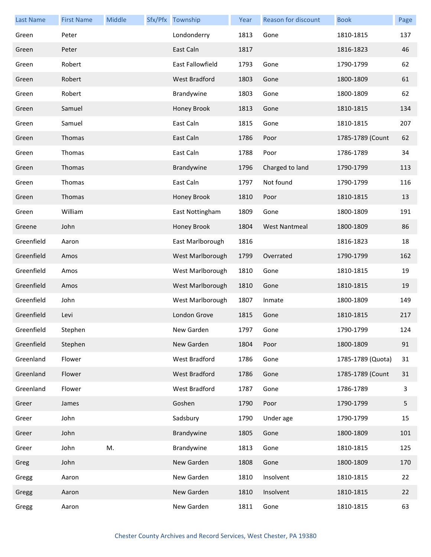| <b>Last Name</b> | <b>First Name</b> | Middle | Sfx/Pfx Township     | Year | Reason for discount  | <b>Book</b>       | Page |
|------------------|-------------------|--------|----------------------|------|----------------------|-------------------|------|
| Green            | Peter             |        | Londonderry          | 1813 | Gone                 | 1810-1815         | 137  |
| Green            | Peter             |        | East Caln            | 1817 |                      | 1816-1823         | 46   |
| Green            | Robert            |        | East Fallowfield     | 1793 | Gone                 | 1790-1799         | 62   |
| Green            | Robert            |        | West Bradford        | 1803 | Gone                 | 1800-1809         | 61   |
| Green            | Robert            |        | Brandywine           | 1803 | Gone                 | 1800-1809         | 62   |
| Green            | Samuel            |        | Honey Brook          | 1813 | Gone                 | 1810-1815         | 134  |
| Green            | Samuel            |        | East Caln            | 1815 | Gone                 | 1810-1815         | 207  |
| Green            | Thomas            |        | East Caln            | 1786 | Poor                 | 1785-1789 (Count  | 62   |
| Green            | Thomas            |        | East Caln            | 1788 | Poor                 | 1786-1789         | 34   |
| Green            | Thomas            |        | Brandywine           | 1796 | Charged to land      | 1790-1799         | 113  |
| Green            | Thomas            |        | East Caln            | 1797 | Not found            | 1790-1799         | 116  |
| Green            | Thomas            |        | Honey Brook          | 1810 | Poor                 | 1810-1815         | 13   |
| Green            | William           |        | East Nottingham      | 1809 | Gone                 | 1800-1809         | 191  |
| Greene           | John              |        | Honey Brook          | 1804 | <b>West Nantmeal</b> | 1800-1809         | 86   |
| Greenfield       | Aaron             |        | East Marlborough     | 1816 |                      | 1816-1823         | 18   |
| Greenfield       | Amos              |        | West Marlborough     | 1799 | Overrated            | 1790-1799         | 162  |
| Greenfield       | Amos              |        | West Marlborough     | 1810 | Gone                 | 1810-1815         | 19   |
| Greenfield       | Amos              |        | West Marlborough     | 1810 | Gone                 | 1810-1815         | 19   |
| Greenfield       | John              |        | West Marlborough     | 1807 | Inmate               | 1800-1809         | 149  |
| Greenfield       | Levi              |        | London Grove         | 1815 | Gone                 | 1810-1815         | 217  |
| Greenfield       | Stephen           |        | New Garden           | 1797 | Gone                 | 1790-1799         | 124  |
| Greenfield       | Stephen           |        | New Garden           | 1804 | Poor                 | 1800-1809         | 91   |
| Greenland        | Flower            |        | <b>West Bradford</b> | 1786 | Gone                 | 1785-1789 (Quota) | 31   |
| Greenland        | Flower            |        | West Bradford        | 1786 | Gone                 | 1785-1789 (Count  | 31   |
| Greenland        | Flower            |        | West Bradford        | 1787 | Gone                 | 1786-1789         | 3    |
| Greer            | James             |        | Goshen               | 1790 | Poor                 | 1790-1799         | 5    |
| Greer            | John              |        | Sadsbury             | 1790 | Under age            | 1790-1799         | 15   |
| Greer            | John              |        | Brandywine           | 1805 | Gone                 | 1800-1809         | 101  |
| Greer            | John              | M.     | Brandywine           | 1813 | Gone                 | 1810-1815         | 125  |
| Greg             | John              |        | New Garden           | 1808 | Gone                 | 1800-1809         | 170  |
| Gregg            | Aaron             |        | New Garden           | 1810 | Insolvent            | 1810-1815         | 22   |
| Gregg            | Aaron             |        | New Garden           | 1810 | Insolvent            | 1810-1815         | 22   |
| Gregg            | Aaron             |        | New Garden           | 1811 | Gone                 | 1810-1815         | 63   |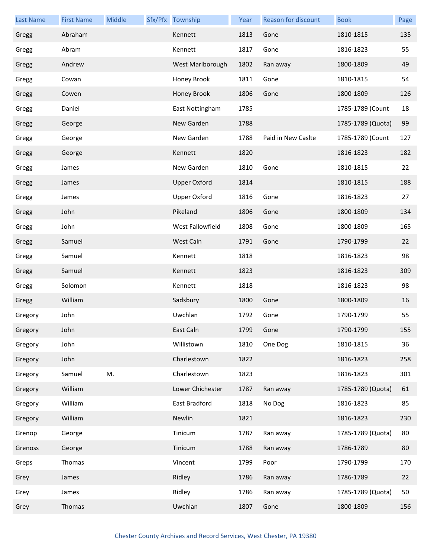| <b>Last Name</b> | <b>First Name</b> | Middle | Sfx/Pfx Township    | Year | <b>Reason for discount</b> | <b>Book</b>       | Page |
|------------------|-------------------|--------|---------------------|------|----------------------------|-------------------|------|
| Gregg            | Abraham           |        | Kennett             | 1813 | Gone                       | 1810-1815         | 135  |
| Gregg            | Abram             |        | Kennett             | 1817 | Gone                       | 1816-1823         | 55   |
| Gregg            | Andrew            |        | West Marlborough    | 1802 | Ran away                   | 1800-1809         | 49   |
| Gregg            | Cowan             |        | Honey Brook         | 1811 | Gone                       | 1810-1815         | 54   |
| Gregg            | Cowen             |        | Honey Brook         | 1806 | Gone                       | 1800-1809         | 126  |
| Gregg            | Daniel            |        | East Nottingham     | 1785 |                            | 1785-1789 (Count  | 18   |
| Gregg            | George            |        | New Garden          | 1788 |                            | 1785-1789 (Quota) | 99   |
| Gregg            | George            |        | New Garden          | 1788 | Paid in New Caslte         | 1785-1789 (Count  | 127  |
| Gregg            | George            |        | Kennett             | 1820 |                            | 1816-1823         | 182  |
| Gregg            | James             |        | New Garden          | 1810 | Gone                       | 1810-1815         | 22   |
| Gregg            | James             |        | <b>Upper Oxford</b> | 1814 |                            | 1810-1815         | 188  |
| Gregg            | James             |        | <b>Upper Oxford</b> | 1816 | Gone                       | 1816-1823         | 27   |
| Gregg            | John              |        | Pikeland            | 1806 | Gone                       | 1800-1809         | 134  |
| Gregg            | John              |        | West Fallowfield    | 1808 | Gone                       | 1800-1809         | 165  |
| Gregg            | Samuel            |        | West Caln           | 1791 | Gone                       | 1790-1799         | 22   |
| Gregg            | Samuel            |        | Kennett             | 1818 |                            | 1816-1823         | 98   |
| Gregg            | Samuel            |        | Kennett             | 1823 |                            | 1816-1823         | 309  |
| Gregg            | Solomon           |        | Kennett             | 1818 |                            | 1816-1823         | 98   |
| Gregg            | William           |        | Sadsbury            | 1800 | Gone                       | 1800-1809         | 16   |
| Gregory          | John              |        | Uwchlan             | 1792 | Gone                       | 1790-1799         | 55   |
| Gregory          | John              |        | East Caln           | 1799 | Gone                       | 1790-1799         | 155  |
| Gregory          | John              |        | Willistown          | 1810 | One Dog                    | 1810-1815         | 36   |
| Gregory          | John              |        | Charlestown         | 1822 |                            | 1816-1823         | 258  |
| Gregory          | Samuel            | M.     | Charlestown         | 1823 |                            | 1816-1823         | 301  |
| Gregory          | William           |        | Lower Chichester    | 1787 | Ran away                   | 1785-1789 (Quota) | 61   |
| Gregory          | William           |        | East Bradford       | 1818 | No Dog                     | 1816-1823         | 85   |
| Gregory          | William           |        | Newlin              | 1821 |                            | 1816-1823         | 230  |
| Grenop           | George            |        | Tinicum             | 1787 | Ran away                   | 1785-1789 (Quota) | 80   |
| Grenoss          | George            |        | Tinicum             | 1788 | Ran away                   | 1786-1789         | 80   |
| Greps            | Thomas            |        | Vincent             | 1799 | Poor                       | 1790-1799         | 170  |
| Grey             | James             |        | Ridley              | 1786 | Ran away                   | 1786-1789         | 22   |
| Grey             | James             |        | Ridley              | 1786 | Ran away                   | 1785-1789 (Quota) | 50   |
| Grey             | Thomas            |        | Uwchlan             | 1807 | Gone                       | 1800-1809         | 156  |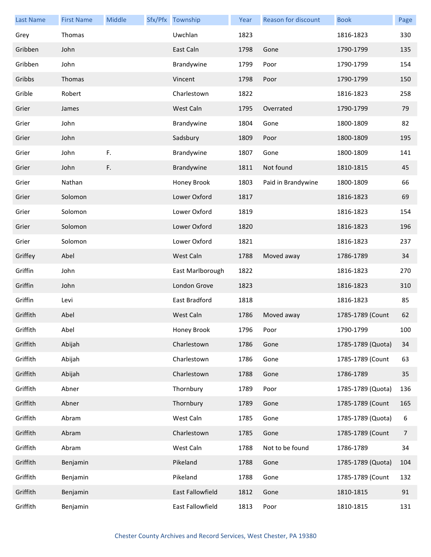| <b>Last Name</b> | <b>First Name</b> | Middle | Sfx/Pfx Township | Year | Reason for discount | <b>Book</b>       | Page |
|------------------|-------------------|--------|------------------|------|---------------------|-------------------|------|
| Grey             | Thomas            |        | Uwchlan          | 1823 |                     | 1816-1823         | 330  |
| Gribben          | John              |        | East Caln        | 1798 | Gone                | 1790-1799         | 135  |
| Gribben          | John              |        | Brandywine       | 1799 | Poor                | 1790-1799         | 154  |
| Gribbs           | Thomas            |        | Vincent          | 1798 | Poor                | 1790-1799         | 150  |
| Grible           | Robert            |        | Charlestown      | 1822 |                     | 1816-1823         | 258  |
| Grier            | James             |        | West Caln        | 1795 | Overrated           | 1790-1799         | 79   |
| Grier            | John              |        | Brandywine       | 1804 | Gone                | 1800-1809         | 82   |
| Grier            | John              |        | Sadsbury         | 1809 | Poor                | 1800-1809         | 195  |
| Grier            | John              | F.     | Brandywine       | 1807 | Gone                | 1800-1809         | 141  |
| Grier            | John              | F.     | Brandywine       | 1811 | Not found           | 1810-1815         | 45   |
| Grier            | Nathan            |        | Honey Brook      | 1803 | Paid in Brandywine  | 1800-1809         | 66   |
| Grier            | Solomon           |        | Lower Oxford     | 1817 |                     | 1816-1823         | 69   |
| Grier            | Solomon           |        | Lower Oxford     | 1819 |                     | 1816-1823         | 154  |
| Grier            | Solomon           |        | Lower Oxford     | 1820 |                     | 1816-1823         | 196  |
| Grier            | Solomon           |        | Lower Oxford     | 1821 |                     | 1816-1823         | 237  |
| Griffey          | Abel              |        | West Caln        | 1788 | Moved away          | 1786-1789         | 34   |
| Griffin          | John              |        | East Marlborough | 1822 |                     | 1816-1823         | 270  |
| Griffin          | John              |        | London Grove     | 1823 |                     | 1816-1823         | 310  |
| Griffin          | Levi              |        | East Bradford    | 1818 |                     | 1816-1823         | 85   |
| Griffith         | Abel              |        | West Caln        | 1786 | Moved away          | 1785-1789 (Count  | 62   |
| Griffith         | Abel              |        | Honey Brook      | 1796 | Poor                | 1790-1799         | 100  |
| Griffith         | Abijah            |        | Charlestown      | 1786 | Gone                | 1785-1789 (Quota) | 34   |
| Griffith         | Abijah            |        | Charlestown      | 1786 | Gone                | 1785-1789 (Count  | 63   |
| Griffith         | Abijah            |        | Charlestown      | 1788 | Gone                | 1786-1789         | 35   |
| Griffith         | Abner             |        | Thornbury        | 1789 | Poor                | 1785-1789 (Quota) | 136  |
| Griffith         | Abner             |        | Thornbury        | 1789 | Gone                | 1785-1789 (Count  | 165  |
| Griffith         | Abram             |        | West Caln        | 1785 | Gone                | 1785-1789 (Quota) | 6    |
| Griffith         | Abram             |        | Charlestown      | 1785 | Gone                | 1785-1789 (Count  | 7    |
| Griffith         | Abram             |        | West Caln        | 1788 | Not to be found     | 1786-1789         | 34   |
| Griffith         | Benjamin          |        | Pikeland         | 1788 | Gone                | 1785-1789 (Quota) | 104  |
| Griffith         | Benjamin          |        | Pikeland         | 1788 | Gone                | 1785-1789 (Count  | 132  |
| Griffith         | Benjamin          |        | East Fallowfield | 1812 | Gone                | 1810-1815         | 91   |
| Griffith         | Benjamin          |        | East Fallowfield | 1813 | Poor                | 1810-1815         | 131  |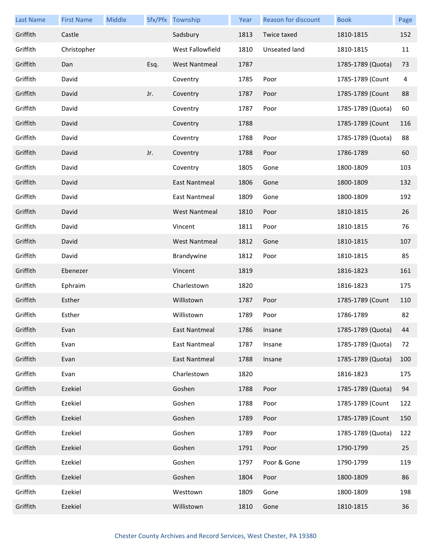| <b>Last Name</b> | <b>First Name</b> | Middle |      | Sfx/Pfx Township     | Year | Reason for discount | <b>Book</b>       | Page                    |
|------------------|-------------------|--------|------|----------------------|------|---------------------|-------------------|-------------------------|
| Griffith         | Castle            |        |      | Sadsbury             | 1813 | Twice taxed         | 1810-1815         | 152                     |
| Griffith         | Christopher       |        |      | West Fallowfield     | 1810 | Unseated land       | 1810-1815         | 11                      |
| Griffith         | Dan               |        | Esq. | <b>West Nantmeal</b> | 1787 |                     | 1785-1789 (Quota) | 73                      |
| Griffith         | David             |        |      | Coventry             | 1785 | Poor                | 1785-1789 (Count  | $\overline{\mathbf{4}}$ |
| Griffith         | David             |        | Jr.  | Coventry             | 1787 | Poor                | 1785-1789 (Count  | 88                      |
| Griffith         | David             |        |      | Coventry             | 1787 | Poor                | 1785-1789 (Quota) | 60                      |
| Griffith         | David             |        |      | Coventry             | 1788 |                     | 1785-1789 (Count  | 116                     |
| Griffith         | David             |        |      | Coventry             | 1788 | Poor                | 1785-1789 (Quota) | 88                      |
| Griffith         | David             |        | Jr.  | Coventry             | 1788 | Poor                | 1786-1789         | 60                      |
| Griffith         | David             |        |      | Coventry             | 1805 | Gone                | 1800-1809         | 103                     |
| Griffith         | David             |        |      | East Nantmeal        | 1806 | Gone                | 1800-1809         | 132                     |
| Griffith         | David             |        |      | <b>East Nantmeal</b> | 1809 | Gone                | 1800-1809         | 192                     |
| Griffith         | David             |        |      | <b>West Nantmeal</b> | 1810 | Poor                | 1810-1815         | 26                      |
| Griffith         | David             |        |      | Vincent              | 1811 | Poor                | 1810-1815         | 76                      |
| Griffith         | David             |        |      | <b>West Nantmeal</b> | 1812 | Gone                | 1810-1815         | 107                     |
| Griffith         | David             |        |      | Brandywine           | 1812 | Poor                | 1810-1815         | 85                      |
| Griffith         | Ebenezer          |        |      | Vincent              | 1819 |                     | 1816-1823         | 161                     |
| Griffith         | Ephraim           |        |      | Charlestown          | 1820 |                     | 1816-1823         | 175                     |
| Griffith         | Esther            |        |      | Willistown           | 1787 | Poor                | 1785-1789 (Count  | 110                     |
| Griffith         | Esther            |        |      | Willistown           | 1789 | Poor                | 1786-1789         | 82                      |
| Griffith         | Evan              |        |      | East Nantmeal        | 1786 | Insane              | 1785-1789 (Quota) | 44                      |
| Griffith         | Evan              |        |      | <b>East Nantmeal</b> | 1787 | Insane              | 1785-1789 (Quota) | 72                      |
| Griffith         | Evan              |        |      | East Nantmeal        | 1788 | Insane              | 1785-1789 (Quota) | 100                     |
| Griffith         | Evan              |        |      | Charlestown          | 1820 |                     | 1816-1823         | 175                     |
| Griffith         | Ezekiel           |        |      | Goshen               | 1788 | Poor                | 1785-1789 (Quota) | 94                      |
| Griffith         | Ezekiel           |        |      | Goshen               | 1788 | Poor                | 1785-1789 (Count  | 122                     |
| Griffith         | Ezekiel           |        |      | Goshen               | 1789 | Poor                | 1785-1789 (Count  | 150                     |
| Griffith         | Ezekiel           |        |      | Goshen               | 1789 | Poor                | 1785-1789 (Quota) | 122                     |
| Griffith         | Ezekiel           |        |      | Goshen               | 1791 | Poor                | 1790-1799         | 25                      |
| Griffith         | Ezekiel           |        |      | Goshen               | 1797 | Poor & Gone         | 1790-1799         | 119                     |
| Griffith         | Ezekiel           |        |      | Goshen               | 1804 | Poor                | 1800-1809         | 86                      |
| Griffith         | Ezekiel           |        |      | Westtown             | 1809 | Gone                | 1800-1809         | 198                     |
| Griffith         | Ezekiel           |        |      | Willistown           | 1810 | Gone                | 1810-1815         | 36                      |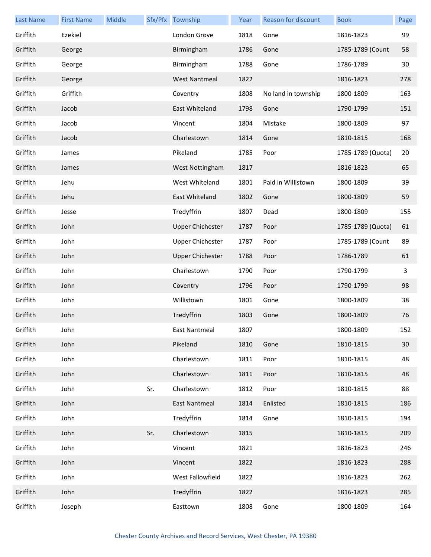| <b>Last Name</b> | <b>First Name</b> | Middle |     | Sfx/Pfx Township        | Year | <b>Reason for discount</b> | <b>Book</b>       | Page |
|------------------|-------------------|--------|-----|-------------------------|------|----------------------------|-------------------|------|
| Griffith         | Ezekiel           |        |     | London Grove            | 1818 | Gone                       | 1816-1823         | 99   |
| Griffith         | George            |        |     | Birmingham              | 1786 | Gone                       | 1785-1789 (Count  | 58   |
| Griffith         | George            |        |     | Birmingham              | 1788 | Gone                       | 1786-1789         | 30   |
| Griffith         | George            |        |     | <b>West Nantmeal</b>    | 1822 |                            | 1816-1823         | 278  |
| Griffith         | Griffith          |        |     | Coventry                | 1808 | No land in township        | 1800-1809         | 163  |
| Griffith         | Jacob             |        |     | East Whiteland          | 1798 | Gone                       | 1790-1799         | 151  |
| Griffith         | Jacob             |        |     | Vincent                 | 1804 | Mistake                    | 1800-1809         | 97   |
| Griffith         | Jacob             |        |     | Charlestown             | 1814 | Gone                       | 1810-1815         | 168  |
| Griffith         | James             |        |     | Pikeland                | 1785 | Poor                       | 1785-1789 (Quota) | 20   |
| Griffith         | James             |        |     | West Nottingham         | 1817 |                            | 1816-1823         | 65   |
| Griffith         | Jehu              |        |     | West Whiteland          | 1801 | Paid in Willistown         | 1800-1809         | 39   |
| Griffith         | Jehu              |        |     | East Whiteland          | 1802 | Gone                       | 1800-1809         | 59   |
| Griffith         | Jesse             |        |     | Tredyffrin              | 1807 | Dead                       | 1800-1809         | 155  |
| Griffith         | John              |        |     | <b>Upper Chichester</b> | 1787 | Poor                       | 1785-1789 (Quota) | 61   |
| Griffith         | John              |        |     | <b>Upper Chichester</b> | 1787 | Poor                       | 1785-1789 (Count  | 89   |
| Griffith         | John              |        |     | <b>Upper Chichester</b> | 1788 | Poor                       | 1786-1789         | 61   |
| Griffith         | John              |        |     | Charlestown             | 1790 | Poor                       | 1790-1799         | 3    |
| Griffith         | John              |        |     | Coventry                | 1796 | Poor                       | 1790-1799         | 98   |
| Griffith         | John              |        |     | Willistown              | 1801 | Gone                       | 1800-1809         | 38   |
| Griffith         | John              |        |     | Tredyffrin              | 1803 | Gone                       | 1800-1809         | 76   |
| Griffith         | John              |        |     | East Nantmeal           | 1807 |                            | 1800-1809         | 152  |
| Griffith         | John              |        |     | Pikeland                | 1810 | Gone                       | 1810-1815         | 30   |
| Griffith         | John              |        |     | Charlestown             | 1811 | Poor                       | 1810-1815         | 48   |
| Griffith         | John              |        |     | Charlestown             | 1811 | Poor                       | 1810-1815         | 48   |
| Griffith         | John              |        | Sr. | Charlestown             | 1812 | Poor                       | 1810-1815         | 88   |
| Griffith         | John              |        |     | <b>East Nantmeal</b>    | 1814 | Enlisted                   | 1810-1815         | 186  |
| Griffith         | John              |        |     | Tredyffrin              | 1814 | Gone                       | 1810-1815         | 194  |
| Griffith         | John              |        | Sr. | Charlestown             | 1815 |                            | 1810-1815         | 209  |
| Griffith         | John              |        |     | Vincent                 | 1821 |                            | 1816-1823         | 246  |
| Griffith         | John              |        |     | Vincent                 | 1822 |                            | 1816-1823         | 288  |
| Griffith         | John              |        |     | West Fallowfield        | 1822 |                            | 1816-1823         | 262  |
| Griffith         | John              |        |     | Tredyffrin              | 1822 |                            | 1816-1823         | 285  |
| Griffith         | Joseph            |        |     | Easttown                | 1808 | Gone                       | 1800-1809         | 164  |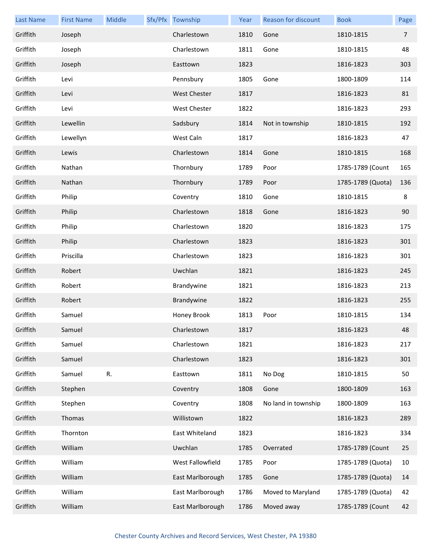| <b>Last Name</b> | <b>First Name</b> | Middle | Sfx/Pfx Township    | Year | <b>Reason for discount</b> | <b>Book</b>       | Page           |
|------------------|-------------------|--------|---------------------|------|----------------------------|-------------------|----------------|
| Griffith         | Joseph            |        | Charlestown         | 1810 | Gone                       | 1810-1815         | $\overline{7}$ |
| Griffith         | Joseph            |        | Charlestown         | 1811 | Gone                       | 1810-1815         | 48             |
| Griffith         | Joseph            |        | Easttown            | 1823 |                            | 1816-1823         | 303            |
| Griffith         | Levi              |        | Pennsbury           | 1805 | Gone                       | 1800-1809         | 114            |
| Griffith         | Levi              |        | <b>West Chester</b> | 1817 |                            | 1816-1823         | 81             |
| Griffith         | Levi              |        | <b>West Chester</b> | 1822 |                            | 1816-1823         | 293            |
| Griffith         | Lewellin          |        | Sadsbury            | 1814 | Not in township            | 1810-1815         | 192            |
| Griffith         | Lewellyn          |        | West Caln           | 1817 |                            | 1816-1823         | 47             |
| Griffith         | Lewis             |        | Charlestown         | 1814 | Gone                       | 1810-1815         | 168            |
| Griffith         | Nathan            |        | Thornbury           | 1789 | Poor                       | 1785-1789 (Count  | 165            |
| Griffith         | Nathan            |        | Thornbury           | 1789 | Poor                       | 1785-1789 (Quota) | 136            |
| Griffith         | Philip            |        | Coventry            | 1810 | Gone                       | 1810-1815         | 8              |
| Griffith         | Philip            |        | Charlestown         | 1818 | Gone                       | 1816-1823         | 90             |
| Griffith         | Philip            |        | Charlestown         | 1820 |                            | 1816-1823         | 175            |
| Griffith         | Philip            |        | Charlestown         | 1823 |                            | 1816-1823         | 301            |
| Griffith         | Priscilla         |        | Charlestown         | 1823 |                            | 1816-1823         | 301            |
| Griffith         | Robert            |        | Uwchlan             | 1821 |                            | 1816-1823         | 245            |
| Griffith         | Robert            |        | Brandywine          | 1821 |                            | 1816-1823         | 213            |
| Griffith         | Robert            |        | Brandywine          | 1822 |                            | 1816-1823         | 255            |
| Griffith         | Samuel            |        | Honey Brook         | 1813 | Poor                       | 1810-1815         | 134            |
| Griffith         | Samuel            |        | Charlestown         | 1817 |                            | 1816-1823         | 48             |
| Griffith         | Samuel            |        | Charlestown         | 1821 |                            | 1816-1823         | 217            |
| Griffith         | Samuel            |        | Charlestown         | 1823 |                            | 1816-1823         | 301            |
| Griffith         | Samuel            | R.     | Easttown            | 1811 | No Dog                     | 1810-1815         | 50             |
| Griffith         | Stephen           |        | Coventry            | 1808 | Gone                       | 1800-1809         | 163            |
| Griffith         | Stephen           |        | Coventry            | 1808 | No land in township        | 1800-1809         | 163            |
| Griffith         | Thomas            |        | Willistown          | 1822 |                            | 1816-1823         | 289            |
| Griffith         | Thornton          |        | East Whiteland      | 1823 |                            | 1816-1823         | 334            |
| Griffith         | William           |        | Uwchlan             | 1785 | Overrated                  | 1785-1789 (Count  | 25             |
| Griffith         | William           |        | West Fallowfield    | 1785 | Poor                       | 1785-1789 (Quota) | 10             |
| Griffith         | William           |        | East Marlborough    | 1785 | Gone                       | 1785-1789 (Quota) | 14             |
| Griffith         | William           |        | East Marlborough    | 1786 | Moved to Maryland          | 1785-1789 (Quota) | 42             |
| Griffith         | William           |        | East Marlborough    | 1786 | Moved away                 | 1785-1789 (Count  | 42             |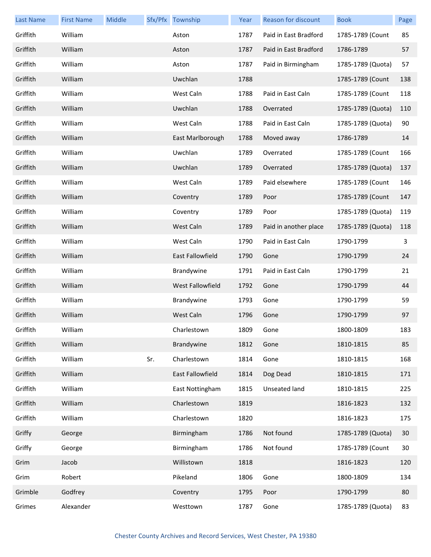| <b>Last Name</b> | <b>First Name</b> | Middle |     | Sfx/Pfx Township | Year | Reason for discount   | <b>Book</b>       | Page |
|------------------|-------------------|--------|-----|------------------|------|-----------------------|-------------------|------|
| Griffith         | William           |        |     | Aston            | 1787 | Paid in East Bradford | 1785-1789 (Count  | 85   |
| Griffith         | William           |        |     | Aston            | 1787 | Paid in East Bradford | 1786-1789         | 57   |
| Griffith         | William           |        |     | Aston            | 1787 | Paid in Birmingham    | 1785-1789 (Quota) | 57   |
| Griffith         | William           |        |     | Uwchlan          | 1788 |                       | 1785-1789 (Count  | 138  |
| Griffith         | William           |        |     | West Caln        | 1788 | Paid in East Caln     | 1785-1789 (Count  | 118  |
| Griffith         | William           |        |     | Uwchlan          | 1788 | Overrated             | 1785-1789 (Quota) | 110  |
| Griffith         | William           |        |     | West Caln        | 1788 | Paid in East Caln     | 1785-1789 (Quota) | 90   |
| Griffith         | William           |        |     | East Marlborough | 1788 | Moved away            | 1786-1789         | 14   |
| Griffith         | William           |        |     | Uwchlan          | 1789 | Overrated             | 1785-1789 (Count  | 166  |
| Griffith         | William           |        |     | Uwchlan          | 1789 | Overrated             | 1785-1789 (Quota) | 137  |
| Griffith         | William           |        |     | West Caln        | 1789 | Paid elsewhere        | 1785-1789 (Count  | 146  |
| Griffith         | William           |        |     | Coventry         | 1789 | Poor                  | 1785-1789 (Count  | 147  |
| Griffith         | William           |        |     | Coventry         | 1789 | Poor                  | 1785-1789 (Quota) | 119  |
| Griffith         | William           |        |     | West Caln        | 1789 | Paid in another place | 1785-1789 (Quota) | 118  |
| Griffith         | William           |        |     | West Caln        | 1790 | Paid in East Caln     | 1790-1799         | 3    |
| Griffith         | William           |        |     | East Fallowfield | 1790 | Gone                  | 1790-1799         | 24   |
| Griffith         | William           |        |     | Brandywine       | 1791 | Paid in East Caln     | 1790-1799         | 21   |
| Griffith         | William           |        |     | West Fallowfield | 1792 | Gone                  | 1790-1799         | 44   |
| Griffith         | William           |        |     | Brandywine       | 1793 | Gone                  | 1790-1799         | 59   |
| Griffith         | William           |        |     | West Caln        | 1796 | Gone                  | 1790-1799         | 97   |
| Griffith         | William           |        |     | Charlestown      | 1809 | Gone                  | 1800-1809         | 183  |
| Griffith         | William           |        |     | Brandywine       | 1812 | Gone                  | 1810-1815         | 85   |
| Griffith         | William           |        | Sr. | Charlestown      | 1814 | Gone                  | 1810-1815         | 168  |
| Griffith         | William           |        |     | East Fallowfield | 1814 | Dog Dead              | 1810-1815         | 171  |
| Griffith         | William           |        |     | East Nottingham  | 1815 | Unseated land         | 1810-1815         | 225  |
| Griffith         | William           |        |     | Charlestown      | 1819 |                       | 1816-1823         | 132  |
| Griffith         | William           |        |     | Charlestown      | 1820 |                       | 1816-1823         | 175  |
| Griffy           | George            |        |     | Birmingham       | 1786 | Not found             | 1785-1789 (Quota) | 30   |
| Griffy           | George            |        |     | Birmingham       | 1786 | Not found             | 1785-1789 (Count  | 30   |
| Grim             | Jacob             |        |     | Willistown       | 1818 |                       | 1816-1823         | 120  |
| Grim             | Robert            |        |     | Pikeland         | 1806 | Gone                  | 1800-1809         | 134  |
| Grimble          | Godfrey           |        |     | Coventry         | 1795 | Poor                  | 1790-1799         | 80   |
| Grimes           | Alexander         |        |     | Westtown         | 1787 | Gone                  | 1785-1789 (Quota) | 83   |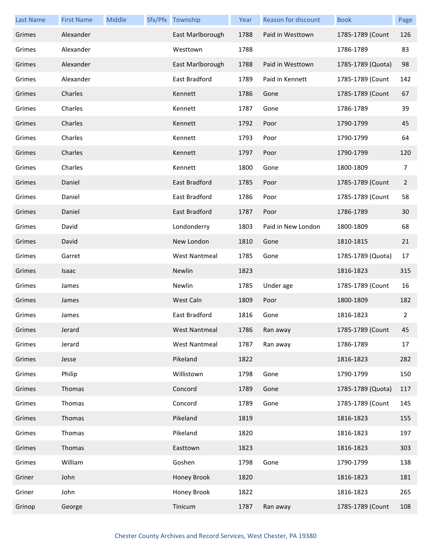| <b>Last Name</b> | <b>First Name</b> | <b>Middle</b> | Sfx/Pfx Township     | Year | Reason for discount | <b>Book</b>       | Page |
|------------------|-------------------|---------------|----------------------|------|---------------------|-------------------|------|
| Grimes           | Alexander         |               | East Marlborough     | 1788 | Paid in Westtown    | 1785-1789 (Count  | 126  |
| Grimes           | Alexander         |               | Westtown             | 1788 |                     | 1786-1789         | 83   |
| Grimes           | Alexander         |               | East Marlborough     | 1788 | Paid in Westtown    | 1785-1789 (Quota) | 98   |
| Grimes           | Alexander         |               | East Bradford        | 1789 | Paid in Kennett     | 1785-1789 (Count  | 142  |
| Grimes           | Charles           |               | Kennett              | 1786 | Gone                | 1785-1789 (Count  | 67   |
| Grimes           | Charles           |               | Kennett              | 1787 | Gone                | 1786-1789         | 39   |
| Grimes           | Charles           |               | Kennett              | 1792 | Poor                | 1790-1799         | 45   |
| Grimes           | Charles           |               | Kennett              | 1793 | Poor                | 1790-1799         | 64   |
| Grimes           | Charles           |               | Kennett              | 1797 | Poor                | 1790-1799         | 120  |
| Grimes           | Charles           |               | Kennett              | 1800 | Gone                | 1800-1809         | 7    |
| Grimes           | Daniel            |               | East Bradford        | 1785 | Poor                | 1785-1789 (Count  | 2    |
| Grimes           | Daniel            |               | East Bradford        | 1786 | Poor                | 1785-1789 (Count  | 58   |
| Grimes           | Daniel            |               | East Bradford        | 1787 | Poor                | 1786-1789         | 30   |
| Grimes           | David             |               | Londonderry          | 1803 | Paid in New London  | 1800-1809         | 68   |
| Grimes           | David             |               | New London           | 1810 | Gone                | 1810-1815         | 21   |
| Grimes           | Garret            |               | <b>West Nantmeal</b> | 1785 | Gone                | 1785-1789 (Quota) | 17   |
| Grimes           | Isaac             |               | Newlin               | 1823 |                     | 1816-1823         | 315  |
| Grimes           | James             |               | Newlin               | 1785 | Under age           | 1785-1789 (Count  | 16   |
| Grimes           | James             |               | West Caln            | 1809 | Poor                | 1800-1809         | 182  |
| Grimes           | James             |               | East Bradford        | 1816 | Gone                | 1816-1823         | 2    |
| Grimes           | Jerard            |               | West Nantmeal        | 1786 | Ran away            | 1785-1789 (Count  | 45   |
| Grimes           | Jerard            |               | <b>West Nantmeal</b> | 1787 | Ran away            | 1786-1789         | 17   |
| Grimes           | Jesse             |               | Pikeland             | 1822 |                     | 1816-1823         | 282  |
| Grimes           | Philip            |               | Willistown           | 1798 | Gone                | 1790-1799         | 150  |
| Grimes           | Thomas            |               | Concord              | 1789 | Gone                | 1785-1789 (Quota) | 117  |
| Grimes           | Thomas            |               | Concord              | 1789 | Gone                | 1785-1789 (Count  | 145  |
| Grimes           | Thomas            |               | Pikeland             | 1819 |                     | 1816-1823         | 155  |
| Grimes           | Thomas            |               | Pikeland             | 1820 |                     | 1816-1823         | 197  |
| Grimes           | Thomas            |               | Easttown             | 1823 |                     | 1816-1823         | 303  |
| Grimes           | William           |               | Goshen               | 1798 | Gone                | 1790-1799         | 138  |
| Griner           | John              |               | Honey Brook          | 1820 |                     | 1816-1823         | 181  |
| Griner           | John              |               | Honey Brook          | 1822 |                     | 1816-1823         | 265  |
| Grinop           | George            |               | Tinicum              | 1787 | Ran away            | 1785-1789 (Count  | 108  |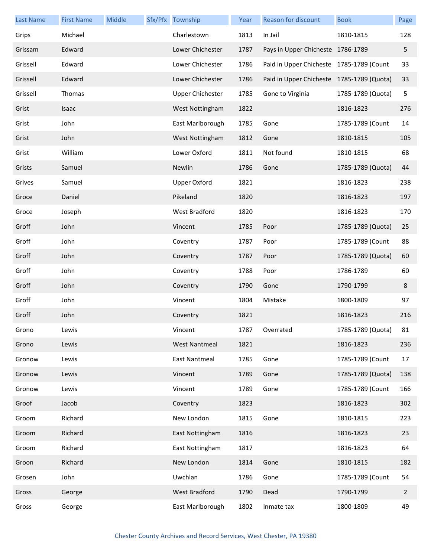| <b>Last Name</b> | <b>First Name</b> | Middle | Sfx/Pfx Township        | Year | Reason for discount                       | <b>Book</b>       | Page           |
|------------------|-------------------|--------|-------------------------|------|-------------------------------------------|-------------------|----------------|
| Grips            | Michael           |        | Charlestown             | 1813 | In Jail                                   | 1810-1815         | 128            |
| Grissam          | Edward            |        | Lower Chichester        | 1787 | Pays in Upper Chicheste 1786-1789         |                   | 5              |
| Grissell         | Edward            |        | Lower Chichester        | 1786 | Paid in Upper Chicheste 1785-1789 (Count  |                   | 33             |
| Grissell         | Edward            |        | Lower Chichester        | 1786 | Paid in Upper Chicheste 1785-1789 (Quota) |                   | 33             |
| Grissell         | Thomas            |        | <b>Upper Chichester</b> | 1785 | Gone to Virginia                          | 1785-1789 (Quota) | 5              |
| Grist            | Isaac             |        | West Nottingham         | 1822 |                                           | 1816-1823         | 276            |
| Grist            | John              |        | East Marlborough        | 1785 | Gone                                      | 1785-1789 (Count  | 14             |
| Grist            | John              |        | West Nottingham         | 1812 | Gone                                      | 1810-1815         | 105            |
| Grist            | William           |        | Lower Oxford            | 1811 | Not found                                 | 1810-1815         | 68             |
| Grists           | Samuel            |        | Newlin                  | 1786 | Gone                                      | 1785-1789 (Quota) | 44             |
| Grives           | Samuel            |        | <b>Upper Oxford</b>     | 1821 |                                           | 1816-1823         | 238            |
| Groce            | Daniel            |        | Pikeland                | 1820 |                                           | 1816-1823         | 197            |
| Groce            | Joseph            |        | West Bradford           | 1820 |                                           | 1816-1823         | 170            |
| Groff            | John              |        | Vincent                 | 1785 | Poor                                      | 1785-1789 (Quota) | 25             |
| Groff            | John              |        | Coventry                | 1787 | Poor                                      | 1785-1789 (Count  | 88             |
| Groff            | John              |        | Coventry                | 1787 | Poor                                      | 1785-1789 (Quota) | 60             |
| Groff            | John              |        | Coventry                | 1788 | Poor                                      | 1786-1789         | 60             |
| Groff            | John              |        | Coventry                | 1790 | Gone                                      | 1790-1799         | $\bf 8$        |
| Groff            | John              |        | Vincent                 | 1804 | Mistake                                   | 1800-1809         | 97             |
| Groff            | John              |        | Coventry                | 1821 |                                           | 1816-1823         | 216            |
| Grono            | Lewis             |        | Vincent                 | 1787 | Overrated                                 | 1785-1789 (Quota) | 81             |
| Grono            | Lewis             |        | <b>West Nantmeal</b>    | 1821 |                                           | 1816-1823         | 236            |
| Gronow           | Lewis             |        | East Nantmeal           | 1785 | Gone                                      | 1785-1789 (Count  | 17             |
| Gronow           | Lewis             |        | Vincent                 | 1789 | Gone                                      | 1785-1789 (Quota) | 138            |
| Gronow           | Lewis             |        | Vincent                 | 1789 | Gone                                      | 1785-1789 (Count  | 166            |
| Groof            | Jacob             |        | Coventry                | 1823 |                                           | 1816-1823         | 302            |
| Groom            | Richard           |        | New London              | 1815 | Gone                                      | 1810-1815         | 223            |
| Groom            | Richard           |        | East Nottingham         | 1816 |                                           | 1816-1823         | 23             |
| Groom            | Richard           |        | East Nottingham         | 1817 |                                           | 1816-1823         | 64             |
| Groon            | Richard           |        | New London              | 1814 | Gone                                      | 1810-1815         | 182            |
| Grosen           | John              |        | Uwchlan                 | 1786 | Gone                                      | 1785-1789 (Count  | 54             |
| Gross            | George            |        | West Bradford           | 1790 | Dead                                      | 1790-1799         | $\overline{2}$ |
| Gross            | George            |        | East Marlborough        | 1802 | Inmate tax                                | 1800-1809         | 49             |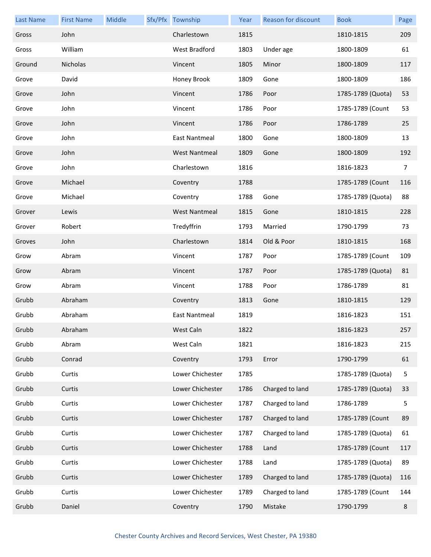| <b>Last Name</b> | <b>First Name</b> | Middle | Sfx/Pfx Township     | Year | Reason for discount | <b>Book</b>       | Page           |
|------------------|-------------------|--------|----------------------|------|---------------------|-------------------|----------------|
| Gross            | John              |        | Charlestown          | 1815 |                     | 1810-1815         | 209            |
| Gross            | William           |        | West Bradford        | 1803 | Under age           | 1800-1809         | 61             |
| Ground           | Nicholas          |        | Vincent              | 1805 | Minor               | 1800-1809         | 117            |
| Grove            | David             |        | Honey Brook          | 1809 | Gone                | 1800-1809         | 186            |
| Grove            | John              |        | Vincent              | 1786 | Poor                | 1785-1789 (Quota) | 53             |
| Grove            | John              |        | Vincent              | 1786 | Poor                | 1785-1789 (Count  | 53             |
| Grove            | John              |        | Vincent              | 1786 | Poor                | 1786-1789         | 25             |
| Grove            | John              |        | East Nantmeal        | 1800 | Gone                | 1800-1809         | 13             |
| Grove            | John              |        | <b>West Nantmeal</b> | 1809 | Gone                | 1800-1809         | 192            |
| Grove            | John              |        | Charlestown          | 1816 |                     | 1816-1823         | $\overline{7}$ |
| Grove            | Michael           |        | Coventry             | 1788 |                     | 1785-1789 (Count  | 116            |
| Grove            | Michael           |        | Coventry             | 1788 | Gone                | 1785-1789 (Quota) | 88             |
| Grover           | Lewis             |        | <b>West Nantmeal</b> | 1815 | Gone                | 1810-1815         | 228            |
| Grover           | Robert            |        | Tredyffrin           | 1793 | Married             | 1790-1799         | 73             |
| Groves           | John              |        | Charlestown          | 1814 | Old & Poor          | 1810-1815         | 168            |
| Grow             | Abram             |        | Vincent              | 1787 | Poor                | 1785-1789 (Count  | 109            |
| Grow             | Abram             |        | Vincent              | 1787 | Poor                | 1785-1789 (Quota) | 81             |
| Grow             | Abram             |        | Vincent              | 1788 | Poor                | 1786-1789         | 81             |
| Grubb            | Abraham           |        | Coventry             | 1813 | Gone                | 1810-1815         | 129            |
| Grubb            | Abraham           |        | East Nantmeal        | 1819 |                     | 1816-1823         | 151            |
| Grubb            | Abraham           |        | West Caln            | 1822 |                     | 1816-1823         | 257            |
| Grubb            | Abram             |        | West Caln            | 1821 |                     | 1816-1823         | 215            |
| Grubb            | Conrad            |        | Coventry             | 1793 | Error               | 1790-1799         | 61             |
| Grubb            | Curtis            |        | Lower Chichester     | 1785 |                     | 1785-1789 (Quota) | 5              |
| Grubb            | Curtis            |        | Lower Chichester     | 1786 | Charged to land     | 1785-1789 (Quota) | 33             |
| Grubb            | Curtis            |        | Lower Chichester     | 1787 | Charged to land     | 1786-1789         | 5              |
| Grubb            | Curtis            |        | Lower Chichester     | 1787 | Charged to land     | 1785-1789 (Count  | 89             |
| Grubb            | Curtis            |        | Lower Chichester     | 1787 | Charged to land     | 1785-1789 (Quota) | 61             |
| Grubb            | Curtis            |        | Lower Chichester     | 1788 | Land                | 1785-1789 (Count  | 117            |
| Grubb            | Curtis            |        | Lower Chichester     | 1788 | Land                | 1785-1789 (Quota) | 89             |
| Grubb            | Curtis            |        | Lower Chichester     | 1789 | Charged to land     | 1785-1789 (Quota) | 116            |
| Grubb            | Curtis            |        | Lower Chichester     | 1789 | Charged to land     | 1785-1789 (Count  | 144            |
| Grubb            | Daniel            |        | Coventry             | 1790 | Mistake             | 1790-1799         | 8              |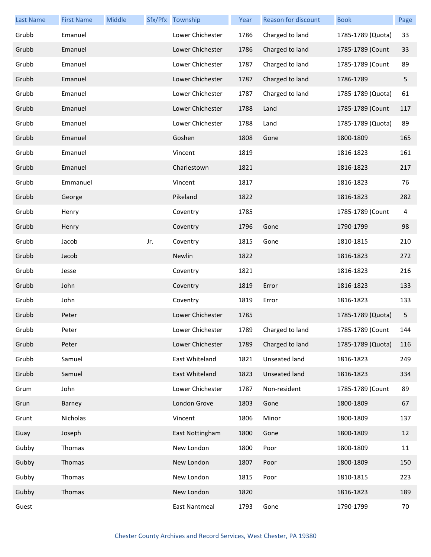| <b>Last Name</b> | <b>First Name</b> | Middle |     | Sfx/Pfx Township | Year | <b>Reason for discount</b> | <b>Book</b>       | Page |
|------------------|-------------------|--------|-----|------------------|------|----------------------------|-------------------|------|
| Grubb            | Emanuel           |        |     | Lower Chichester | 1786 | Charged to land            | 1785-1789 (Quota) | 33   |
| Grubb            | Emanuel           |        |     | Lower Chichester | 1786 | Charged to land            | 1785-1789 (Count  | 33   |
| Grubb            | Emanuel           |        |     | Lower Chichester | 1787 | Charged to land            | 1785-1789 (Count  | 89   |
| Grubb            | Emanuel           |        |     | Lower Chichester | 1787 | Charged to land            | 1786-1789         | 5    |
| Grubb            | Emanuel           |        |     | Lower Chichester | 1787 | Charged to land            | 1785-1789 (Quota) | 61   |
| Grubb            | Emanuel           |        |     | Lower Chichester | 1788 | Land                       | 1785-1789 (Count  | 117  |
| Grubb            | Emanuel           |        |     | Lower Chichester | 1788 | Land                       | 1785-1789 (Quota) | 89   |
| Grubb            | Emanuel           |        |     | Goshen           | 1808 | Gone                       | 1800-1809         | 165  |
| Grubb            | Emanuel           |        |     | Vincent          | 1819 |                            | 1816-1823         | 161  |
| Grubb            | Emanuel           |        |     | Charlestown      | 1821 |                            | 1816-1823         | 217  |
| Grubb            | Emmanuel          |        |     | Vincent          | 1817 |                            | 1816-1823         | 76   |
| Grubb            | George            |        |     | Pikeland         | 1822 |                            | 1816-1823         | 282  |
| Grubb            | Henry             |        |     | Coventry         | 1785 |                            | 1785-1789 (Count  | 4    |
| Grubb            | Henry             |        |     | Coventry         | 1796 | Gone                       | 1790-1799         | 98   |
| Grubb            | Jacob             |        | Jr. | Coventry         | 1815 | Gone                       | 1810-1815         | 210  |
| Grubb            | Jacob             |        |     | Newlin           | 1822 |                            | 1816-1823         | 272  |
| Grubb            | Jesse             |        |     | Coventry         | 1821 |                            | 1816-1823         | 216  |
| Grubb            | John              |        |     | Coventry         | 1819 | Error                      | 1816-1823         | 133  |
| Grubb            | John              |        |     | Coventry         | 1819 | Error                      | 1816-1823         | 133  |
| Grubb            | Peter             |        |     | Lower Chichester | 1785 |                            | 1785-1789 (Quota) | 5    |
| Grubb            | Peter             |        |     | Lower Chichester | 1789 | Charged to land            | 1785-1789 (Count  | 144  |
| Grubb            | Peter             |        |     | Lower Chichester | 1789 | Charged to land            | 1785-1789 (Quota) | 116  |
| Grubb            | Samuel            |        |     | East Whiteland   | 1821 | Unseated land              | 1816-1823         | 249  |
| Grubb            | Samuel            |        |     | East Whiteland   | 1823 | Unseated land              | 1816-1823         | 334  |
| Grum             | John              |        |     | Lower Chichester | 1787 | Non-resident               | 1785-1789 (Count  | 89   |
| Grun             | Barney            |        |     | London Grove     | 1803 | Gone                       | 1800-1809         | 67   |
| Grunt            | Nicholas          |        |     | Vincent          | 1806 | Minor                      | 1800-1809         | 137  |
| Guay             | Joseph            |        |     | East Nottingham  | 1800 | Gone                       | 1800-1809         | 12   |
| Gubby            | Thomas            |        |     | New London       | 1800 | Poor                       | 1800-1809         | 11   |
| Gubby            | Thomas            |        |     | New London       | 1807 | Poor                       | 1800-1809         | 150  |
| Gubby            | Thomas            |        |     | New London       | 1815 | Poor                       | 1810-1815         | 223  |
| Gubby            | Thomas            |        |     | New London       | 1820 |                            | 1816-1823         | 189  |
| Guest            |                   |        |     | East Nantmeal    | 1793 | Gone                       | 1790-1799         | 70   |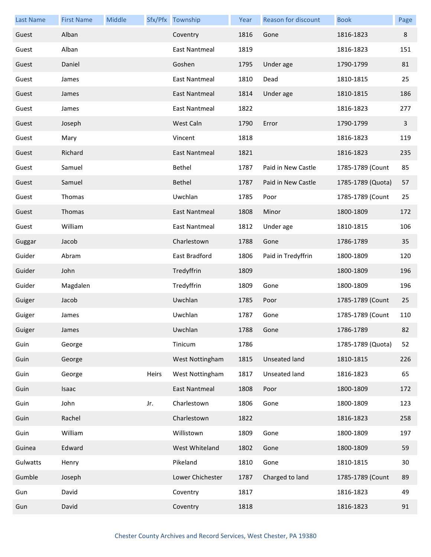| <b>Last Name</b> | <b>First Name</b> | Middle |       | Sfx/Pfx Township     | Year | Reason for discount  | <b>Book</b>       | Page |
|------------------|-------------------|--------|-------|----------------------|------|----------------------|-------------------|------|
| Guest            | Alban             |        |       | Coventry             | 1816 | Gone                 | 1816-1823         | 8    |
| Guest            | Alban             |        |       | <b>East Nantmeal</b> | 1819 |                      | 1816-1823         | 151  |
| Guest            | Daniel            |        |       | Goshen               | 1795 | Under age            | 1790-1799         | 81   |
| Guest            | James             |        |       | <b>East Nantmeal</b> | 1810 | Dead                 | 1810-1815         | 25   |
| Guest            | James             |        |       | <b>East Nantmeal</b> | 1814 | Under age            | 1810-1815         | 186  |
| Guest            | James             |        |       | East Nantmeal        | 1822 |                      | 1816-1823         | 277  |
| Guest            | Joseph            |        |       | West Caln            | 1790 | Error                | 1790-1799         | 3    |
| Guest            | Mary              |        |       | Vincent              | 1818 |                      | 1816-1823         | 119  |
| Guest            | Richard           |        |       | East Nantmeal        | 1821 |                      | 1816-1823         | 235  |
| Guest            | Samuel            |        |       | Bethel               | 1787 | Paid in New Castle   | 1785-1789 (Count  | 85   |
| Guest            | Samuel            |        |       | Bethel               | 1787 | Paid in New Castle   | 1785-1789 (Quota) | 57   |
| Guest            | Thomas            |        |       | Uwchlan              | 1785 | Poor                 | 1785-1789 (Count  | 25   |
| Guest            | Thomas            |        |       | <b>East Nantmeal</b> | 1808 | Minor                | 1800-1809         | 172  |
| Guest            | William           |        |       | East Nantmeal        | 1812 | Under age            | 1810-1815         | 106  |
| Guggar           | Jacob             |        |       | Charlestown          | 1788 | Gone                 | 1786-1789         | 35   |
| Guider           | Abram             |        |       | East Bradford        | 1806 | Paid in Tredyffrin   | 1800-1809         | 120  |
| Guider           | John              |        |       | Tredyffrin           | 1809 |                      | 1800-1809         | 196  |
| Guider           | Magdalen          |        |       | Tredyffrin           | 1809 | Gone                 | 1800-1809         | 196  |
| Guiger           | Jacob             |        |       | Uwchlan              | 1785 | Poor                 | 1785-1789 (Count  | 25   |
| Guiger           | James             |        |       | Uwchlan              | 1787 | Gone                 | 1785-1789 (Count  | 110  |
| Guiger           | James             |        |       | Uwchlan              | 1788 | Gone                 | 1786-1789         | 82   |
| Guin             | George            |        |       | Tinicum              | 1786 |                      | 1785-1789 (Quota) | 52   |
| Guin             | George            |        |       | West Nottingham      | 1815 | <b>Unseated land</b> | 1810-1815         | 226  |
| Guin             | George            |        | Heirs | West Nottingham      | 1817 | Unseated land        | 1816-1823         | 65   |
| Guin             | Isaac             |        |       | <b>East Nantmeal</b> | 1808 | Poor                 | 1800-1809         | 172  |
| Guin             | John              |        | Jr.   | Charlestown          | 1806 | Gone                 | 1800-1809         | 123  |
| Guin             | Rachel            |        |       | Charlestown          | 1822 |                      | 1816-1823         | 258  |
| Guin             | William           |        |       | Willistown           | 1809 | Gone                 | 1800-1809         | 197  |
| Guinea           | Edward            |        |       | West Whiteland       | 1802 | Gone                 | 1800-1809         | 59   |
| Gulwatts         | Henry             |        |       | Pikeland             | 1810 | Gone                 | 1810-1815         | 30   |
| Gumble           | Joseph            |        |       | Lower Chichester     | 1787 | Charged to land      | 1785-1789 (Count  | 89   |
| Gun              | David             |        |       | Coventry             | 1817 |                      | 1816-1823         | 49   |
| Gun              | David             |        |       | Coventry             | 1818 |                      | 1816-1823         | 91   |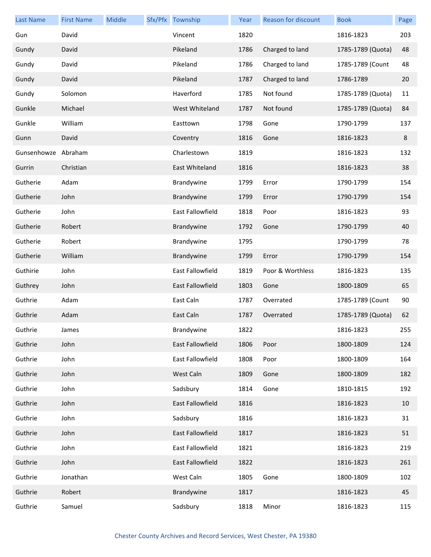| <b>Last Name</b> | <b>First Name</b> | Middle | Sfx/Pfx Township        | Year | Reason for discount | <b>Book</b>       | Page |
|------------------|-------------------|--------|-------------------------|------|---------------------|-------------------|------|
| Gun              | David             |        | Vincent                 | 1820 |                     | 1816-1823         | 203  |
| Gundy            | David             |        | Pikeland                | 1786 | Charged to land     | 1785-1789 (Quota) | 48   |
| Gundy            | David             |        | Pikeland                | 1786 | Charged to land     | 1785-1789 (Count  | 48   |
| Gundy            | David             |        | Pikeland                | 1787 | Charged to land     | 1786-1789         | 20   |
| Gundy            | Solomon           |        | Haverford               | 1785 | Not found           | 1785-1789 (Quota) | 11   |
| Gunkle           | Michael           |        | West Whiteland          | 1787 | Not found           | 1785-1789 (Quota) | 84   |
| Gunkle           | William           |        | Easttown                | 1798 | Gone                | 1790-1799         | 137  |
| Gunn             | David             |        | Coventry                | 1816 | Gone                | 1816-1823         | 8    |
| Gunsenhowze      | Abraham           |        | Charlestown             | 1819 |                     | 1816-1823         | 132  |
| Gurrin           | Christian         |        | East Whiteland          | 1816 |                     | 1816-1823         | 38   |
| Gutherie         | Adam              |        | Brandywine              | 1799 | Error               | 1790-1799         | 154  |
| Gutherie         | John              |        | Brandywine              | 1799 | Error               | 1790-1799         | 154  |
| Gutherie         | John              |        | East Fallowfield        | 1818 | Poor                | 1816-1823         | 93   |
| Gutherie         | Robert            |        | Brandywine              | 1792 | Gone                | 1790-1799         | 40   |
| Gutherie         | Robert            |        | Brandywine              | 1795 |                     | 1790-1799         | 78   |
| Gutherie         | William           |        | Brandywine              | 1799 | Error               | 1790-1799         | 154  |
| Guthirie         | John              |        | East Fallowfield        | 1819 | Poor & Worthless    | 1816-1823         | 135  |
| Guthrey          | John              |        | <b>East Fallowfield</b> | 1803 | Gone                | 1800-1809         | 65   |
| Guthrie          | Adam              |        | East Caln               | 1787 | Overrated           | 1785-1789 (Count  | 90   |
| Guthrie          | Adam              |        | East Caln               | 1787 | Overrated           | 1785-1789 (Quota) | 62   |
| Guthrie          | James             |        | Brandywine              | 1822 |                     | 1816-1823         | 255  |
| Guthrie          | John              |        | East Fallowfield        | 1806 | Poor                | 1800-1809         | 124  |
| Guthrie          | John              |        | East Fallowfield        | 1808 | Poor                | 1800-1809         | 164  |
| Guthrie          | John              |        | West Caln               | 1809 | Gone                | 1800-1809         | 182  |
| Guthrie          | John              |        | Sadsbury                | 1814 | Gone                | 1810-1815         | 192  |
| Guthrie          | John              |        | East Fallowfield        | 1816 |                     | 1816-1823         | 10   |
| Guthrie          | John              |        | Sadsbury                | 1816 |                     | 1816-1823         | 31   |
| Guthrie          | John              |        | East Fallowfield        | 1817 |                     | 1816-1823         | 51   |
| Guthrie          | John              |        | East Fallowfield        | 1821 |                     | 1816-1823         | 219  |
| Guthrie          | John              |        | East Fallowfield        | 1822 |                     | 1816-1823         | 261  |
| Guthrie          | Jonathan          |        | West Caln               | 1805 | Gone                | 1800-1809         | 102  |
| Guthrie          | Robert            |        | Brandywine              | 1817 |                     | 1816-1823         | 45   |
| Guthrie          | Samuel            |        | Sadsbury                | 1818 | Minor               | 1816-1823         | 115  |